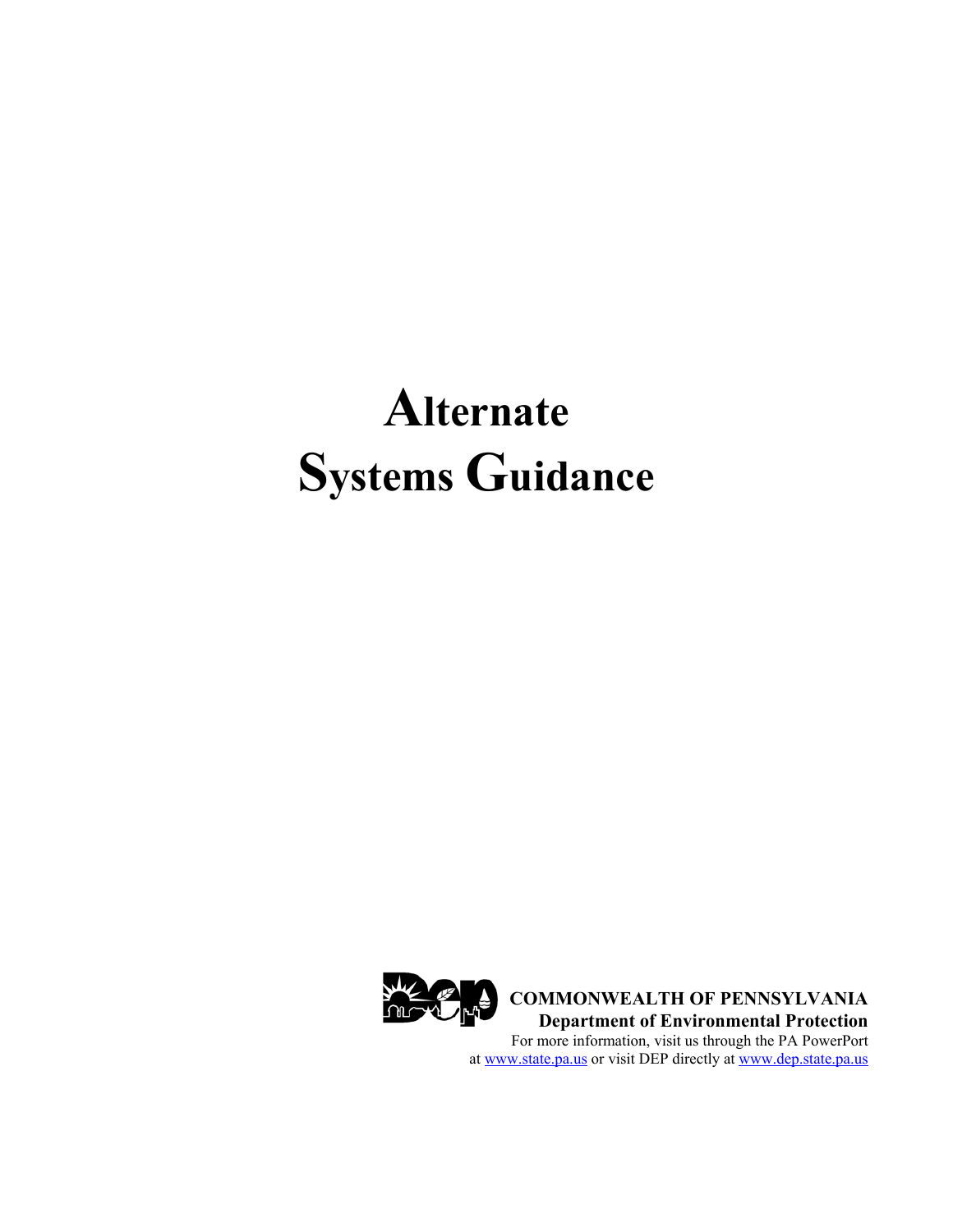# **Alternate Systems Guidance**



**COMMONWEALTH OF PENNSYLVANIA Department of Environmental Protection**  For more information, visit us through the PA PowerPort at www.state.pa.us or visit DEP directly at www.dep.state.pa.us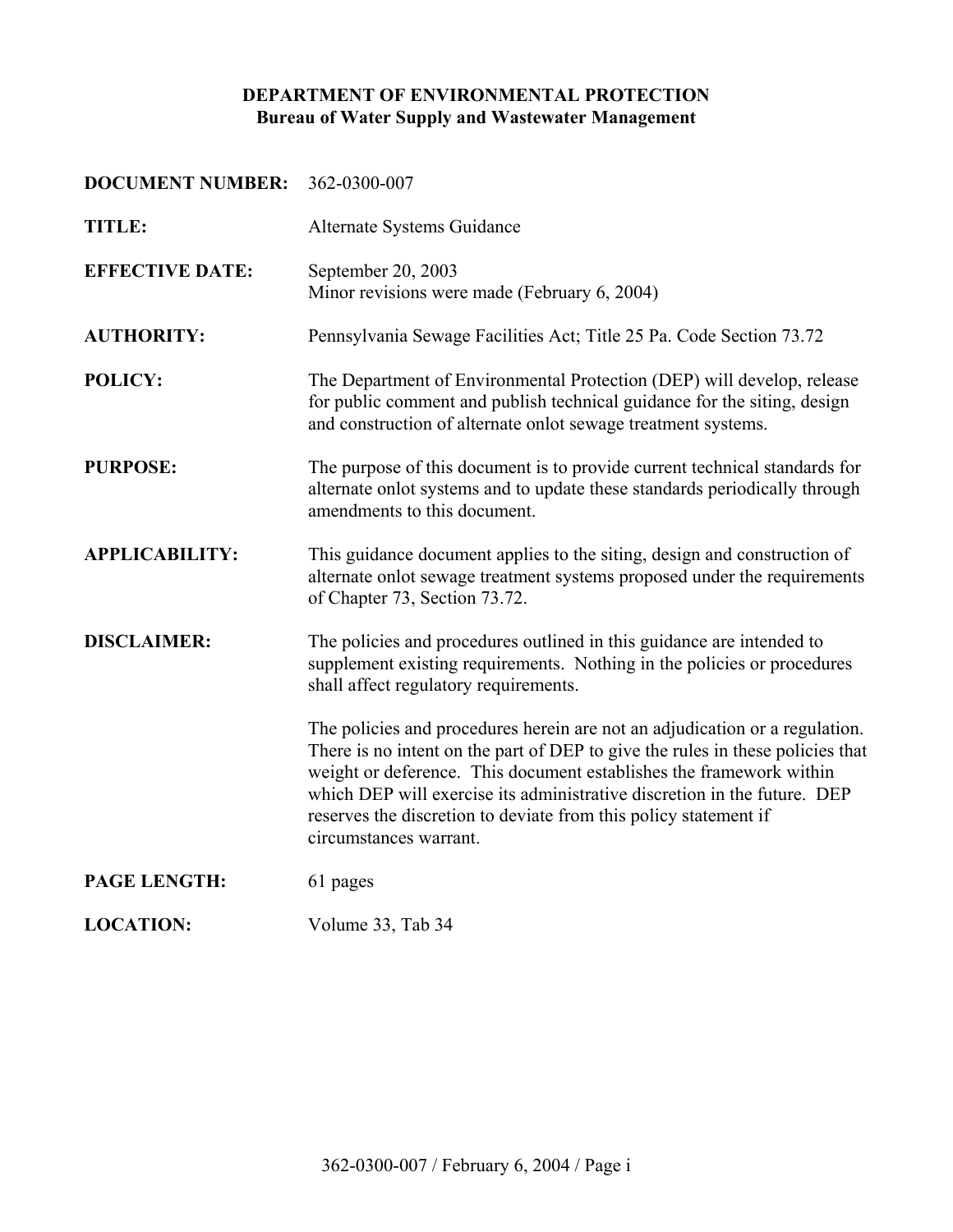# **DEPARTMENT OF ENVIRONMENTAL PROTECTION Bureau of Water Supply and Wastewater Management**

## **DOCUMENT NUMBER:** 362-0300-007

| <b>TITLE:</b>          | Alternate Systems Guidance                                                                                                                                                                                                                                                                                                                                                                                     |
|------------------------|----------------------------------------------------------------------------------------------------------------------------------------------------------------------------------------------------------------------------------------------------------------------------------------------------------------------------------------------------------------------------------------------------------------|
| <b>EFFECTIVE DATE:</b> | September 20, 2003<br>Minor revisions were made (February 6, 2004)                                                                                                                                                                                                                                                                                                                                             |
| <b>AUTHORITY:</b>      | Pennsylvania Sewage Facilities Act; Title 25 Pa. Code Section 73.72                                                                                                                                                                                                                                                                                                                                            |
| POLICY:                | The Department of Environmental Protection (DEP) will develop, release<br>for public comment and publish technical guidance for the siting, design<br>and construction of alternate onlot sewage treatment systems.                                                                                                                                                                                            |
| <b>PURPOSE:</b>        | The purpose of this document is to provide current technical standards for<br>alternate onlot systems and to update these standards periodically through<br>amendments to this document.                                                                                                                                                                                                                       |
| <b>APPLICABILITY:</b>  | This guidance document applies to the siting, design and construction of<br>alternate onlot sewage treatment systems proposed under the requirements<br>of Chapter 73, Section 73.72.                                                                                                                                                                                                                          |
| <b>DISCLAIMER:</b>     | The policies and procedures outlined in this guidance are intended to<br>supplement existing requirements. Nothing in the policies or procedures<br>shall affect regulatory requirements.                                                                                                                                                                                                                      |
|                        | The policies and procedures herein are not an adjudication or a regulation.<br>There is no intent on the part of DEP to give the rules in these policies that<br>weight or deference. This document establishes the framework within<br>which DEP will exercise its administrative discretion in the future. DEP<br>reserves the discretion to deviate from this policy statement if<br>circumstances warrant. |
| PAGE LENGTH:           | 61 pages                                                                                                                                                                                                                                                                                                                                                                                                       |
| <b>LOCATION:</b>       | Volume 33, Tab 34                                                                                                                                                                                                                                                                                                                                                                                              |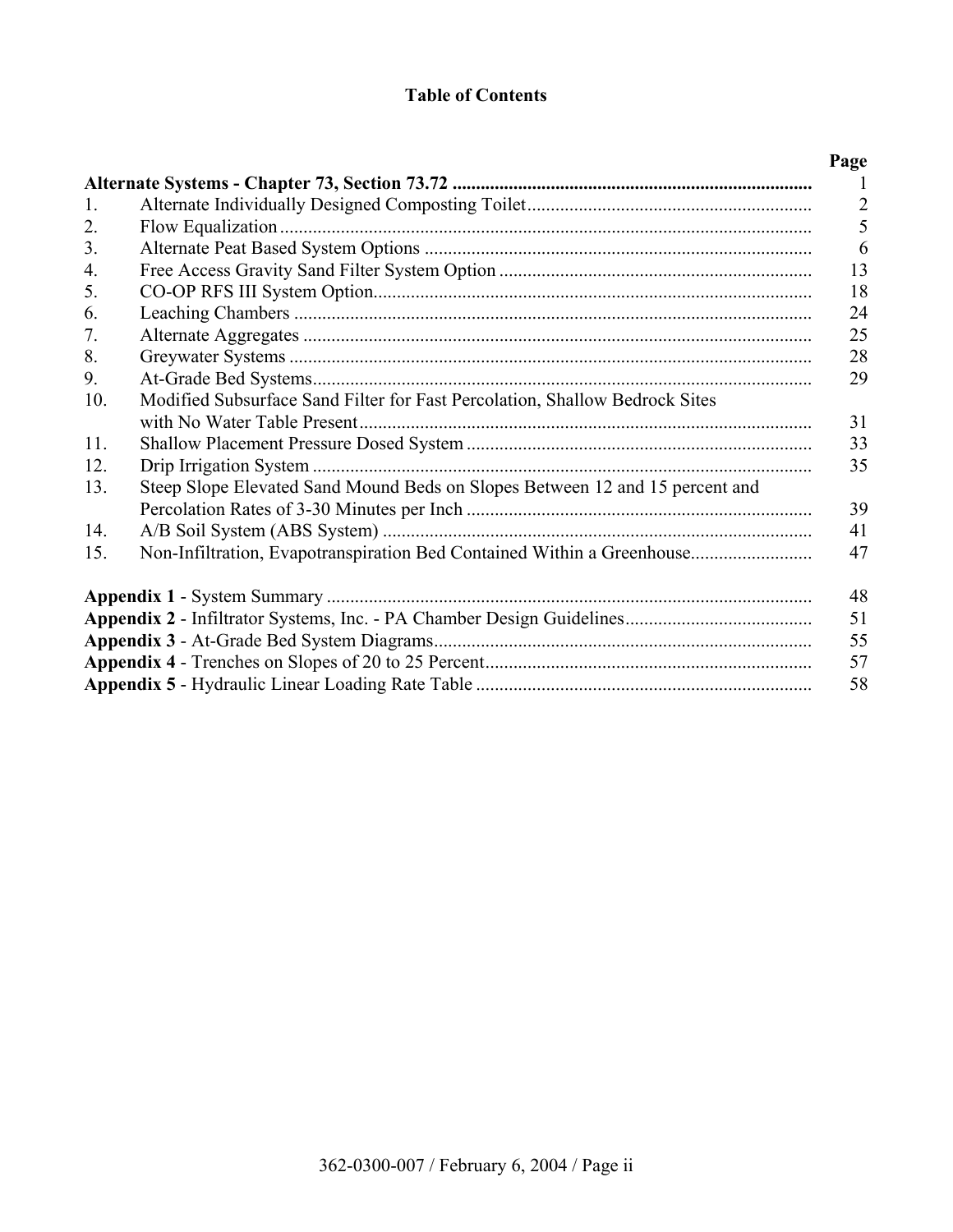# **Table of Contents**

|     |                                                                              | Page           |
|-----|------------------------------------------------------------------------------|----------------|
|     |                                                                              |                |
| 1.  |                                                                              | $\overline{2}$ |
| 2.  |                                                                              | 5              |
| 3.  |                                                                              | 6              |
| 4.  |                                                                              | 13             |
| 5.  |                                                                              | 18             |
| 6.  |                                                                              | 24             |
| 7.  |                                                                              | 25             |
| 8.  |                                                                              | 28             |
| 9.  |                                                                              | 29             |
| 10. | Modified Subsurface Sand Filter for Fast Percolation, Shallow Bedrock Sites  |                |
|     |                                                                              | 31             |
| 11. |                                                                              | 33             |
| 12. |                                                                              | 35             |
| 13. | Steep Slope Elevated Sand Mound Beds on Slopes Between 12 and 15 percent and |                |
|     |                                                                              | 39             |
| 14. |                                                                              | 41             |
| 15. | Non-Infiltration, Evapotranspiration Bed Contained Within a Greenhouse       | 47             |
|     |                                                                              | 48             |
|     |                                                                              | 51             |
|     |                                                                              | 55             |
|     |                                                                              | 57             |
|     |                                                                              | 58             |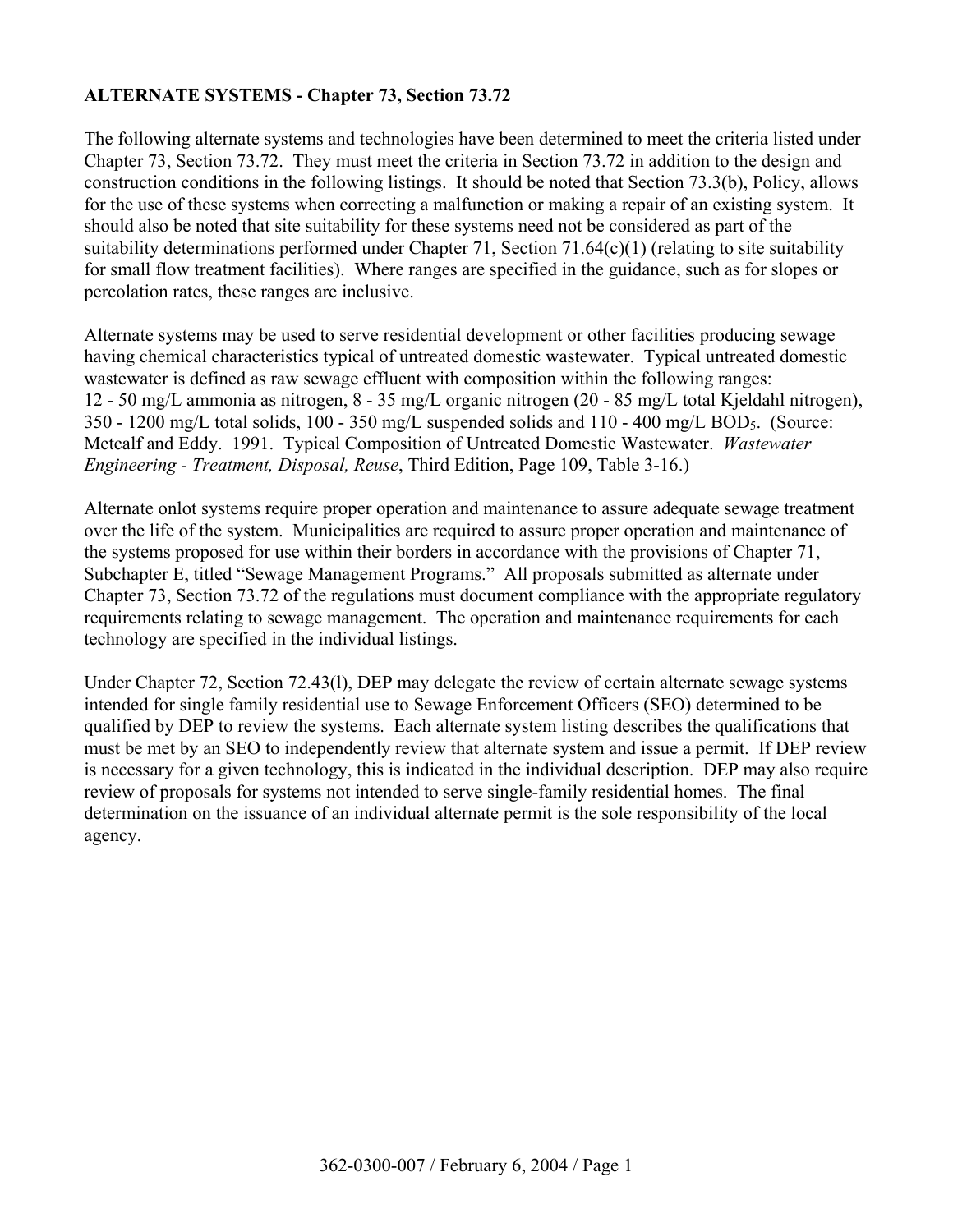# **ALTERNATE SYSTEMS - Chapter 73, Section 73.72**

The following alternate systems and technologies have been determined to meet the criteria listed under Chapter 73, Section 73.72. They must meet the criteria in Section 73.72 in addition to the design and construction conditions in the following listings. It should be noted that Section 73.3(b), Policy, allows for the use of these systems when correcting a malfunction or making a repair of an existing system. It should also be noted that site suitability for these systems need not be considered as part of the suitability determinations performed under Chapter 71, Section 71.64(c)(1) (relating to site suitability for small flow treatment facilities). Where ranges are specified in the guidance, such as for slopes or percolation rates, these ranges are inclusive.

Alternate systems may be used to serve residential development or other facilities producing sewage having chemical characteristics typical of untreated domestic wastewater. Typical untreated domestic wastewater is defined as raw sewage effluent with composition within the following ranges: 12 - 50 mg/L ammonia as nitrogen, 8 - 35 mg/L organic nitrogen (20 - 85 mg/L total Kjeldahl nitrogen), 350 - 1200 mg/L total solids, 100 - 350 mg/L suspended solids and 110 - 400 mg/L BOD5. (Source: Metcalf and Eddy. 1991.Typical Composition of Untreated Domestic Wastewater. *Wastewater Engineering - Treatment, Disposal, Reuse*, Third Edition, Page 109, Table 3-16.)

Alternate onlot systems require proper operation and maintenance to assure adequate sewage treatment over the life of the system. Municipalities are required to assure proper operation and maintenance of the systems proposed for use within their borders in accordance with the provisions of Chapter 71, Subchapter E, titled "Sewage Management Programs." All proposals submitted as alternate under Chapter 73, Section 73.72 of the regulations must document compliance with the appropriate regulatory requirements relating to sewage management. The operation and maintenance requirements for each technology are specified in the individual listings.

Under Chapter 72, Section 72.43(l), DEP may delegate the review of certain alternate sewage systems intended for single family residential use to Sewage Enforcement Officers (SEO) determined to be qualified by DEP to review the systems. Each alternate system listing describes the qualifications that must be met by an SEO to independently review that alternate system and issue a permit. If DEP review is necessary for a given technology, this is indicated in the individual description. DEP may also require review of proposals for systems not intended to serve single-family residential homes. The final determination on the issuance of an individual alternate permit is the sole responsibility of the local agency.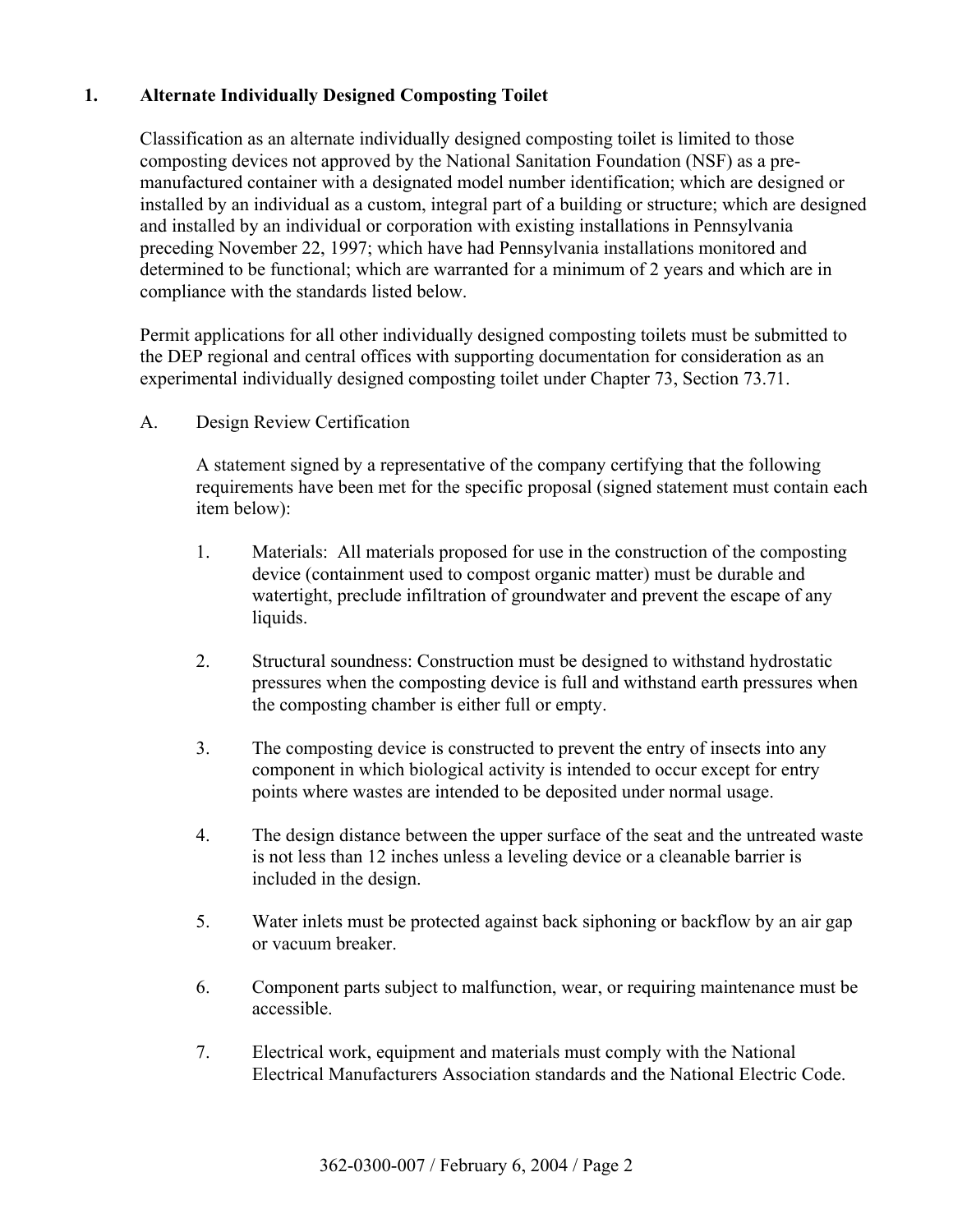# **1. Alternate Individually Designed Composting Toilet**

 Classification as an alternate individually designed composting toilet is limited to those composting devices not approved by the National Sanitation Foundation (NSF) as a premanufactured container with a designated model number identification; which are designed or installed by an individual as a custom, integral part of a building or structure; which are designed and installed by an individual or corporation with existing installations in Pennsylvania preceding November 22, 1997; which have had Pennsylvania installations monitored and determined to be functional; which are warranted for a minimum of 2 years and which are in compliance with the standards listed below.

 Permit applications for all other individually designed composting toilets must be submitted to the DEP regional and central offices with supporting documentation for consideration as an experimental individually designed composting toilet under Chapter 73, Section 73.71.

A. Design Review Certification

A statement signed by a representative of the company certifying that the following requirements have been met for the specific proposal (signed statement must contain each item below):

- 1. Materials: All materials proposed for use in the construction of the composting device (containment used to compost organic matter) must be durable and watertight, preclude infiltration of groundwater and prevent the escape of any liquids.
- 2. Structural soundness: Construction must be designed to withstand hydrostatic pressures when the composting device is full and withstand earth pressures when the composting chamber is either full or empty.
- 3. The composting device is constructed to prevent the entry of insects into any component in which biological activity is intended to occur except for entry points where wastes are intended to be deposited under normal usage.
- 4. The design distance between the upper surface of the seat and the untreated waste is not less than 12 inches unless a leveling device or a cleanable barrier is included in the design.
- 5. Water inlets must be protected against back siphoning or backflow by an air gap or vacuum breaker.
- 6. Component parts subject to malfunction, wear, or requiring maintenance must be accessible.
- 7. Electrical work, equipment and materials must comply with the National Electrical Manufacturers Association standards and the National Electric Code.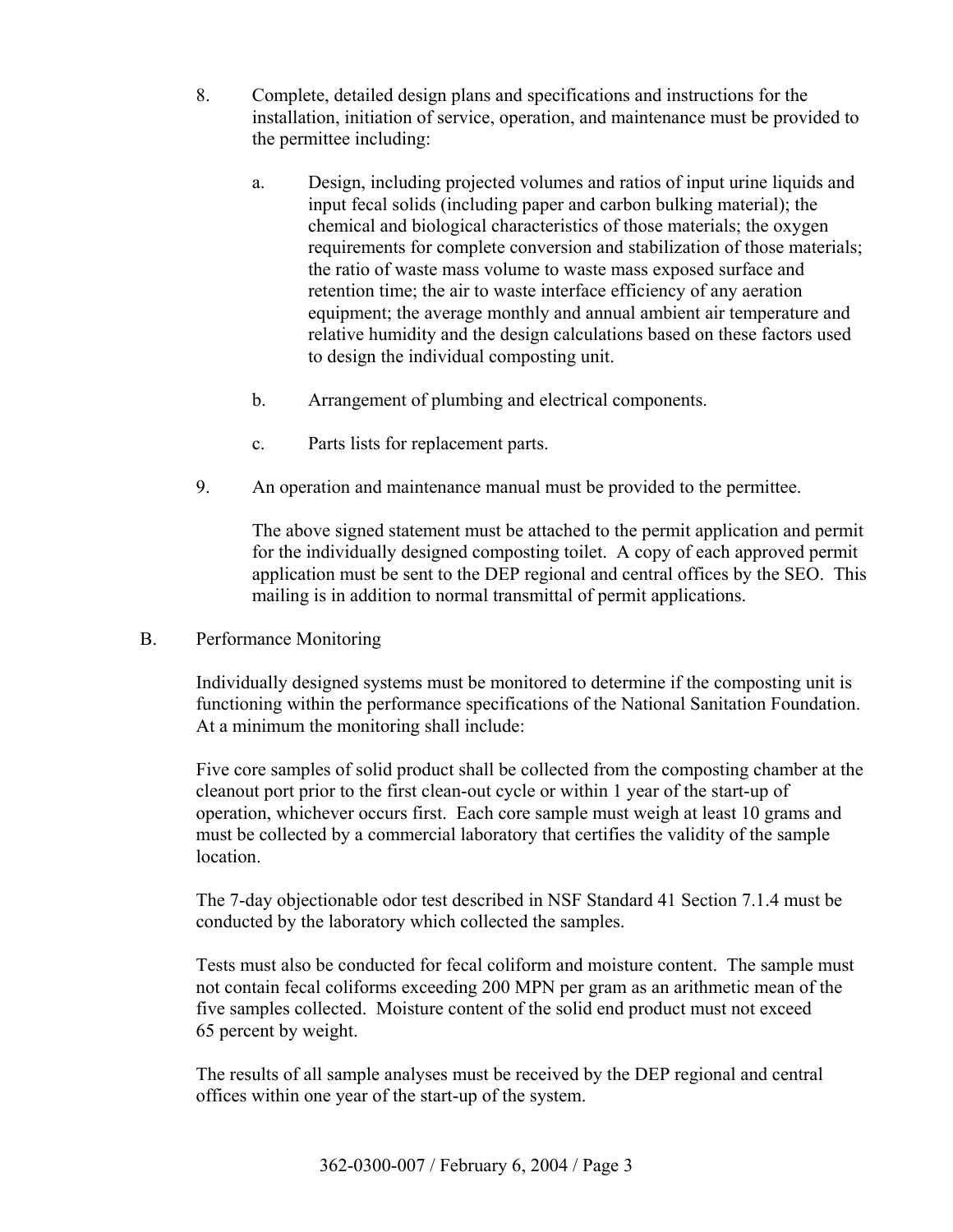- 8. Complete, detailed design plans and specifications and instructions for the installation, initiation of service, operation, and maintenance must be provided to the permittee including:
	- a. Design, including projected volumes and ratios of input urine liquids and input fecal solids (including paper and carbon bulking material); the chemical and biological characteristics of those materials; the oxygen requirements for complete conversion and stabilization of those materials; the ratio of waste mass volume to waste mass exposed surface and retention time; the air to waste interface efficiency of any aeration equipment; the average monthly and annual ambient air temperature and relative humidity and the design calculations based on these factors used to design the individual composting unit.
	- b. Arrangement of plumbing and electrical components.
	- c. Parts lists for replacement parts.
- 9. An operation and maintenance manual must be provided to the permittee.

The above signed statement must be attached to the permit application and permit for the individually designed composting toilet. A copy of each approved permit application must be sent to the DEP regional and central offices by the SEO. This mailing is in addition to normal transmittal of permit applications.

B. Performance Monitoring

Individually designed systems must be monitored to determine if the composting unit is functioning within the performance specifications of the National Sanitation Foundation. At a minimum the monitoring shall include:

Five core samples of solid product shall be collected from the composting chamber at the cleanout port prior to the first clean-out cycle or within 1 year of the start-up of operation, whichever occurs first. Each core sample must weigh at least 10 grams and must be collected by a commercial laboratory that certifies the validity of the sample location.

The 7-day objectionable odor test described in NSF Standard 41 Section 7.1.4 must be conducted by the laboratory which collected the samples.

Tests must also be conducted for fecal coliform and moisture content. The sample must not contain fecal coliforms exceeding 200 MPN per gram as an arithmetic mean of the five samples collected. Moisture content of the solid end product must not exceed 65 percent by weight.

The results of all sample analyses must be received by the DEP regional and central offices within one year of the start-up of the system.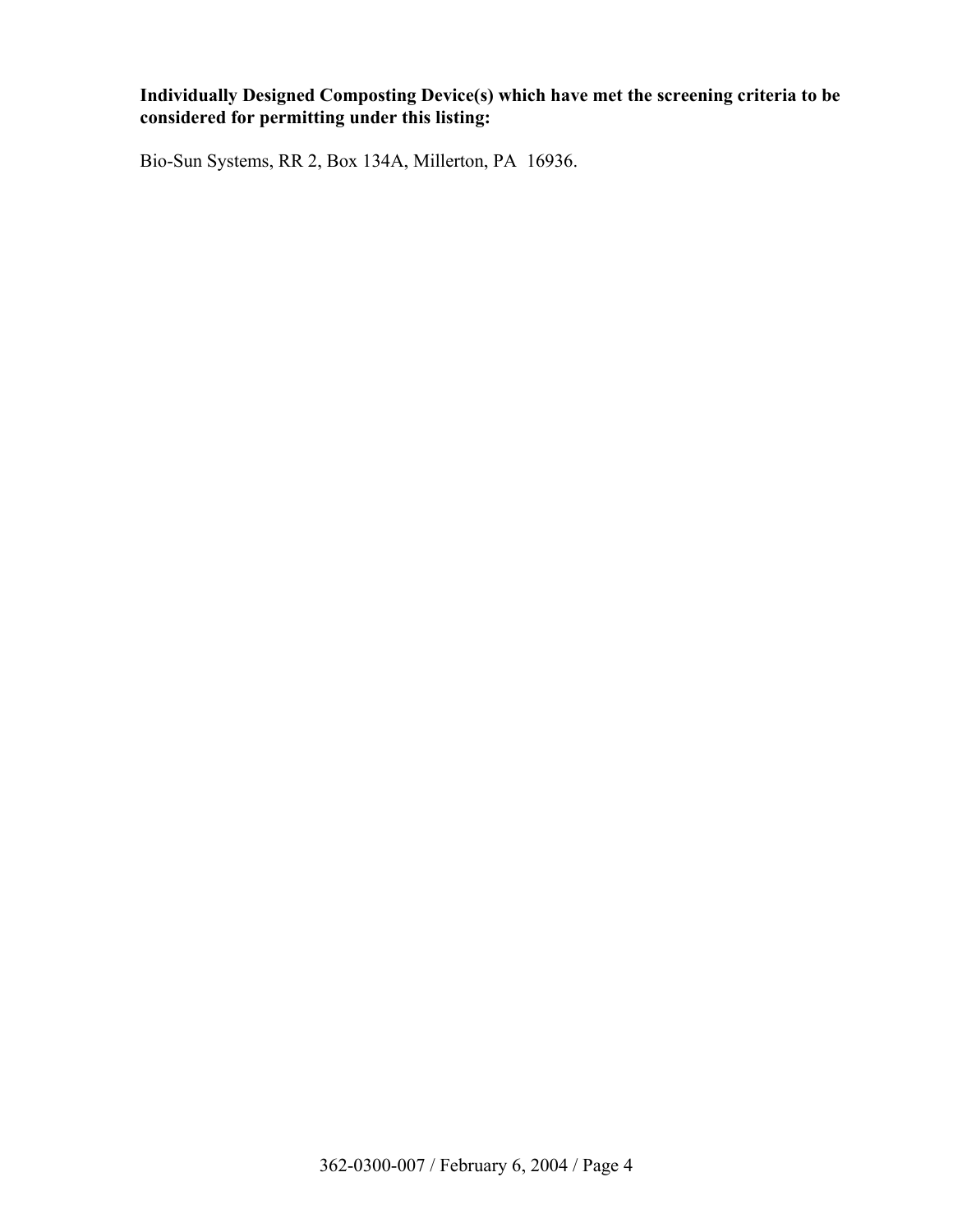# **Individually Designed Composting Device(s) which have met the screening criteria to be considered for permitting under this listing:**

Bio-Sun Systems, RR 2, Box 134A, Millerton, PA 16936.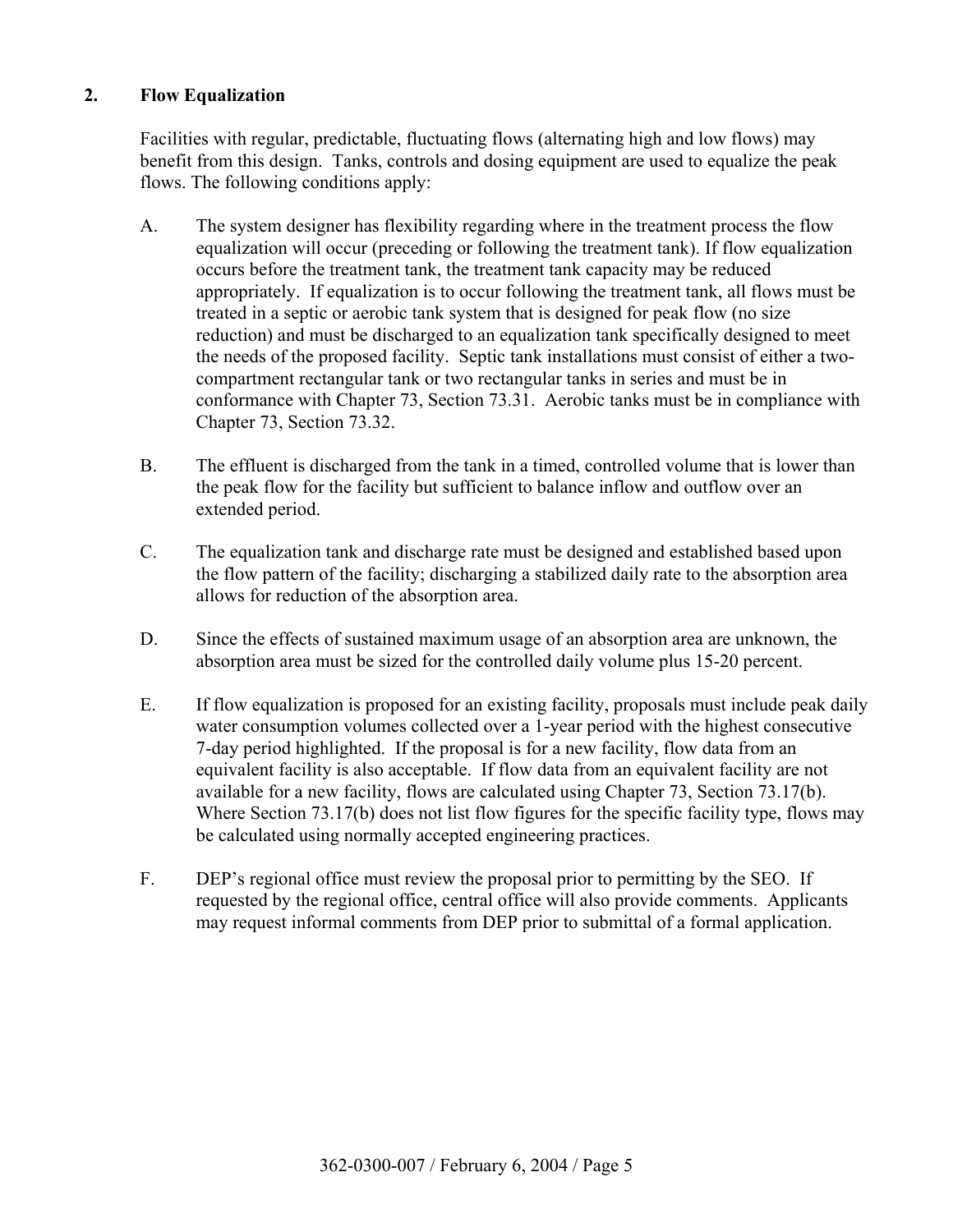## **2. Flow Equalization**

 Facilities with regular, predictable, fluctuating flows (alternating high and low flows) may benefit from this design. Tanks, controls and dosing equipment are used to equalize the peak flows. The following conditions apply:

- A. The system designer has flexibility regarding where in the treatment process the flow equalization will occur (preceding or following the treatment tank). If flow equalization occurs before the treatment tank, the treatment tank capacity may be reduced appropriately. If equalization is to occur following the treatment tank, all flows must be treated in a septic or aerobic tank system that is designed for peak flow (no size reduction) and must be discharged to an equalization tank specifically designed to meet the needs of the proposed facility. Septic tank installations must consist of either a twocompartment rectangular tank or two rectangular tanks in series and must be in conformance with Chapter 73, Section 73.31. Aerobic tanks must be in compliance with Chapter 73, Section 73.32.
- B. The effluent is discharged from the tank in a timed, controlled volume that is lower than the peak flow for the facility but sufficient to balance inflow and outflow over an extended period.
- C. The equalization tank and discharge rate must be designed and established based upon the flow pattern of the facility; discharging a stabilized daily rate to the absorption area allows for reduction of the absorption area.
- D. Since the effects of sustained maximum usage of an absorption area are unknown, the absorption area must be sized for the controlled daily volume plus 15-20 percent.
- E. If flow equalization is proposed for an existing facility, proposals must include peak daily water consumption volumes collected over a 1-year period with the highest consecutive 7-day period highlighted. If the proposal is for a new facility, flow data from an equivalent facility is also acceptable. If flow data from an equivalent facility are not available for a new facility, flows are calculated using Chapter 73, Section 73.17(b). Where Section 73.17(b) does not list flow figures for the specific facility type, flows may be calculated using normally accepted engineering practices.
- F. DEP's regional office must review the proposal prior to permitting by the SEO. If requested by the regional office, central office will also provide comments. Applicants may request informal comments from DEP prior to submittal of a formal application.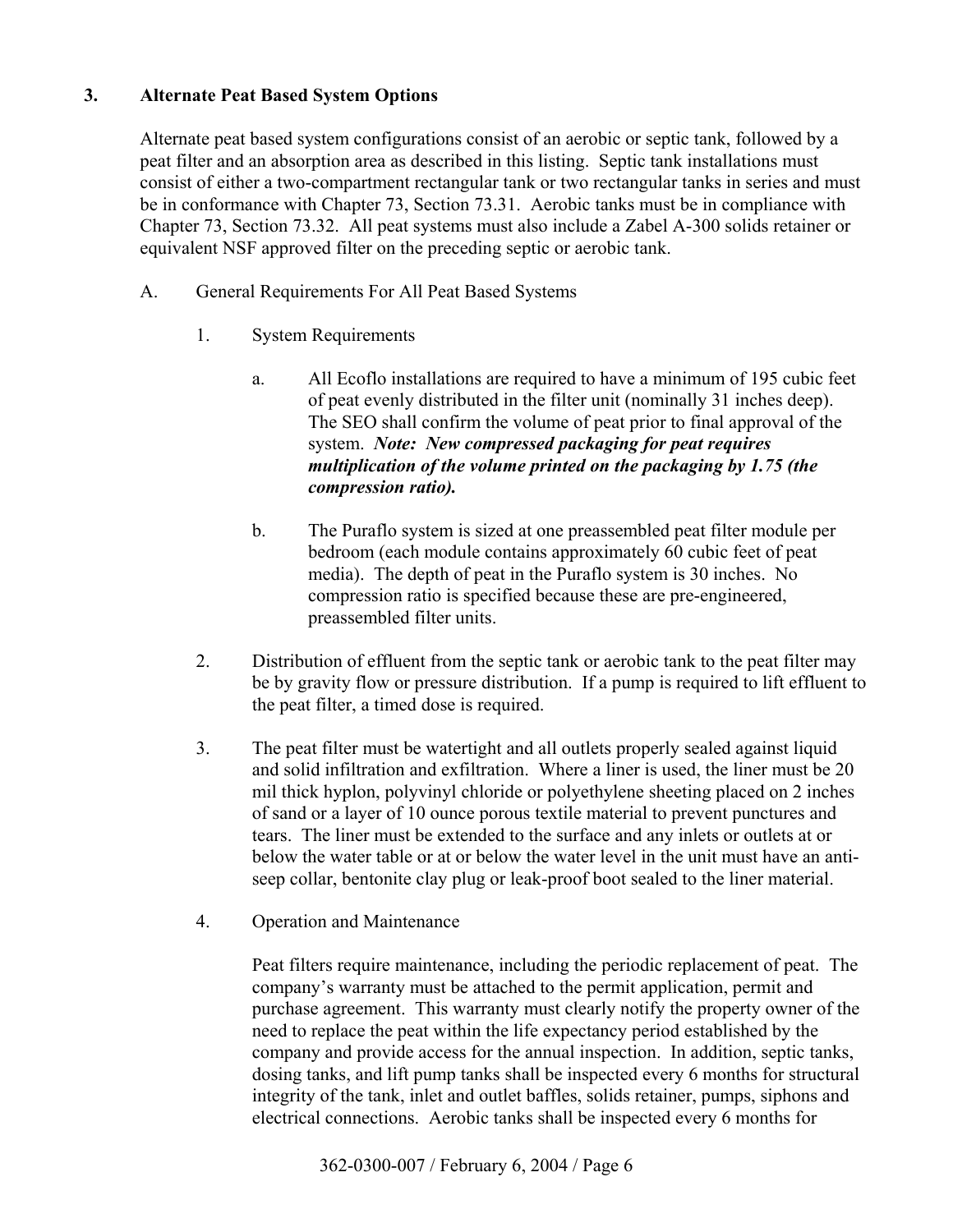# **3. Alternate Peat Based System Options**

 Alternate peat based system configurations consist of an aerobic or septic tank, followed by a peat filter and an absorption area as described in this listing. Septic tank installations must consist of either a two-compartment rectangular tank or two rectangular tanks in series and must be in conformance with Chapter 73, Section 73.31. Aerobic tanks must be in compliance with Chapter 73, Section 73.32. All peat systems must also include a Zabel A-300 solids retainer or equivalent NSF approved filter on the preceding septic or aerobic tank.

- A. General Requirements For All Peat Based Systems
	- 1. System Requirements
		- a. All Ecoflo installations are required to have a minimum of 195 cubic feet of peat evenly distributed in the filter unit (nominally 31 inches deep). The SEO shall confirm the volume of peat prior to final approval of the system. *Note: New compressed packaging for peat requires multiplication of the volume printed on the packaging by 1.75 (the compression ratio).*
		- b. The Puraflo system is sized at one preassembled peat filter module per bedroom (each module contains approximately 60 cubic feet of peat media). The depth of peat in the Puraflo system is 30 inches. No compression ratio is specified because these are pre-engineered, preassembled filter units.
	- 2. Distribution of effluent from the septic tank or aerobic tank to the peat filter may be by gravity flow or pressure distribution. If a pump is required to lift effluent to the peat filter, a timed dose is required.
	- 3. The peat filter must be watertight and all outlets properly sealed against liquid and solid infiltration and exfiltration. Where a liner is used, the liner must be 20 mil thick hyplon, polyvinyl chloride or polyethylene sheeting placed on 2 inches of sand or a layer of 10 ounce porous textile material to prevent punctures and tears. The liner must be extended to the surface and any inlets or outlets at or below the water table or at or below the water level in the unit must have an antiseep collar, bentonite clay plug or leak-proof boot sealed to the liner material.
	- 4. Operation and Maintenance

 Peat filters require maintenance, including the periodic replacement of peat. The company's warranty must be attached to the permit application, permit and purchase agreement. This warranty must clearly notify the property owner of the need to replace the peat within the life expectancy period established by the company and provide access for the annual inspection. In addition, septic tanks, dosing tanks, and lift pump tanks shall be inspected every 6 months for structural integrity of the tank, inlet and outlet baffles, solids retainer, pumps, siphons and electrical connections. Aerobic tanks shall be inspected every 6 months for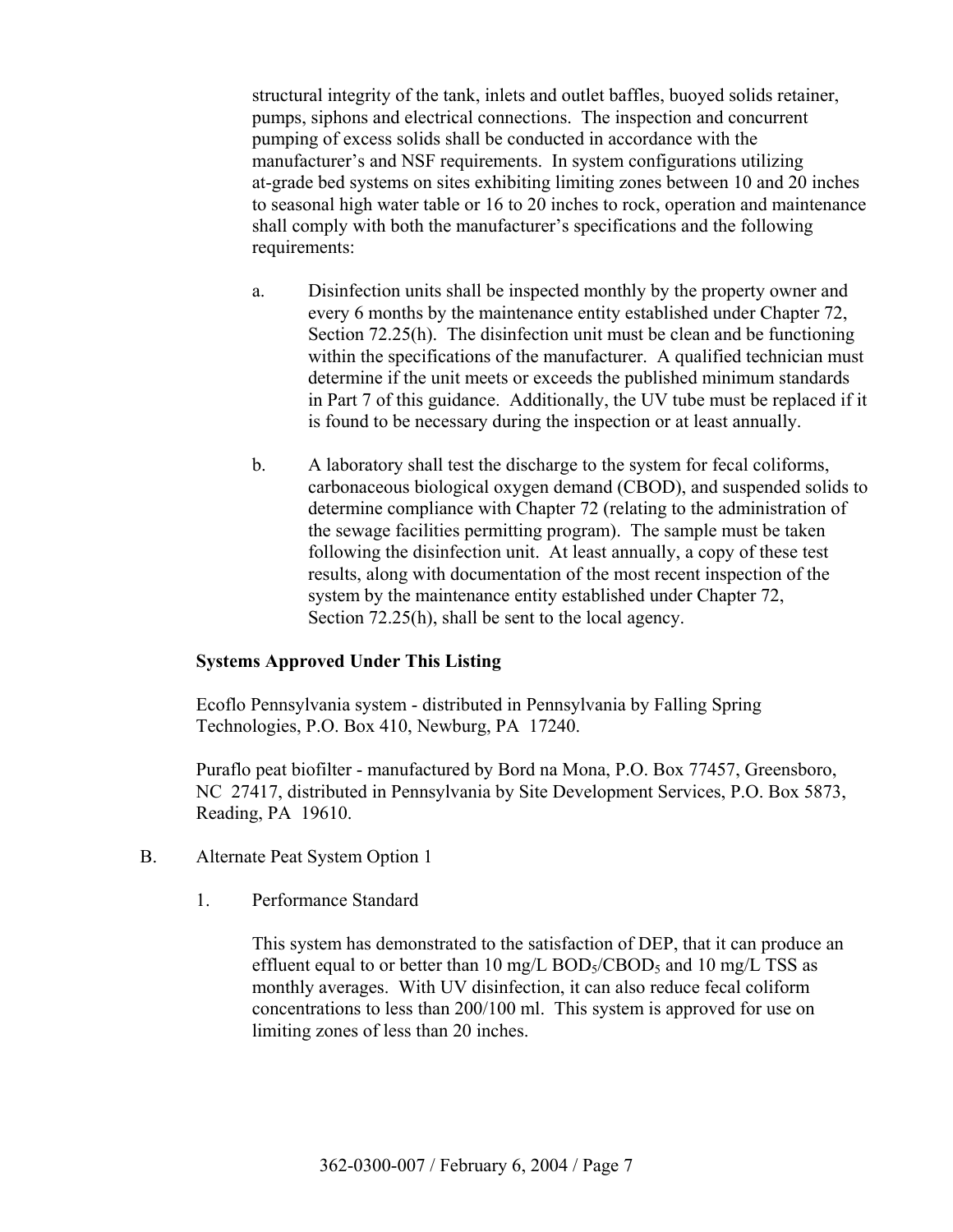structural integrity of the tank, inlets and outlet baffles, buoyed solids retainer, pumps, siphons and electrical connections. The inspection and concurrent pumping of excess solids shall be conducted in accordance with the manufacturer's and NSF requirements. In system configurations utilizing at-grade bed systems on sites exhibiting limiting zones between 10 and 20 inches to seasonal high water table or 16 to 20 inches to rock, operation and maintenance shall comply with both the manufacturer's specifications and the following requirements:

- a. Disinfection units shall be inspected monthly by the property owner and every 6 months by the maintenance entity established under Chapter 72, Section 72.25(h). The disinfection unit must be clean and be functioning within the specifications of the manufacturer. A qualified technician must determine if the unit meets or exceeds the published minimum standards in Part 7 of this guidance. Additionally, the UV tube must be replaced if it is found to be necessary during the inspection or at least annually.
- b. A laboratory shall test the discharge to the system for fecal coliforms, carbonaceous biological oxygen demand (CBOD), and suspended solids to determine compliance with Chapter 72 (relating to the administration of the sewage facilities permitting program). The sample must be taken following the disinfection unit. At least annually, a copy of these test results, along with documentation of the most recent inspection of the system by the maintenance entity established under Chapter 72, Section 72.25(h), shall be sent to the local agency.

#### **Systems Approved Under This Listing**

 Ecoflo Pennsylvania system - distributed in Pennsylvania by Falling Spring Technologies, P.O. Box 410, Newburg, PA 17240.

 Puraflo peat biofilter - manufactured by Bord na Mona, P.O. Box 77457, Greensboro, NC 27417, distributed in Pennsylvania by Site Development Services, P.O. Box 5873, Reading, PA 19610.

- B. Alternate Peat System Option 1
	- 1. Performance Standard

 This system has demonstrated to the satisfaction of DEP, that it can produce an effluent equal to or better than 10 mg/L  $BOD<sub>5</sub>/CBOD<sub>5</sub>$  and 10 mg/L TSS as monthly averages. With UV disinfection, it can also reduce fecal coliform concentrations to less than 200/100 ml. This system is approved for use on limiting zones of less than 20 inches.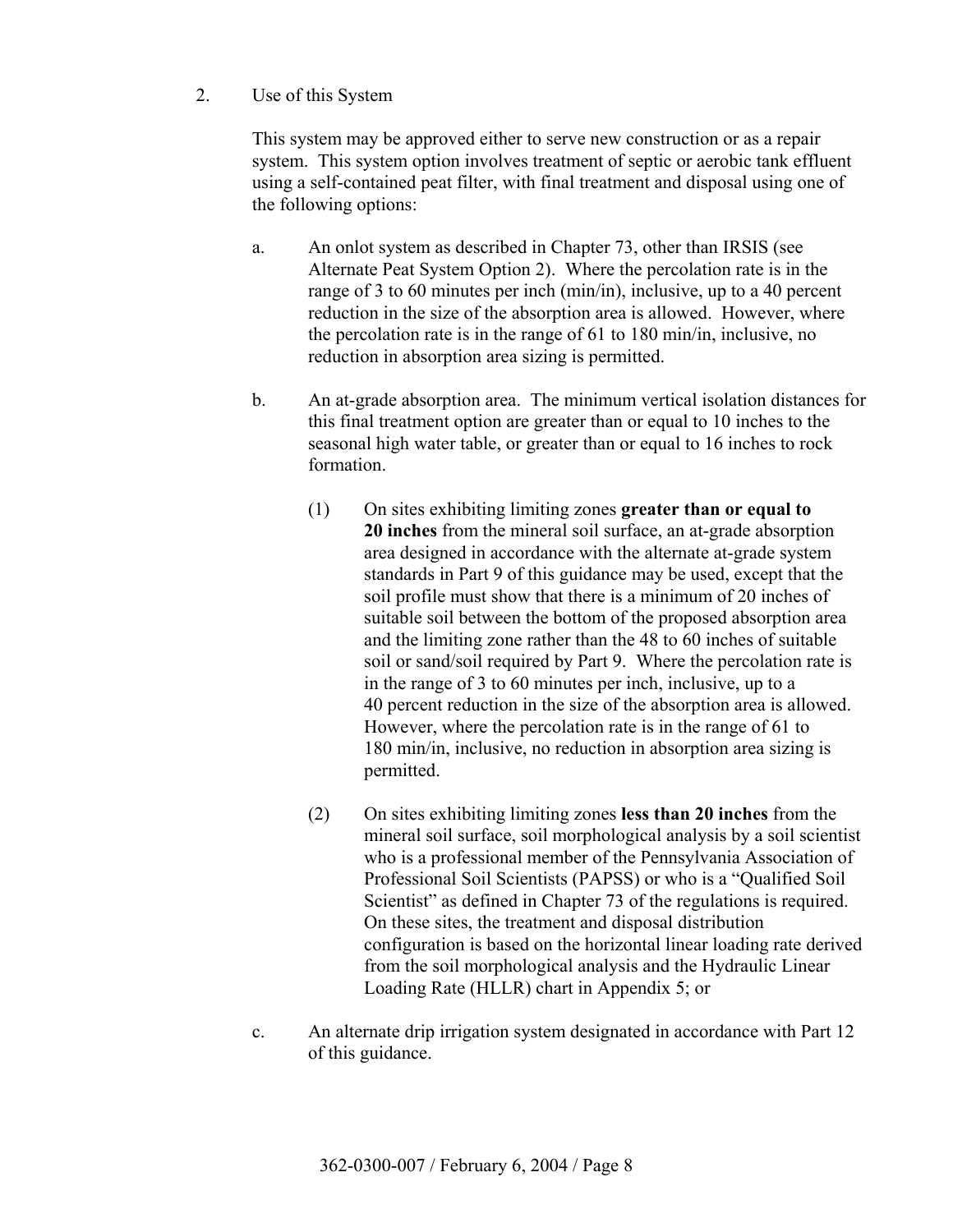2. Use of this System

 This system may be approved either to serve new construction or as a repair system. This system option involves treatment of septic or aerobic tank effluent using a self-contained peat filter, with final treatment and disposal using one of the following options:

- a. An onlot system as described in Chapter 73, other than IRSIS (see Alternate Peat System Option 2). Where the percolation rate is in the range of 3 to 60 minutes per inch (min/in), inclusive, up to a 40 percent reduction in the size of the absorption area is allowed. However, where the percolation rate is in the range of 61 to 180 min/in, inclusive, no reduction in absorption area sizing is permitted.
- b. An at-grade absorption area. The minimum vertical isolation distances for this final treatment option are greater than or equal to 10 inches to the seasonal high water table, or greater than or equal to 16 inches to rock formation.
	- (1) On sites exhibiting limiting zones **greater than or equal to 20 inches** from the mineral soil surface, an at-grade absorption area designed in accordance with the alternate at-grade system standards in Part 9 of this guidance may be used, except that the soil profile must show that there is a minimum of 20 inches of suitable soil between the bottom of the proposed absorption area and the limiting zone rather than the 48 to 60 inches of suitable soil or sand/soil required by Part 9. Where the percolation rate is in the range of 3 to 60 minutes per inch, inclusive, up to a 40 percent reduction in the size of the absorption area is allowed. However, where the percolation rate is in the range of 61 to 180 min/in, inclusive, no reduction in absorption area sizing is permitted.
	- (2) On sites exhibiting limiting zones **less than 20 inches** from the mineral soil surface, soil morphological analysis by a soil scientist who is a professional member of the Pennsylvania Association of Professional Soil Scientists (PAPSS) or who is a "Qualified Soil Scientist" as defined in Chapter 73 of the regulations is required. On these sites, the treatment and disposal distribution configuration is based on the horizontal linear loading rate derived from the soil morphological analysis and the Hydraulic Linear Loading Rate (HLLR) chart in Appendix 5; or
- c. An alternate drip irrigation system designated in accordance with Part 12 of this guidance.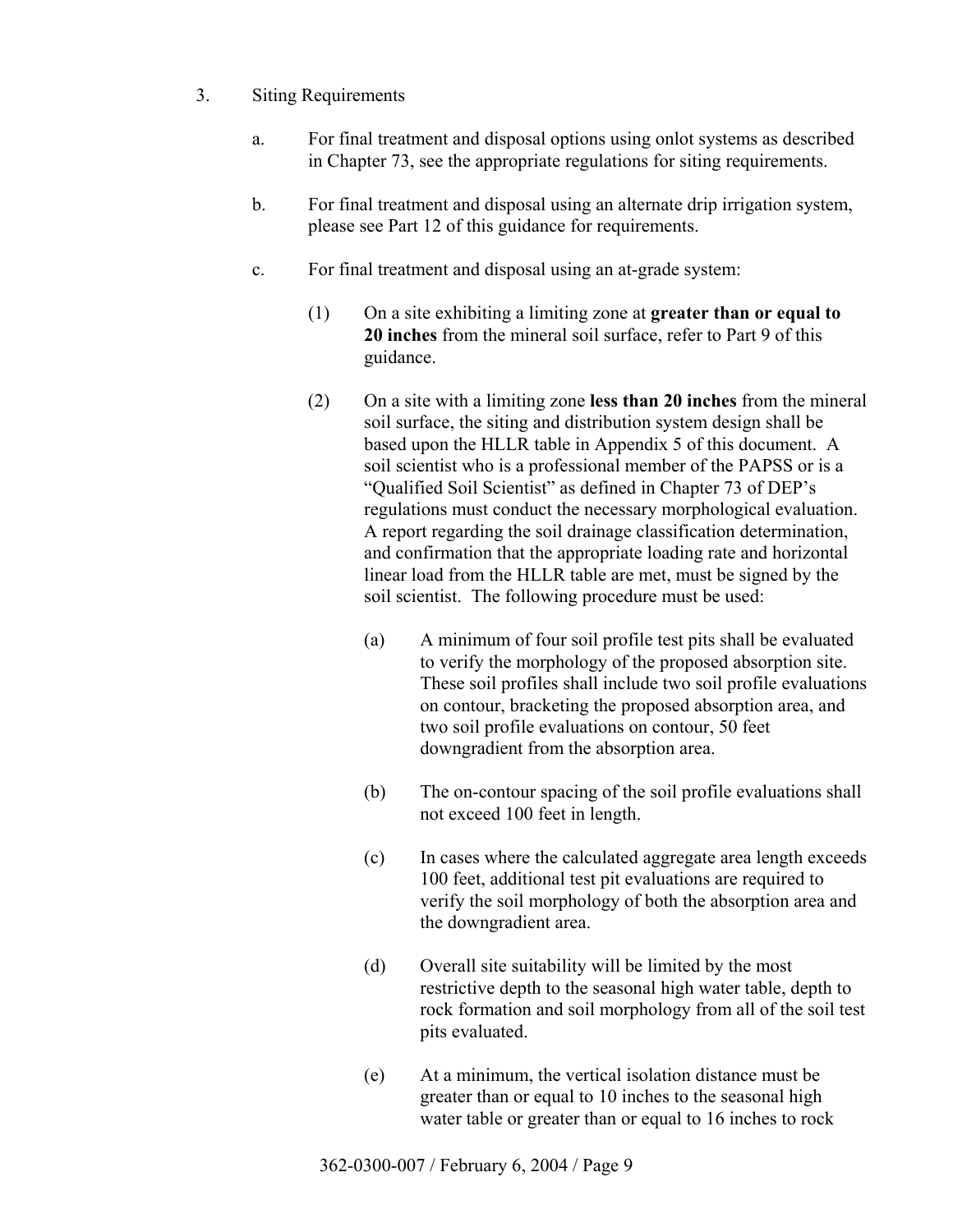- 3. Siting Requirements
	- a. For final treatment and disposal options using onlot systems as described in Chapter 73, see the appropriate regulations for siting requirements.
	- b. For final treatment and disposal using an alternate drip irrigation system, please see Part 12 of this guidance for requirements.
	- c. For final treatment and disposal using an at-grade system:
		- (1) On a site exhibiting a limiting zone at **greater than or equal to 20 inches** from the mineral soil surface, refer to Part 9 of this guidance.
		- (2) On a site with a limiting zone **less than 20 inches** from the mineral soil surface, the siting and distribution system design shall be based upon the HLLR table in Appendix 5 of this document. A soil scientist who is a professional member of the PAPSS or is a "Oualified Soil Scientist" as defined in Chapter 73 of DEP's regulations must conduct the necessary morphological evaluation. A report regarding the soil drainage classification determination, and confirmation that the appropriate loading rate and horizontal linear load from the HLLR table are met, must be signed by the soil scientist. The following procedure must be used:
			- (a) A minimum of four soil profile test pits shall be evaluated to verify the morphology of the proposed absorption site. These soil profiles shall include two soil profile evaluations on contour, bracketing the proposed absorption area, and two soil profile evaluations on contour, 50 feet downgradient from the absorption area.
			- (b) The on-contour spacing of the soil profile evaluations shall not exceed 100 feet in length.
			- (c) In cases where the calculated aggregate area length exceeds 100 feet, additional test pit evaluations are required to verify the soil morphology of both the absorption area and the downgradient area.
			- (d) Overall site suitability will be limited by the most restrictive depth to the seasonal high water table, depth to rock formation and soil morphology from all of the soil test pits evaluated.
			- (e) At a minimum, the vertical isolation distance must be greater than or equal to 10 inches to the seasonal high water table or greater than or equal to 16 inches to rock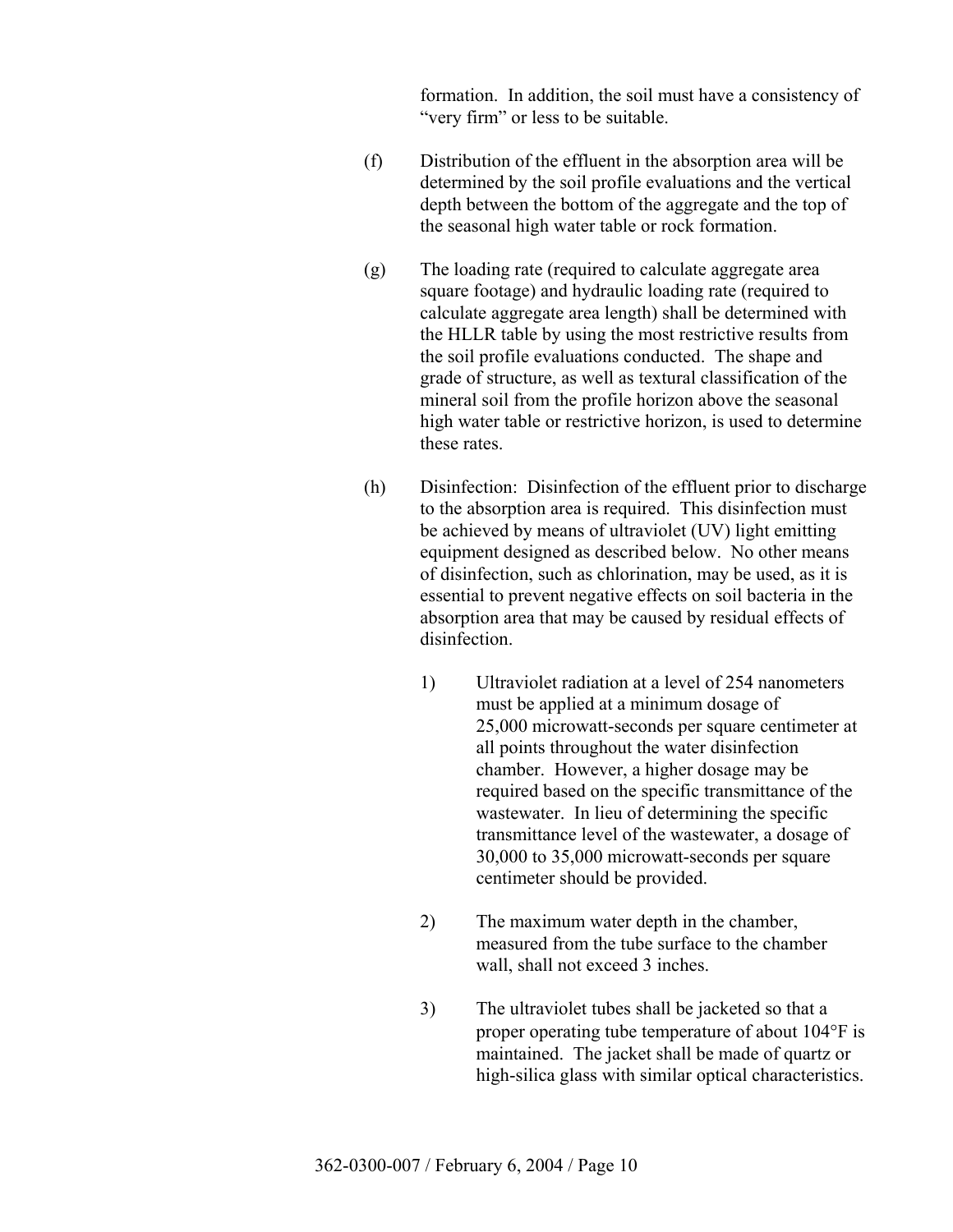formation. In addition, the soil must have a consistency of "very firm" or less to be suitable.

- (f) Distribution of the effluent in the absorption area will be determined by the soil profile evaluations and the vertical depth between the bottom of the aggregate and the top of the seasonal high water table or rock formation.
- (g) The loading rate (required to calculate aggregate area square footage) and hydraulic loading rate (required to calculate aggregate area length) shall be determined with the HLLR table by using the most restrictive results from the soil profile evaluations conducted. The shape and grade of structure, as well as textural classification of the mineral soil from the profile horizon above the seasonal high water table or restrictive horizon, is used to determine these rates.
- (h) Disinfection: Disinfection of the effluent prior to discharge to the absorption area is required. This disinfection must be achieved by means of ultraviolet (UV) light emitting equipment designed as described below. No other means of disinfection, such as chlorination, may be used, as it is essential to prevent negative effects on soil bacteria in the absorption area that may be caused by residual effects of disinfection.
	- 1) Ultraviolet radiation at a level of 254 nanometers must be applied at a minimum dosage of 25,000 microwatt-seconds per square centimeter at all points throughout the water disinfection chamber. However, a higher dosage may be required based on the specific transmittance of the wastewater. In lieu of determining the specific transmittance level of the wastewater, a dosage of 30,000 to 35,000 microwatt-seconds per square centimeter should be provided.
	- 2) The maximum water depth in the chamber, measured from the tube surface to the chamber wall, shall not exceed 3 inches.
	- 3) The ultraviolet tubes shall be jacketed so that a proper operating tube temperature of about 104°F is maintained. The jacket shall be made of quartz or high-silica glass with similar optical characteristics.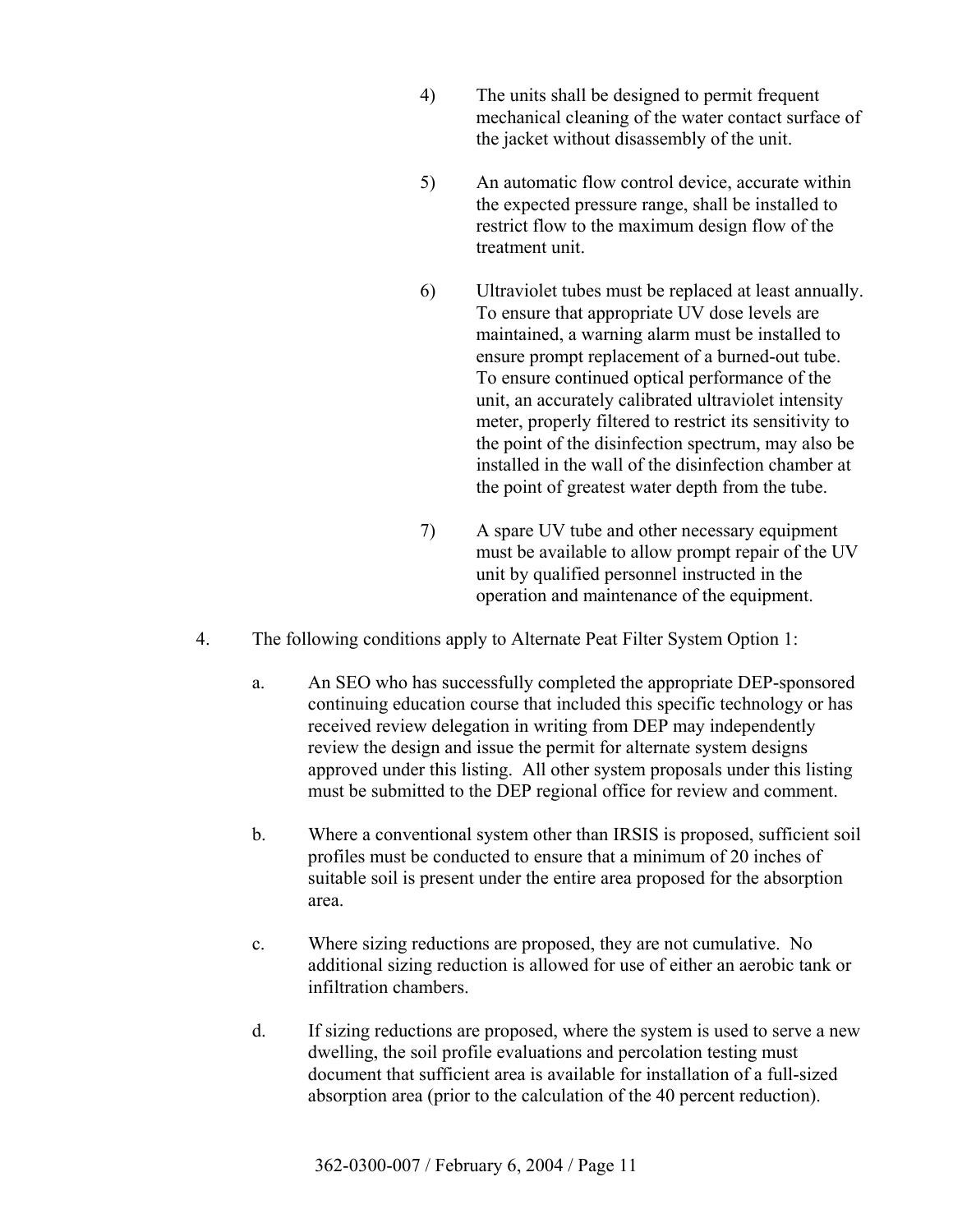- 4) The units shall be designed to permit frequent mechanical cleaning of the water contact surface of the jacket without disassembly of the unit.
- 5) An automatic flow control device, accurate within the expected pressure range, shall be installed to restrict flow to the maximum design flow of the treatment unit.
- 6) Ultraviolet tubes must be replaced at least annually. To ensure that appropriate UV dose levels are maintained, a warning alarm must be installed to ensure prompt replacement of a burned-out tube. To ensure continued optical performance of the unit, an accurately calibrated ultraviolet intensity meter, properly filtered to restrict its sensitivity to the point of the disinfection spectrum, may also be installed in the wall of the disinfection chamber at the point of greatest water depth from the tube.
- 7) A spare UV tube and other necessary equipment must be available to allow prompt repair of the UV unit by qualified personnel instructed in the operation and maintenance of the equipment.
- 4. The following conditions apply to Alternate Peat Filter System Option 1:
	- a. An SEO who has successfully completed the appropriate DEP-sponsored continuing education course that included this specific technology or has received review delegation in writing from DEP may independently review the design and issue the permit for alternate system designs approved under this listing. All other system proposals under this listing must be submitted to the DEP regional office for review and comment.
	- b. Where a conventional system other than IRSIS is proposed, sufficient soil profiles must be conducted to ensure that a minimum of 20 inches of suitable soil is present under the entire area proposed for the absorption area.
	- c. Where sizing reductions are proposed, they are not cumulative. No additional sizing reduction is allowed for use of either an aerobic tank or infiltration chambers.
	- d. If sizing reductions are proposed, where the system is used to serve a new dwelling, the soil profile evaluations and percolation testing must document that sufficient area is available for installation of a full-sized absorption area (prior to the calculation of the 40 percent reduction).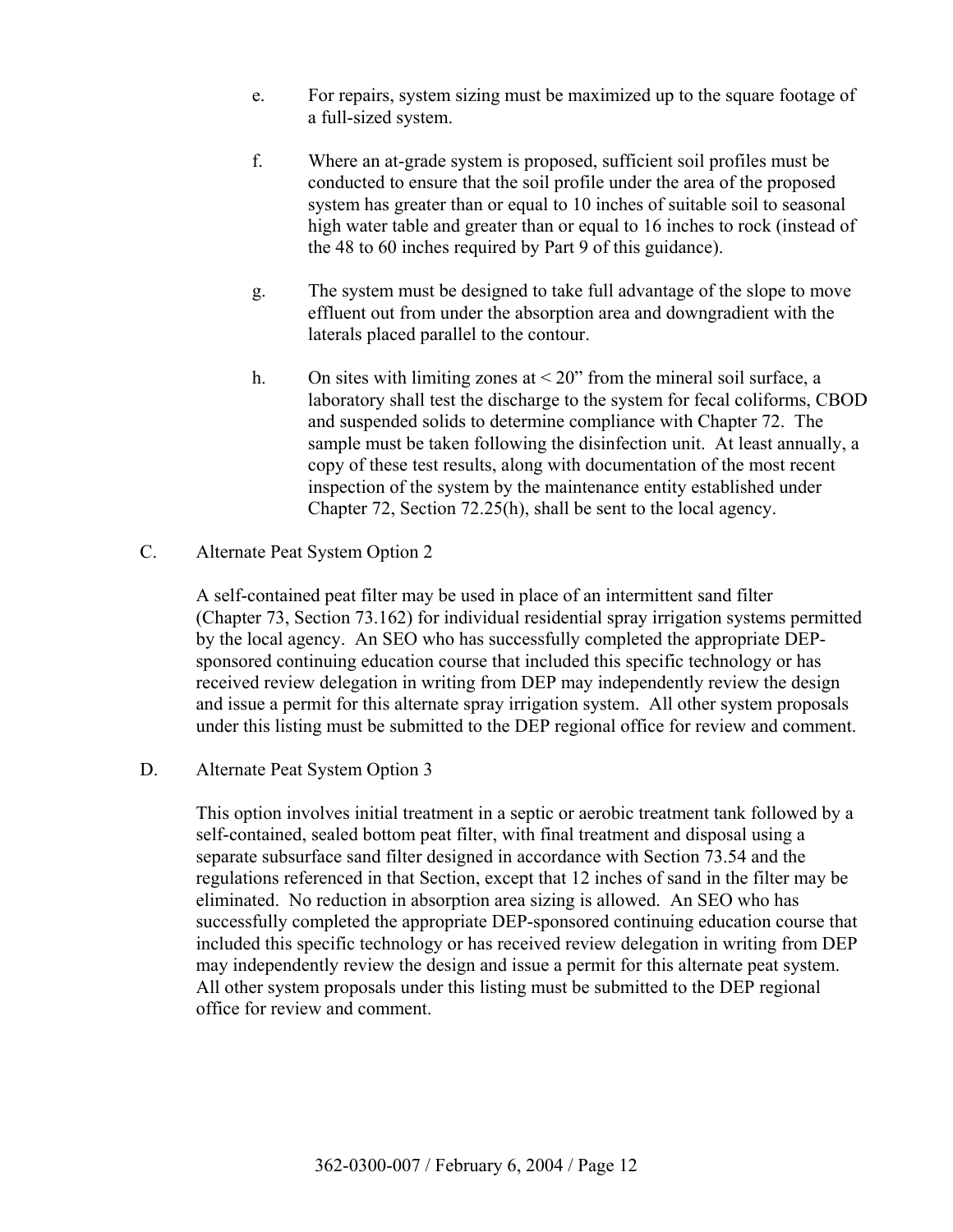- e. For repairs, system sizing must be maximized up to the square footage of a full-sized system.
- f. Where an at-grade system is proposed, sufficient soil profiles must be conducted to ensure that the soil profile under the area of the proposed system has greater than or equal to 10 inches of suitable soil to seasonal high water table and greater than or equal to 16 inches to rock (instead of the 48 to 60 inches required by Part 9 of this guidance).
- g. The system must be designed to take full advantage of the slope to move effluent out from under the absorption area and downgradient with the laterals placed parallel to the contour.
- h. On sites with limiting zones at  $\leq 20$ " from the mineral soil surface, a laboratory shall test the discharge to the system for fecal coliforms, CBOD and suspended solids to determine compliance with Chapter 72. The sample must be taken following the disinfection unit. At least annually, a copy of these test results, along with documentation of the most recent inspection of the system by the maintenance entity established under Chapter 72, Section 72.25(h), shall be sent to the local agency.
- C. Alternate Peat System Option 2

 A self-contained peat filter may be used in place of an intermittent sand filter (Chapter 73, Section 73.162) for individual residential spray irrigation systems permitted by the local agency. An SEO who has successfully completed the appropriate DEPsponsored continuing education course that included this specific technology or has received review delegation in writing from DEP may independently review the design and issue a permit for this alternate spray irrigation system. All other system proposals under this listing must be submitted to the DEP regional office for review and comment.

D. Alternate Peat System Option 3

 This option involves initial treatment in a septic or aerobic treatment tank followed by a self-contained, sealed bottom peat filter, with final treatment and disposal using a separate subsurface sand filter designed in accordance with Section 73.54 and the regulations referenced in that Section, except that 12 inches of sand in the filter may be eliminated. No reduction in absorption area sizing is allowed. An SEO who has successfully completed the appropriate DEP-sponsored continuing education course that included this specific technology or has received review delegation in writing from DEP may independently review the design and issue a permit for this alternate peat system. All other system proposals under this listing must be submitted to the DEP regional office for review and comment.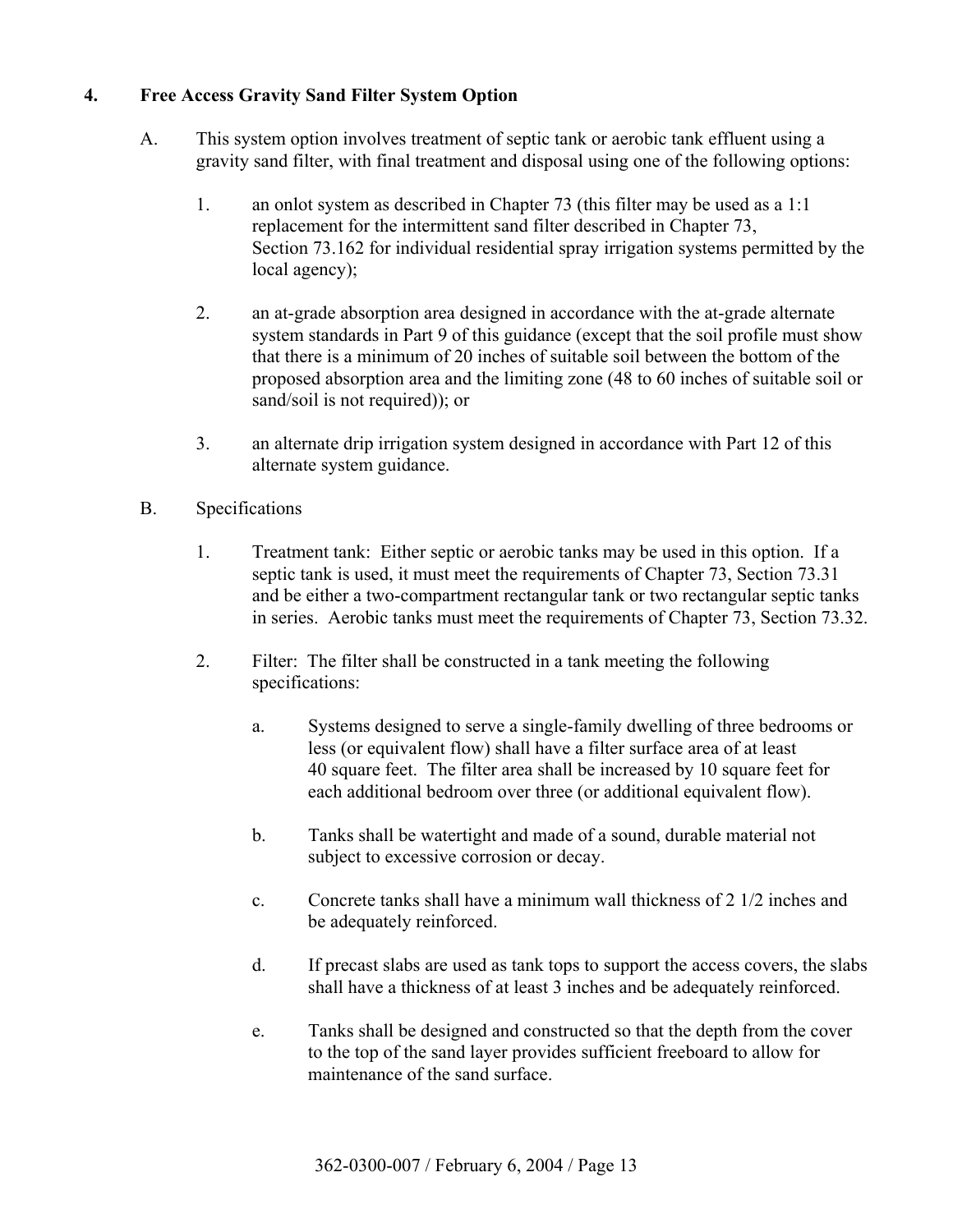## **4. Free Access Gravity Sand Filter System Option**

- A. This system option involves treatment of septic tank or aerobic tank effluent using a gravity sand filter, with final treatment and disposal using one of the following options:
	- 1. an onlot system as described in Chapter 73 (this filter may be used as a 1:1 replacement for the intermittent sand filter described in Chapter 73, Section 73.162 for individual residential spray irrigation systems permitted by the local agency);
	- 2. an at-grade absorption area designed in accordance with the at-grade alternate system standards in Part 9 of this guidance (except that the soil profile must show that there is a minimum of 20 inches of suitable soil between the bottom of the proposed absorption area and the limiting zone (48 to 60 inches of suitable soil or sand/soil is not required)); or
	- 3. an alternate drip irrigation system designed in accordance with Part 12 of this alternate system guidance.
- B. Specifications
	- 1. Treatment tank: Either septic or aerobic tanks may be used in this option. If a septic tank is used, it must meet the requirements of Chapter 73, Section 73.31 and be either a two-compartment rectangular tank or two rectangular septic tanks in series. Aerobic tanks must meet the requirements of Chapter 73, Section 73.32.
	- 2. Filter: The filter shall be constructed in a tank meeting the following specifications:
		- a. Systems designed to serve a single-family dwelling of three bedrooms or less (or equivalent flow) shall have a filter surface area of at least 40 square feet. The filter area shall be increased by 10 square feet for each additional bedroom over three (or additional equivalent flow).
		- b. Tanks shall be watertight and made of a sound, durable material not subject to excessive corrosion or decay.
		- c. Concrete tanks shall have a minimum wall thickness of 2 1/2 inches and be adequately reinforced.
		- d. If precast slabs are used as tank tops to support the access covers, the slabs shall have a thickness of at least 3 inches and be adequately reinforced.
		- e. Tanks shall be designed and constructed so that the depth from the cover to the top of the sand layer provides sufficient freeboard to allow for maintenance of the sand surface.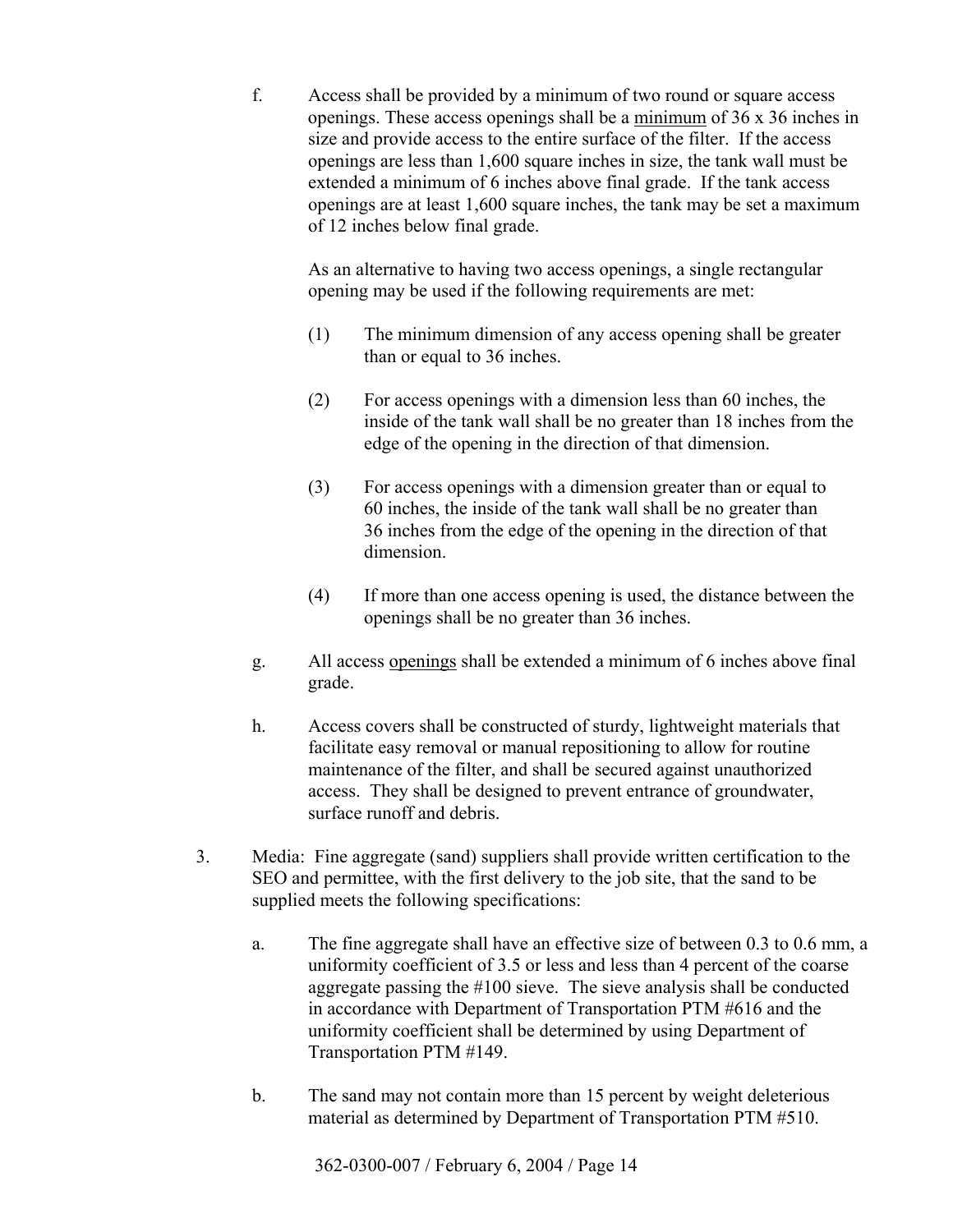f. Access shall be provided by a minimum of two round or square access openings. These access openings shall be a minimum of 36 x 36 inches in size and provide access to the entire surface of the filter. If the access openings are less than 1,600 square inches in size, the tank wall must be extended a minimum of 6 inches above final grade. If the tank access openings are at least 1,600 square inches, the tank may be set a maximum of 12 inches below final grade.

 As an alternative to having two access openings, a single rectangular opening may be used if the following requirements are met:

- (1) The minimum dimension of any access opening shall be greater than or equal to 36 inches.
- (2) For access openings with a dimension less than 60 inches, the inside of the tank wall shall be no greater than 18 inches from the edge of the opening in the direction of that dimension.
- (3) For access openings with a dimension greater than or equal to 60 inches, the inside of the tank wall shall be no greater than 36 inches from the edge of the opening in the direction of that dimension.
- (4) If more than one access opening is used, the distance between the openings shall be no greater than 36 inches.
- g. All access openings shall be extended a minimum of 6 inches above final grade.
- h. Access covers shall be constructed of sturdy, lightweight materials that facilitate easy removal or manual repositioning to allow for routine maintenance of the filter, and shall be secured against unauthorized access. They shall be designed to prevent entrance of groundwater, surface runoff and debris.
- 3. Media: Fine aggregate (sand) suppliers shall provide written certification to the SEO and permittee, with the first delivery to the job site, that the sand to be supplied meets the following specifications:
	- a. The fine aggregate shall have an effective size of between 0.3 to 0.6 mm, a uniformity coefficient of 3.5 or less and less than 4 percent of the coarse aggregate passing the #100 sieve. The sieve analysis shall be conducted in accordance with Department of Transportation PTM #616 and the uniformity coefficient shall be determined by using Department of Transportation PTM #149.
	- b. The sand may not contain more than 15 percent by weight deleterious material as determined by Department of Transportation PTM #510.

362-0300-007 / February 6, 2004 / Page 14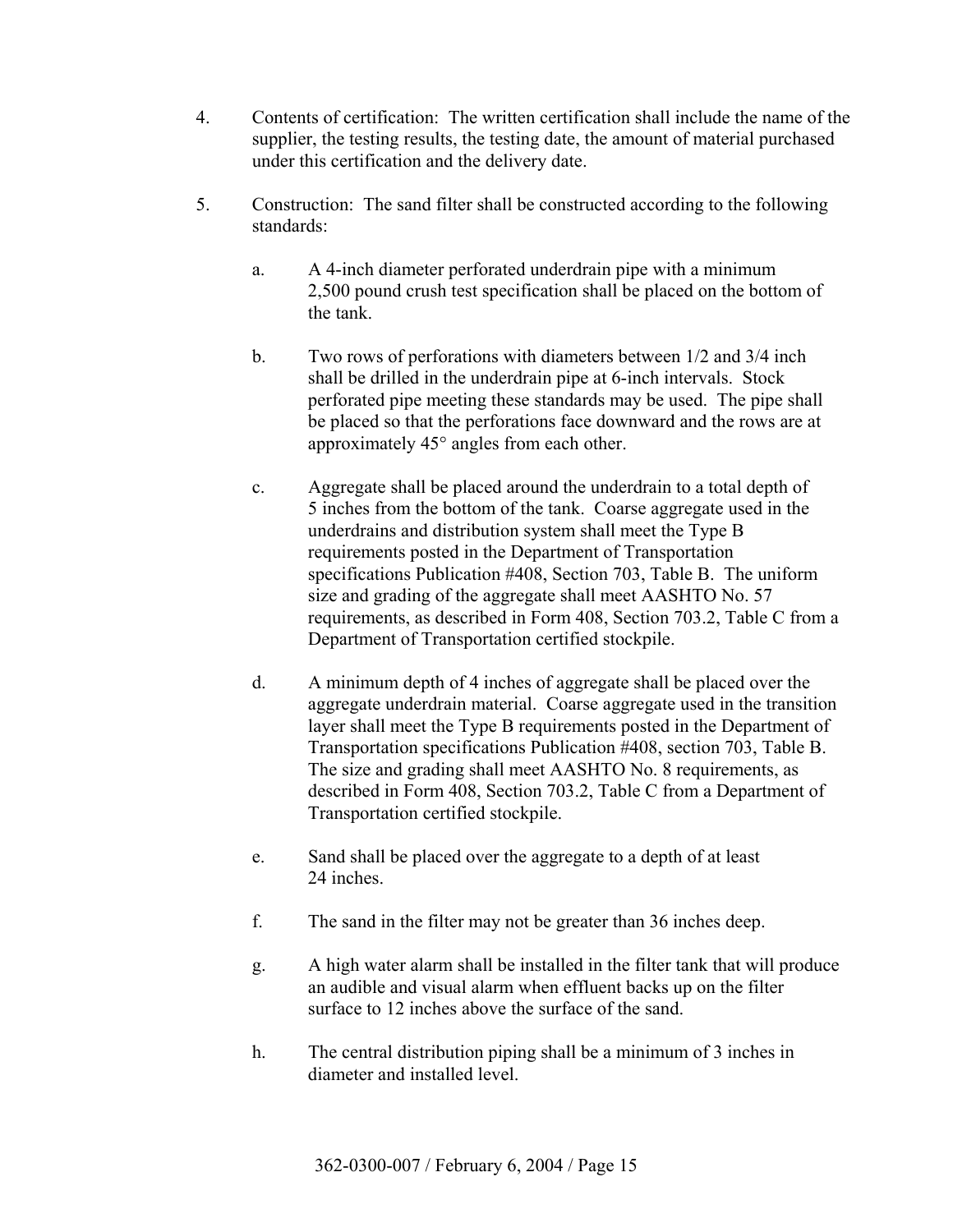- 4. Contents of certification: The written certification shall include the name of the supplier, the testing results, the testing date, the amount of material purchased under this certification and the delivery date.
- 5. Construction: The sand filter shall be constructed according to the following standards:
	- a. A 4-inch diameter perforated underdrain pipe with a minimum 2,500 pound crush test specification shall be placed on the bottom of the tank.
	- b. Two rows of perforations with diameters between 1/2 and 3/4 inch shall be drilled in the underdrain pipe at 6-inch intervals. Stock perforated pipe meeting these standards may be used. The pipe shall be placed so that the perforations face downward and the rows are at approximately 45° angles from each other.
	- c. Aggregate shall be placed around the underdrain to a total depth of 5 inches from the bottom of the tank. Coarse aggregate used in the underdrains and distribution system shall meet the Type B requirements posted in the Department of Transportation specifications Publication #408, Section 703, Table B. The uniform size and grading of the aggregate shall meet AASHTO No. 57 requirements, as described in Form 408, Section 703.2, Table C from a Department of Transportation certified stockpile.
	- d. A minimum depth of 4 inches of aggregate shall be placed over the aggregate underdrain material. Coarse aggregate used in the transition layer shall meet the Type B requirements posted in the Department of Transportation specifications Publication #408, section 703, Table B. The size and grading shall meet AASHTO No. 8 requirements, as described in Form 408, Section 703.2, Table C from a Department of Transportation certified stockpile.
	- e. Sand shall be placed over the aggregate to a depth of at least 24 inches.
	- f. The sand in the filter may not be greater than 36 inches deep.
	- g. A high water alarm shall be installed in the filter tank that will produce an audible and visual alarm when effluent backs up on the filter surface to 12 inches above the surface of the sand.
	- h. The central distribution piping shall be a minimum of 3 inches in diameter and installed level.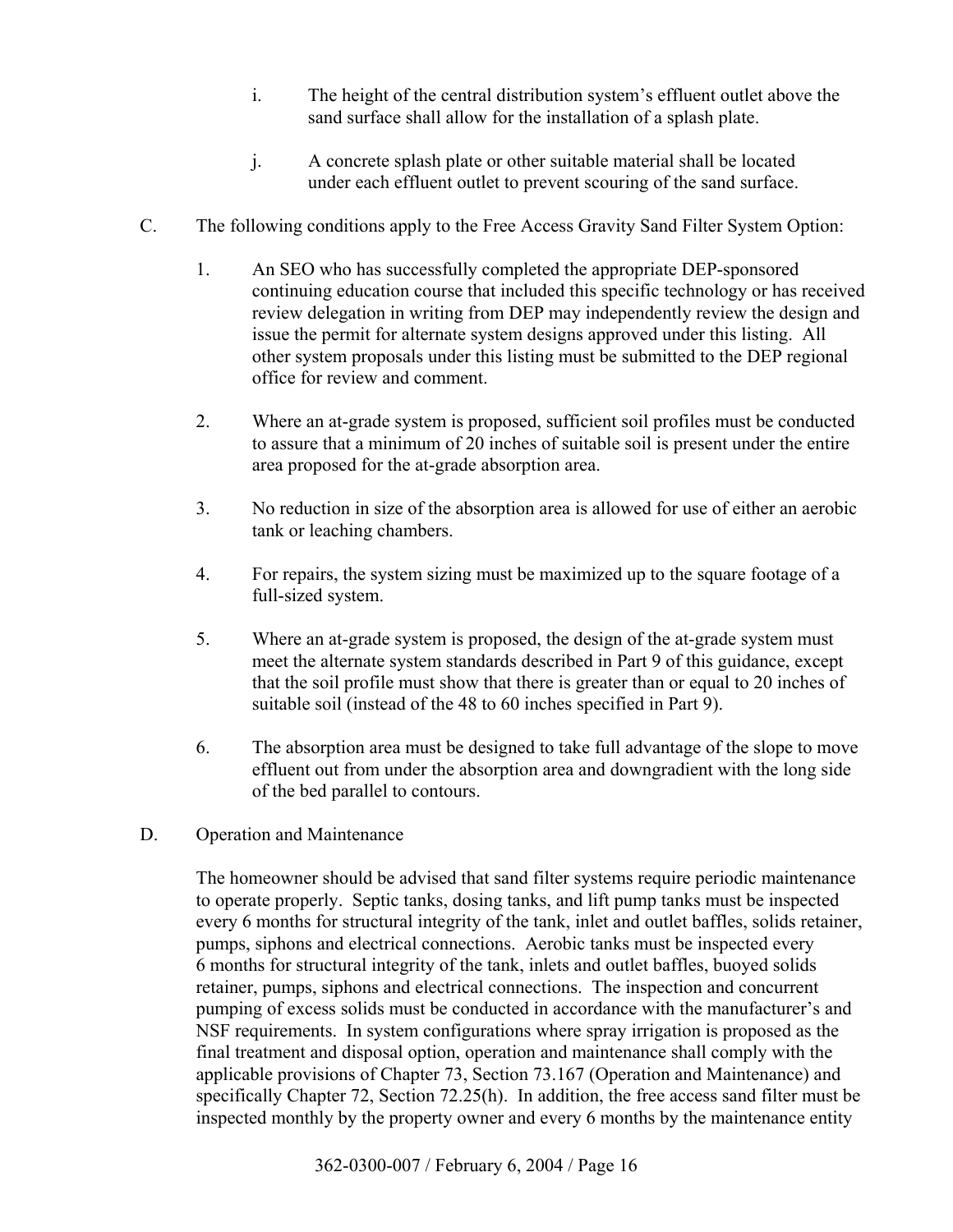- i. The height of the central distribution system's effluent outlet above the sand surface shall allow for the installation of a splash plate.
- j. A concrete splash plate or other suitable material shall be located under each effluent outlet to prevent scouring of the sand surface.
- C. The following conditions apply to the Free Access Gravity Sand Filter System Option:
	- 1. An SEO who has successfully completed the appropriate DEP-sponsored continuing education course that included this specific technology or has received review delegation in writing from DEP may independently review the design and issue the permit for alternate system designs approved under this listing. All other system proposals under this listing must be submitted to the DEP regional office for review and comment.
	- 2. Where an at-grade system is proposed, sufficient soil profiles must be conducted to assure that a minimum of 20 inches of suitable soil is present under the entire area proposed for the at-grade absorption area.
	- 3. No reduction in size of the absorption area is allowed for use of either an aerobic tank or leaching chambers.
	- 4. For repairs, the system sizing must be maximized up to the square footage of a full-sized system.
	- 5. Where an at-grade system is proposed, the design of the at-grade system must meet the alternate system standards described in Part 9 of this guidance, except that the soil profile must show that there is greater than or equal to 20 inches of suitable soil (instead of the 48 to 60 inches specified in Part 9).
	- 6. The absorption area must be designed to take full advantage of the slope to move effluent out from under the absorption area and downgradient with the long side of the bed parallel to contours.
- D. Operation and Maintenance

 The homeowner should be advised that sand filter systems require periodic maintenance to operate properly. Septic tanks, dosing tanks, and lift pump tanks must be inspected every 6 months for structural integrity of the tank, inlet and outlet baffles, solids retainer, pumps, siphons and electrical connections. Aerobic tanks must be inspected every 6 months for structural integrity of the tank, inlets and outlet baffles, buoyed solids retainer, pumps, siphons and electrical connections. The inspection and concurrent pumping of excess solids must be conducted in accordance with the manufacturer's and NSF requirements. In system configurations where spray irrigation is proposed as the final treatment and disposal option, operation and maintenance shall comply with the applicable provisions of Chapter 73, Section 73.167 (Operation and Maintenance) and specifically Chapter 72, Section 72.25(h). In addition, the free access sand filter must be inspected monthly by the property owner and every 6 months by the maintenance entity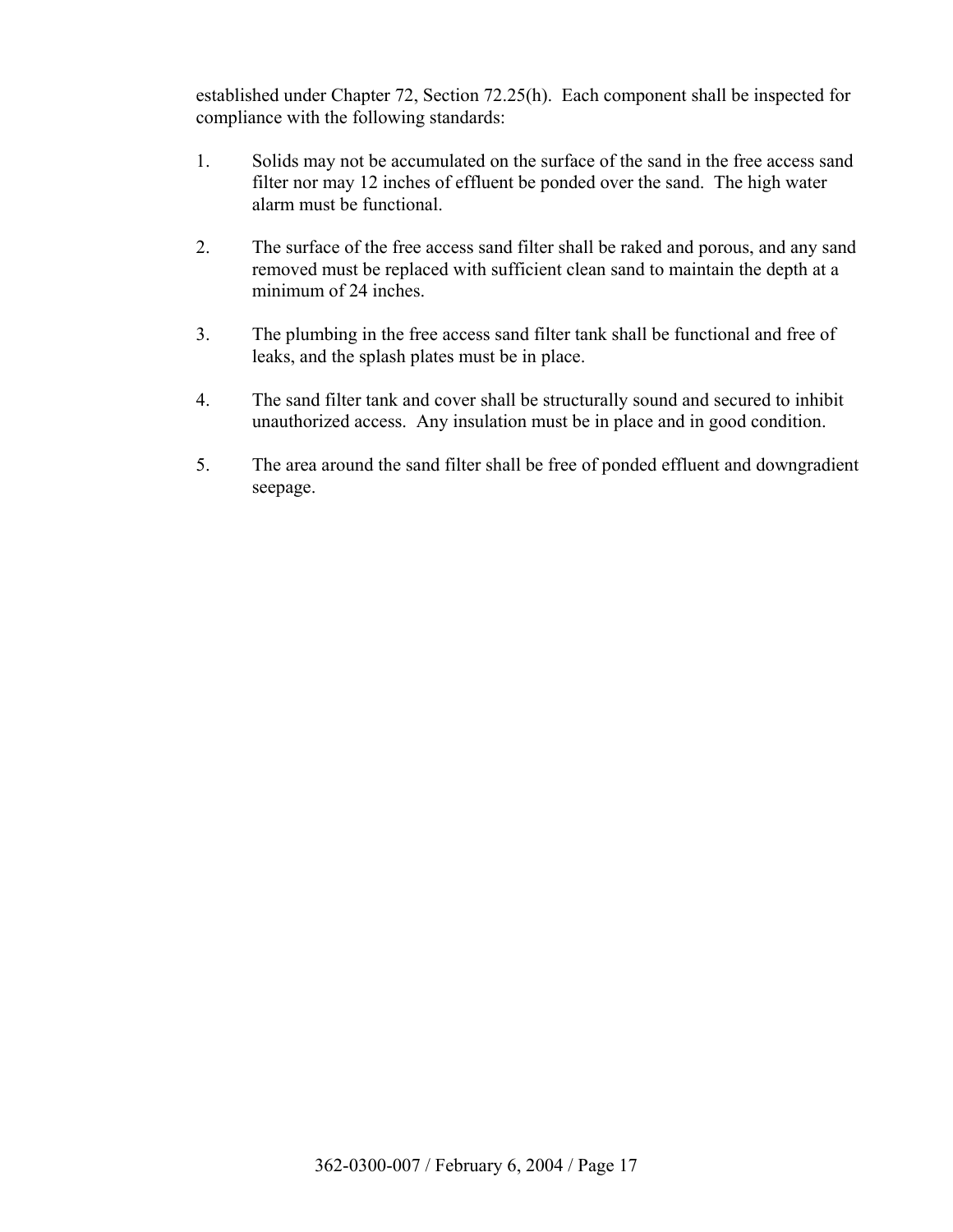established under Chapter 72, Section 72.25(h). Each component shall be inspected for compliance with the following standards:

- 1. Solids may not be accumulated on the surface of the sand in the free access sand filter nor may 12 inches of effluent be ponded over the sand. The high water alarm must be functional.
- 2. The surface of the free access sand filter shall be raked and porous, and any sand removed must be replaced with sufficient clean sand to maintain the depth at a minimum of 24 inches.
- 3. The plumbing in the free access sand filter tank shall be functional and free of leaks, and the splash plates must be in place.
- 4. The sand filter tank and cover shall be structurally sound and secured to inhibit unauthorized access. Any insulation must be in place and in good condition.
- 5. The area around the sand filter shall be free of ponded effluent and downgradient seepage.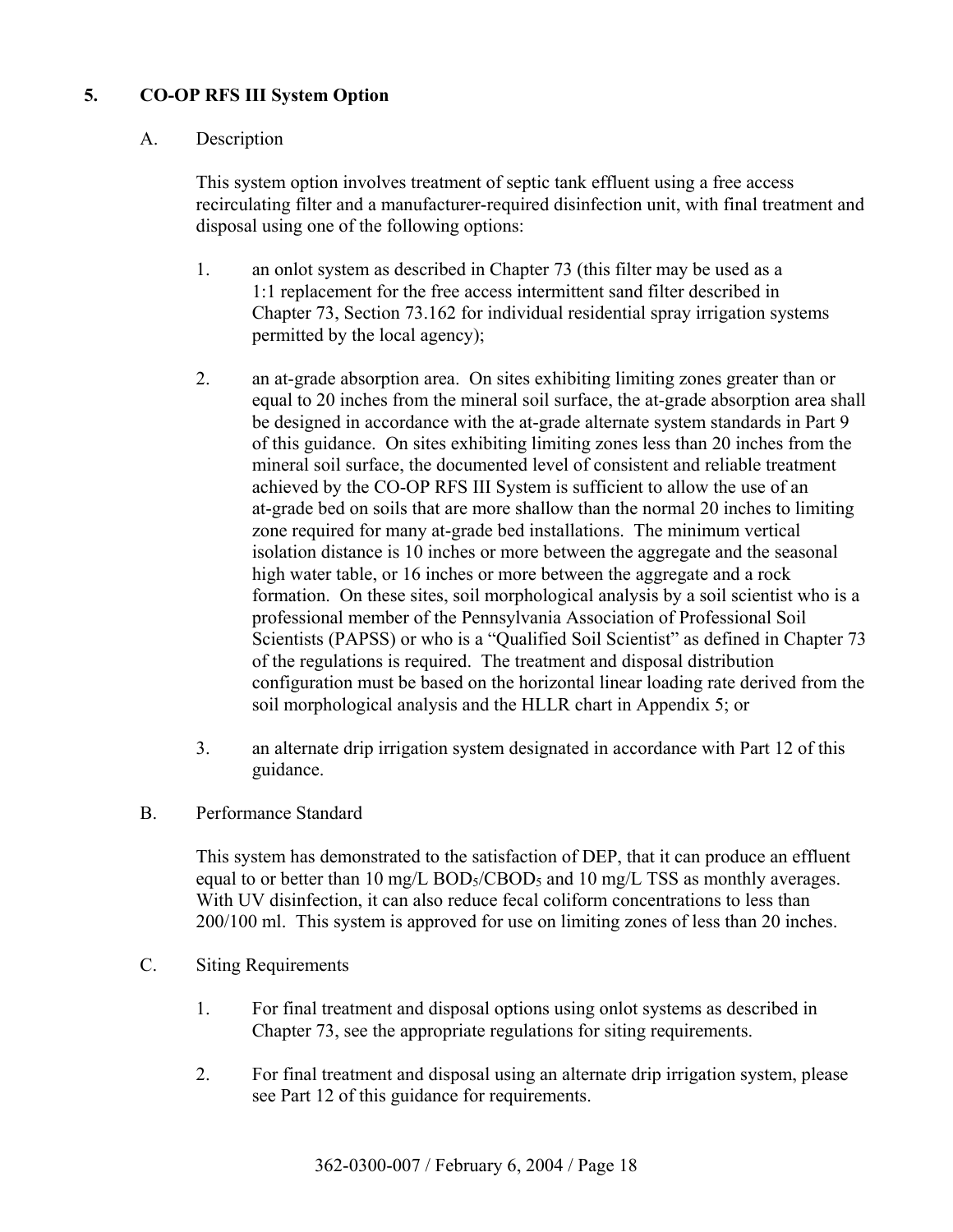# **5. CO-OP RFS III System Option**

## A. Description

 This system option involves treatment of septic tank effluent using a free access recirculating filter and a manufacturer-required disinfection unit, with final treatment and disposal using one of the following options:

- 1. an onlot system as described in Chapter 73 (this filter may be used as a 1:1 replacement for the free access intermittent sand filter described in Chapter 73, Section 73.162 for individual residential spray irrigation systems permitted by the local agency);
- 2. an at-grade absorption area. On sites exhibiting limiting zones greater than or equal to 20 inches from the mineral soil surface, the at-grade absorption area shall be designed in accordance with the at-grade alternate system standards in Part 9 of this guidance. On sites exhibiting limiting zones less than 20 inches from the mineral soil surface, the documented level of consistent and reliable treatment achieved by the CO-OP RFS III System is sufficient to allow the use of an at-grade bed on soils that are more shallow than the normal 20 inches to limiting zone required for many at-grade bed installations. The minimum vertical isolation distance is 10 inches or more between the aggregate and the seasonal high water table, or 16 inches or more between the aggregate and a rock formation. On these sites, soil morphological analysis by a soil scientist who is a professional member of the Pennsylvania Association of Professional Soil Scientists (PAPSS) or who is a "Qualified Soil Scientist" as defined in Chapter 73 of the regulations is required. The treatment and disposal distribution configuration must be based on the horizontal linear loading rate derived from the soil morphological analysis and the HLLR chart in Appendix 5; or
- 3. an alternate drip irrigation system designated in accordance with Part 12 of this guidance.
- B. Performance Standard

 This system has demonstrated to the satisfaction of DEP, that it can produce an effluent equal to or better than 10 mg/L  $BOD<sub>5</sub>/CBOD<sub>5</sub>$  and 10 mg/L TSS as monthly averages. With UV disinfection, it can also reduce fecal coliform concentrations to less than 200/100 ml. This system is approved for use on limiting zones of less than 20 inches.

- C. Siting Requirements
	- 1. For final treatment and disposal options using onlot systems as described in Chapter 73, see the appropriate regulations for siting requirements.
	- 2. For final treatment and disposal using an alternate drip irrigation system, please see Part 12 of this guidance for requirements.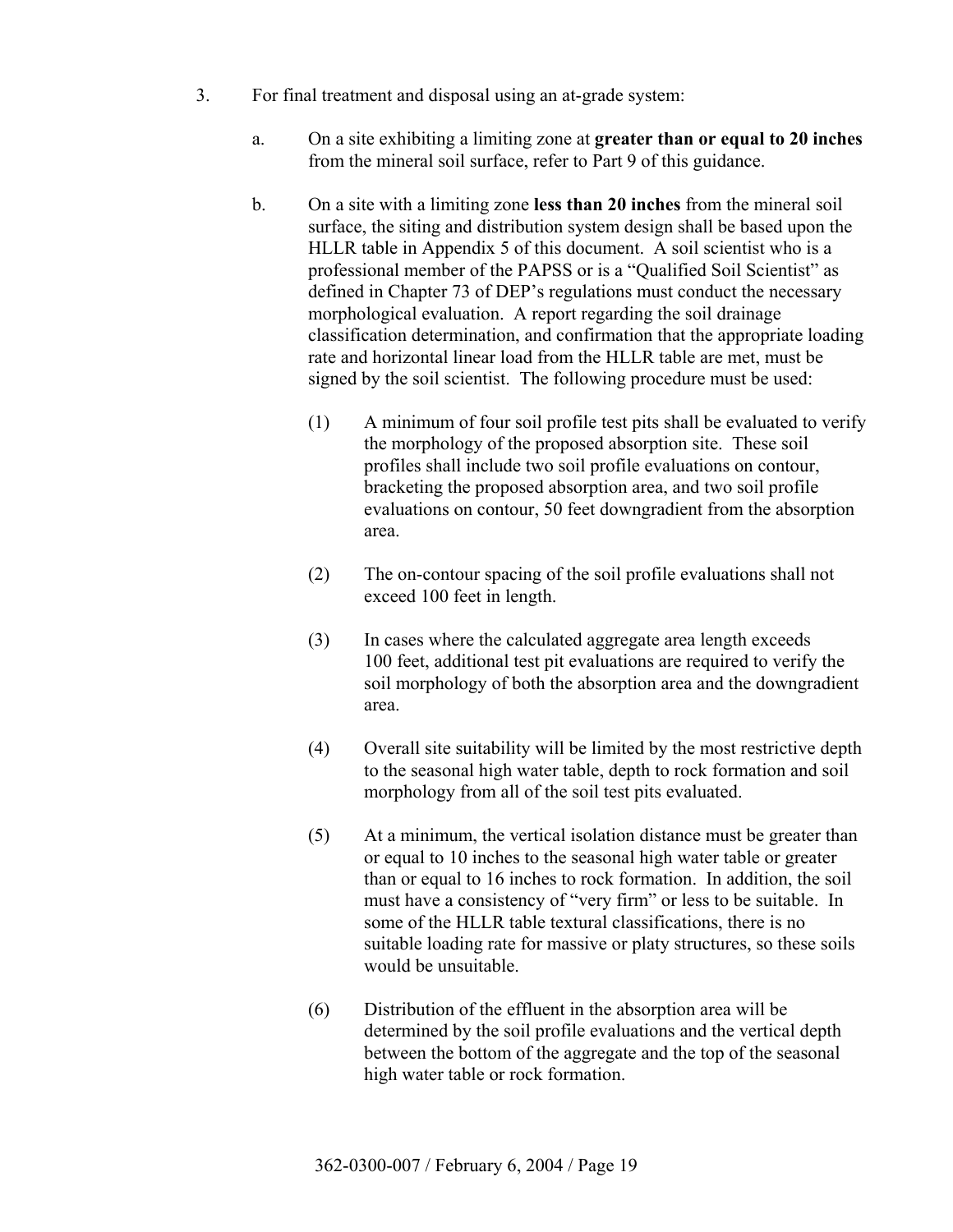- 3. For final treatment and disposal using an at-grade system:
	- a. On a site exhibiting a limiting zone at **greater than or equal to 20 inches** from the mineral soil surface, refer to Part 9 of this guidance.
	- b. On a site with a limiting zone **less than 20 inches** from the mineral soil surface, the siting and distribution system design shall be based upon the HLLR table in Appendix 5 of this document. A soil scientist who is a professional member of the PAPSS or is a "Qualified Soil Scientist" as defined in Chapter 73 of DEP's regulations must conduct the necessary morphological evaluation. A report regarding the soil drainage classification determination, and confirmation that the appropriate loading rate and horizontal linear load from the HLLR table are met, must be signed by the soil scientist. The following procedure must be used:
		- (1) A minimum of four soil profile test pits shall be evaluated to verify the morphology of the proposed absorption site. These soil profiles shall include two soil profile evaluations on contour, bracketing the proposed absorption area, and two soil profile evaluations on contour, 50 feet downgradient from the absorption area.
		- (2) The on-contour spacing of the soil profile evaluations shall not exceed 100 feet in length.
		- (3) In cases where the calculated aggregate area length exceeds 100 feet, additional test pit evaluations are required to verify the soil morphology of both the absorption area and the downgradient area.
		- (4) Overall site suitability will be limited by the most restrictive depth to the seasonal high water table, depth to rock formation and soil morphology from all of the soil test pits evaluated.
		- (5) At a minimum, the vertical isolation distance must be greater than or equal to 10 inches to the seasonal high water table or greater than or equal to 16 inches to rock formation. In addition, the soil must have a consistency of "very firm" or less to be suitable. In some of the HLLR table textural classifications, there is no suitable loading rate for massive or platy structures, so these soils would be unsuitable.
		- (6) Distribution of the effluent in the absorption area will be determined by the soil profile evaluations and the vertical depth between the bottom of the aggregate and the top of the seasonal high water table or rock formation.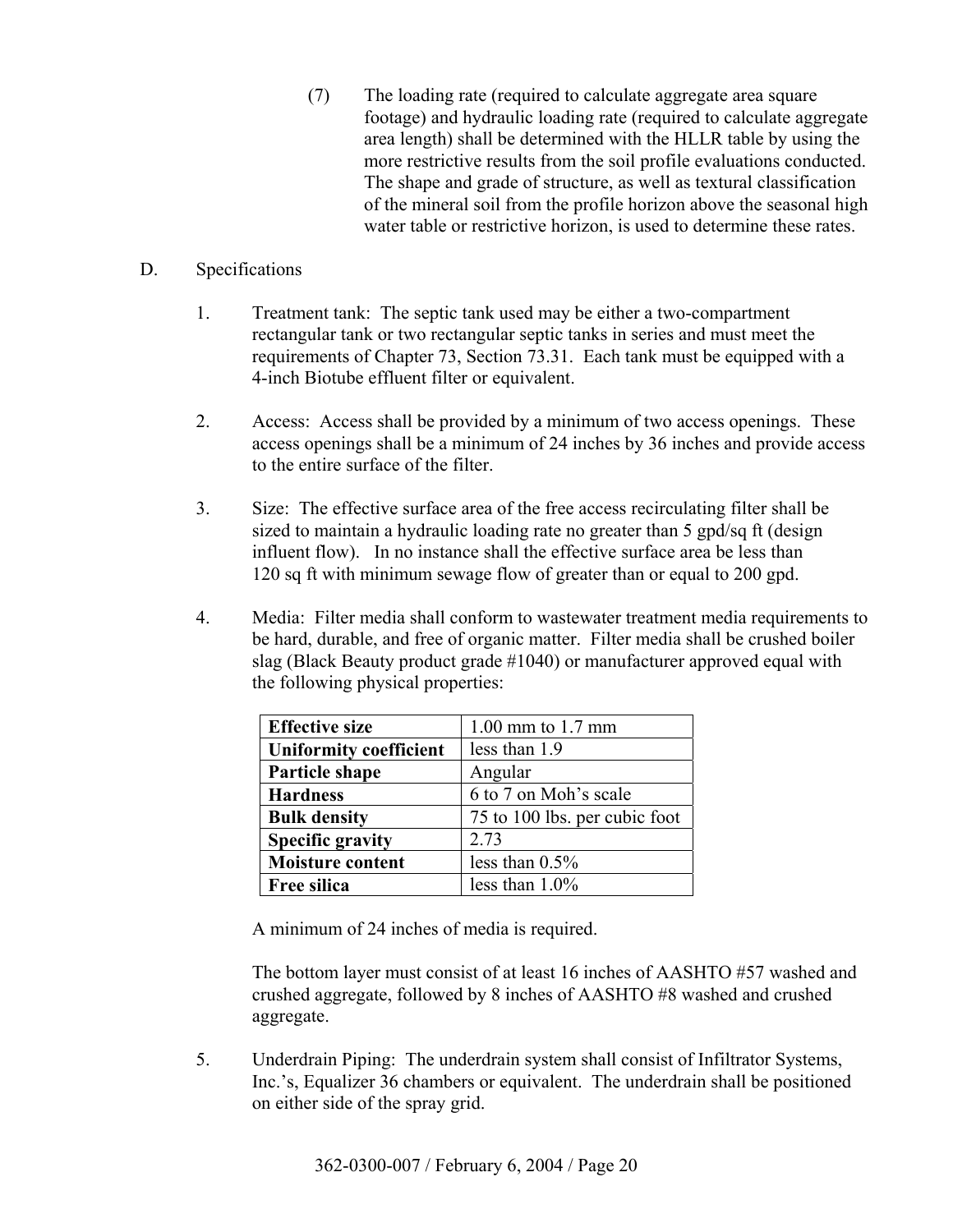(7) The loading rate (required to calculate aggregate area square footage) and hydraulic loading rate (required to calculate aggregate area length) shall be determined with the HLLR table by using the more restrictive results from the soil profile evaluations conducted. The shape and grade of structure, as well as textural classification of the mineral soil from the profile horizon above the seasonal high water table or restrictive horizon, is used to determine these rates.

#### D. Specifications

- 1. Treatment tank: The septic tank used may be either a two-compartment rectangular tank or two rectangular septic tanks in series and must meet the requirements of Chapter 73, Section 73.31. Each tank must be equipped with a 4-inch Biotube effluent filter or equivalent.
- 2. Access: Access shall be provided by a minimum of two access openings. These access openings shall be a minimum of 24 inches by 36 inches and provide access to the entire surface of the filter.
- 3. Size: The effective surface area of the free access recirculating filter shall be sized to maintain a hydraulic loading rate no greater than 5 gpd/sq ft (design influent flow). In no instance shall the effective surface area be less than 120 sq ft with minimum sewage flow of greater than or equal to 200 gpd.
- 4. Media: Filter media shall conform to wastewater treatment media requirements to be hard, durable, and free of organic matter. Filter media shall be crushed boiler slag (Black Beauty product grade #1040) or manufacturer approved equal with the following physical properties:

| <b>Effective size</b>         | $1.00$ mm to $1.7$ mm         |
|-------------------------------|-------------------------------|
| <b>Uniformity coefficient</b> | less than 1.9                 |
| Particle shape                | Angular                       |
| <b>Hardness</b>               | 6 to 7 on Moh's scale         |
| <b>Bulk density</b>           | 75 to 100 lbs. per cubic foot |
| <b>Specific gravity</b>       | 2.73                          |
| <b>Moisture content</b>       | less than $0.5\%$             |
| <b>Free silica</b>            | less than $1.0\%$             |

A minimum of 24 inches of media is required.

 The bottom layer must consist of at least 16 inches of AASHTO #57 washed and crushed aggregate, followed by 8 inches of AASHTO #8 washed and crushed aggregate.

 5. Underdrain Piping: The underdrain system shall consist of Infiltrator Systems, Inc.ís, Equalizer 36 chambers or equivalent. The underdrain shall be positioned on either side of the spray grid.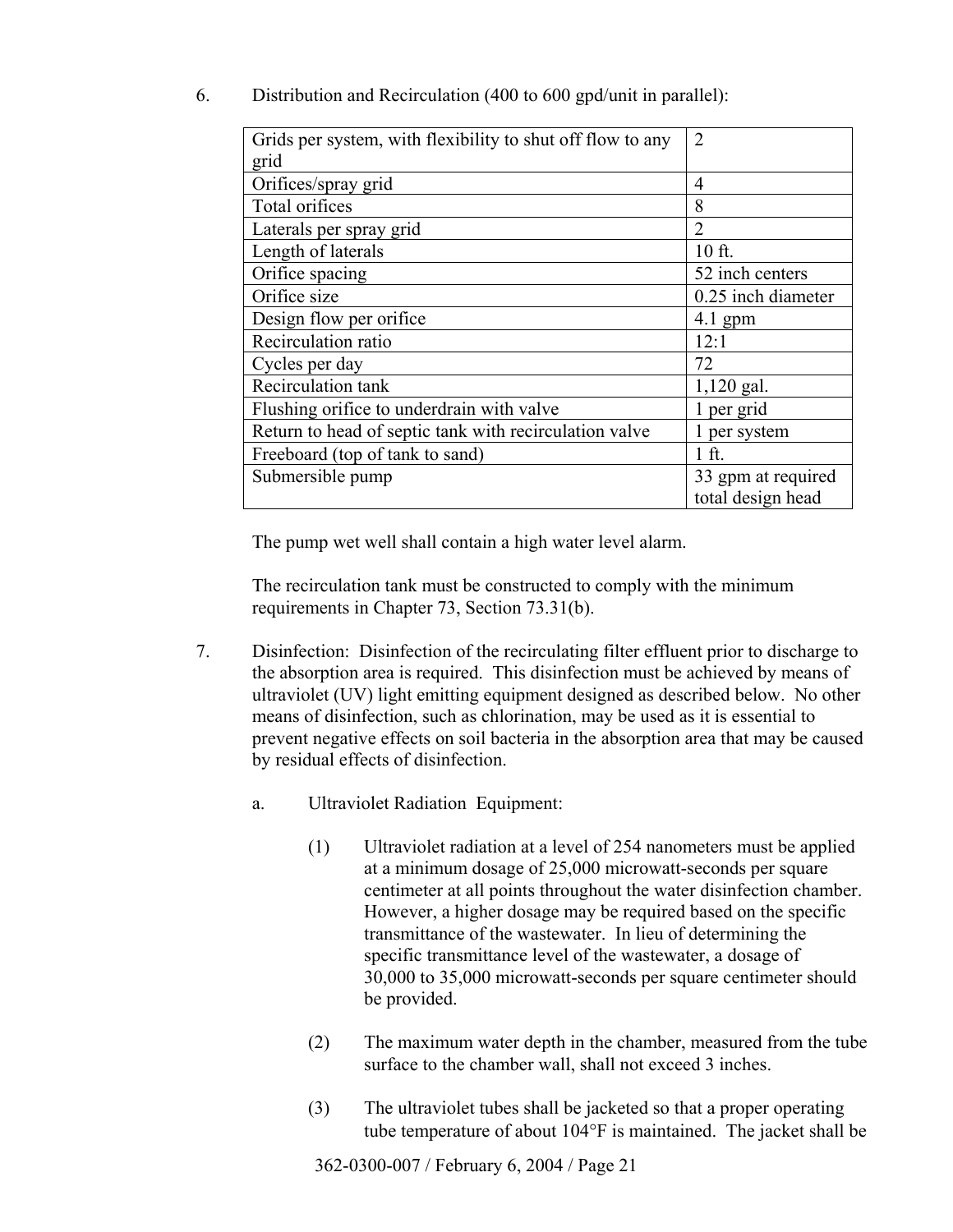| Grids per system, with flexibility to shut off flow to any | $\overline{2}$     |
|------------------------------------------------------------|--------------------|
| grid                                                       |                    |
| Orifices/spray grid                                        | 4                  |
| Total orifices                                             | 8                  |
| Laterals per spray grid                                    | $\overline{2}$     |
| Length of laterals                                         | 10 ft.             |
| Orifice spacing                                            | 52 inch centers    |
| Orifice size                                               | 0.25 inch diameter |
| Design flow per orifice                                    | $4.1$ gpm          |
| Recirculation ratio                                        | 12:1               |
| Cycles per day                                             | 72                 |
| Recirculation tank                                         | $1,120$ gal.       |
| Flushing orifice to underdrain with valve                  | 1 per grid         |
| Return to head of septic tank with recirculation valve     | 1 per system       |
| Freeboard (top of tank to sand)                            | 1 ft.              |
| Submersible pump                                           | 33 gpm at required |
|                                                            | total design head  |

6. Distribution and Recirculation (400 to 600 gpd/unit in parallel):

The pump wet well shall contain a high water level alarm.

 The recirculation tank must be constructed to comply with the minimum requirements in Chapter 73, Section 73.31(b).

- 7. Disinfection: Disinfection of the recirculating filter effluent prior to discharge to the absorption area is required. This disinfection must be achieved by means of ultraviolet (UV) light emitting equipment designed as described below. No other means of disinfection, such as chlorination, may be used as it is essential to prevent negative effects on soil bacteria in the absorption area that may be caused by residual effects of disinfection.
	- a. Ultraviolet Radiation Equipment:
		- (1) Ultraviolet radiation at a level of 254 nanometers must be applied at a minimum dosage of 25,000 microwatt-seconds per square centimeter at all points throughout the water disinfection chamber. However, a higher dosage may be required based on the specific transmittance of the wastewater. In lieu of determining the specific transmittance level of the wastewater, a dosage of 30,000 to 35,000 microwatt-seconds per square centimeter should be provided.
		- (2) The maximum water depth in the chamber, measured from the tube surface to the chamber wall, shall not exceed 3 inches.
		- (3) The ultraviolet tubes shall be jacketed so that a proper operating tube temperature of about 104°F is maintained. The jacket shall be

362-0300-007 / February 6, 2004 / Page 21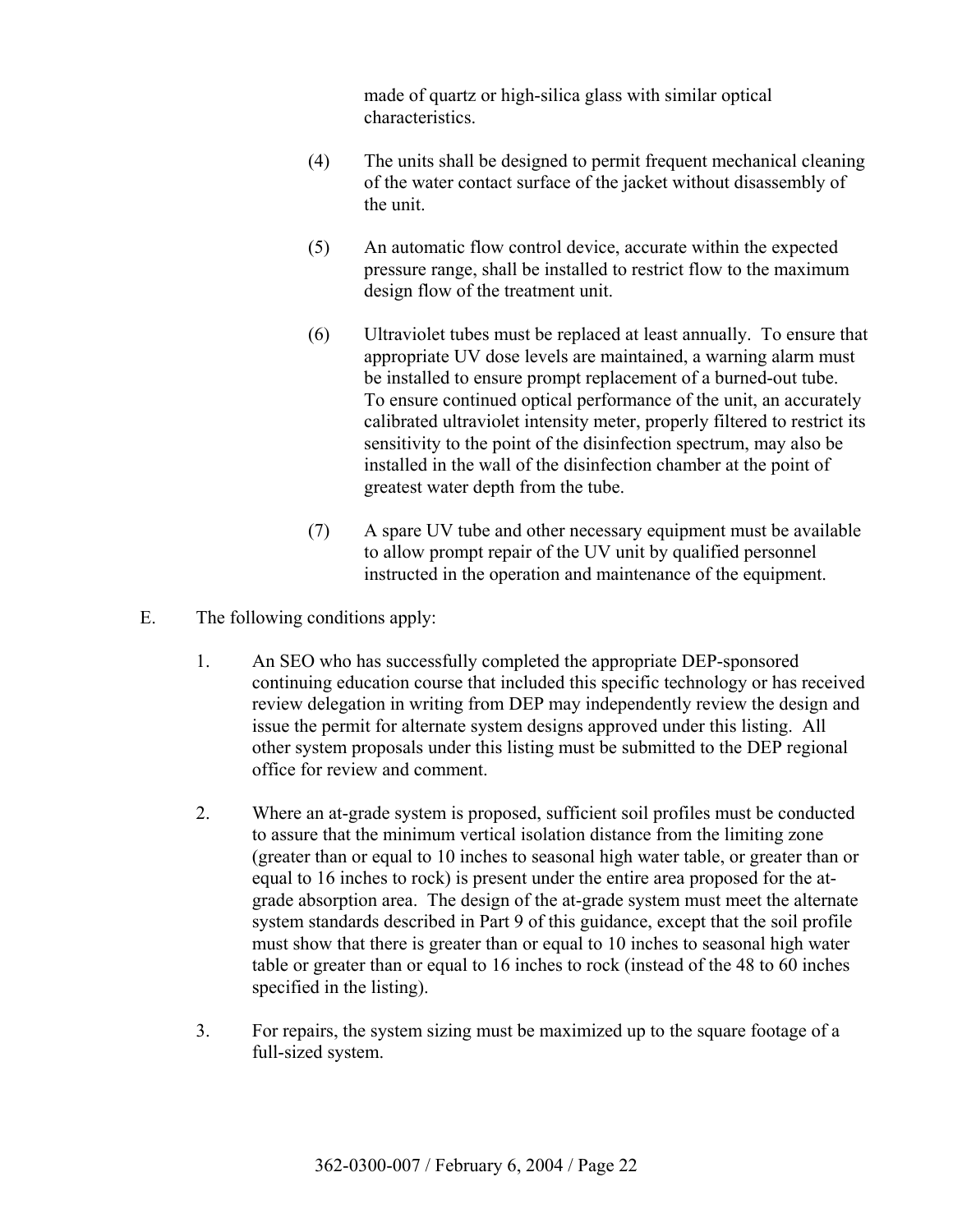made of quartz or high-silica glass with similar optical characteristics.

- (4) The units shall be designed to permit frequent mechanical cleaning of the water contact surface of the jacket without disassembly of the unit.
- (5) An automatic flow control device, accurate within the expected pressure range, shall be installed to restrict flow to the maximum design flow of the treatment unit.
- (6) Ultraviolet tubes must be replaced at least annually. To ensure that appropriate UV dose levels are maintained, a warning alarm must be installed to ensure prompt replacement of a burned-out tube. To ensure continued optical performance of the unit, an accurately calibrated ultraviolet intensity meter, properly filtered to restrict its sensitivity to the point of the disinfection spectrum, may also be installed in the wall of the disinfection chamber at the point of greatest water depth from the tube.
- (7) A spare UV tube and other necessary equipment must be available to allow prompt repair of the UV unit by qualified personnel instructed in the operation and maintenance of the equipment.
- E. The following conditions apply:
	- 1. An SEO who has successfully completed the appropriate DEP-sponsored continuing education course that included this specific technology or has received review delegation in writing from DEP may independently review the design and issue the permit for alternate system designs approved under this listing. All other system proposals under this listing must be submitted to the DEP regional office for review and comment.
	- 2. Where an at-grade system is proposed, sufficient soil profiles must be conducted to assure that the minimum vertical isolation distance from the limiting zone (greater than or equal to 10 inches to seasonal high water table, or greater than or equal to 16 inches to rock) is present under the entire area proposed for the atgrade absorption area. The design of the at-grade system must meet the alternate system standards described in Part 9 of this guidance, except that the soil profile must show that there is greater than or equal to 10 inches to seasonal high water table or greater than or equal to 16 inches to rock (instead of the 48 to 60 inches specified in the listing).
	- 3. For repairs, the system sizing must be maximized up to the square footage of a full-sized system.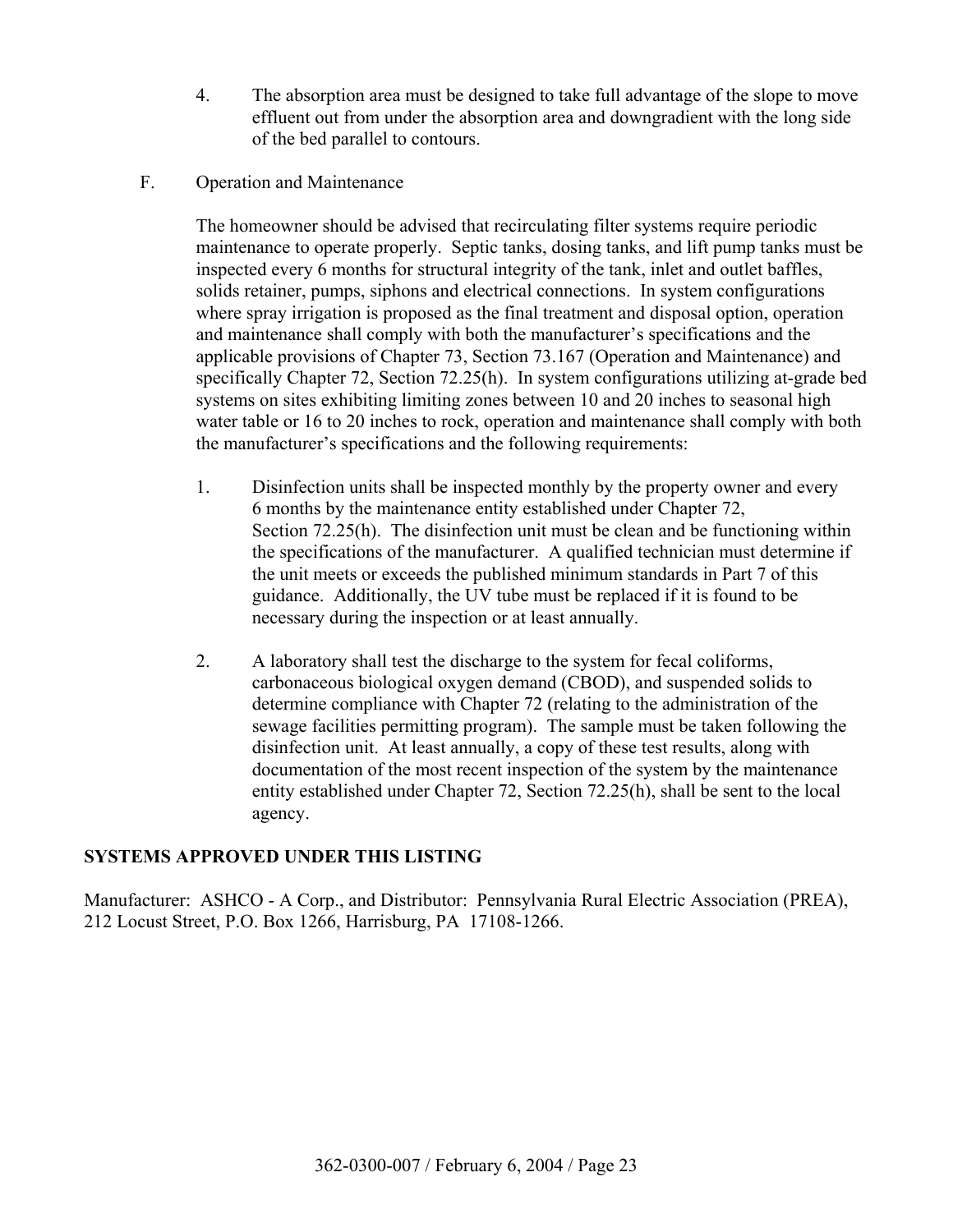- 4. The absorption area must be designed to take full advantage of the slope to move effluent out from under the absorption area and downgradient with the long side of the bed parallel to contours.
- F. Operation and Maintenance

 The homeowner should be advised that recirculating filter systems require periodic maintenance to operate properly. Septic tanks, dosing tanks, and lift pump tanks must be inspected every 6 months for structural integrity of the tank, inlet and outlet baffles, solids retainer, pumps, siphons and electrical connections. In system configurations where spray irrigation is proposed as the final treatment and disposal option, operation and maintenance shall comply with both the manufacturer's specifications and the applicable provisions of Chapter 73, Section 73.167 (Operation and Maintenance) and specifically Chapter 72, Section 72.25(h). In system configurations utilizing at-grade bed systems on sites exhibiting limiting zones between 10 and 20 inches to seasonal high water table or 16 to 20 inches to rock, operation and maintenance shall comply with both the manufacturer's specifications and the following requirements:

- 1. Disinfection units shall be inspected monthly by the property owner and every 6 months by the maintenance entity established under Chapter 72, Section 72.25(h). The disinfection unit must be clean and be functioning within the specifications of the manufacturer. A qualified technician must determine if the unit meets or exceeds the published minimum standards in Part 7 of this guidance. Additionally, the UV tube must be replaced if it is found to be necessary during the inspection or at least annually.
- 2. A laboratory shall test the discharge to the system for fecal coliforms, carbonaceous biological oxygen demand (CBOD), and suspended solids to determine compliance with Chapter 72 (relating to the administration of the sewage facilities permitting program). The sample must be taken following the disinfection unit. At least annually, a copy of these test results, along with documentation of the most recent inspection of the system by the maintenance entity established under Chapter 72, Section 72.25(h), shall be sent to the local agency.

#### **SYSTEMS APPROVED UNDER THIS LISTING**

Manufacturer: ASHCO - A Corp., and Distributor: Pennsylvania Rural Electric Association (PREA), 212 Locust Street, P.O. Box 1266, Harrisburg, PA 17108-1266.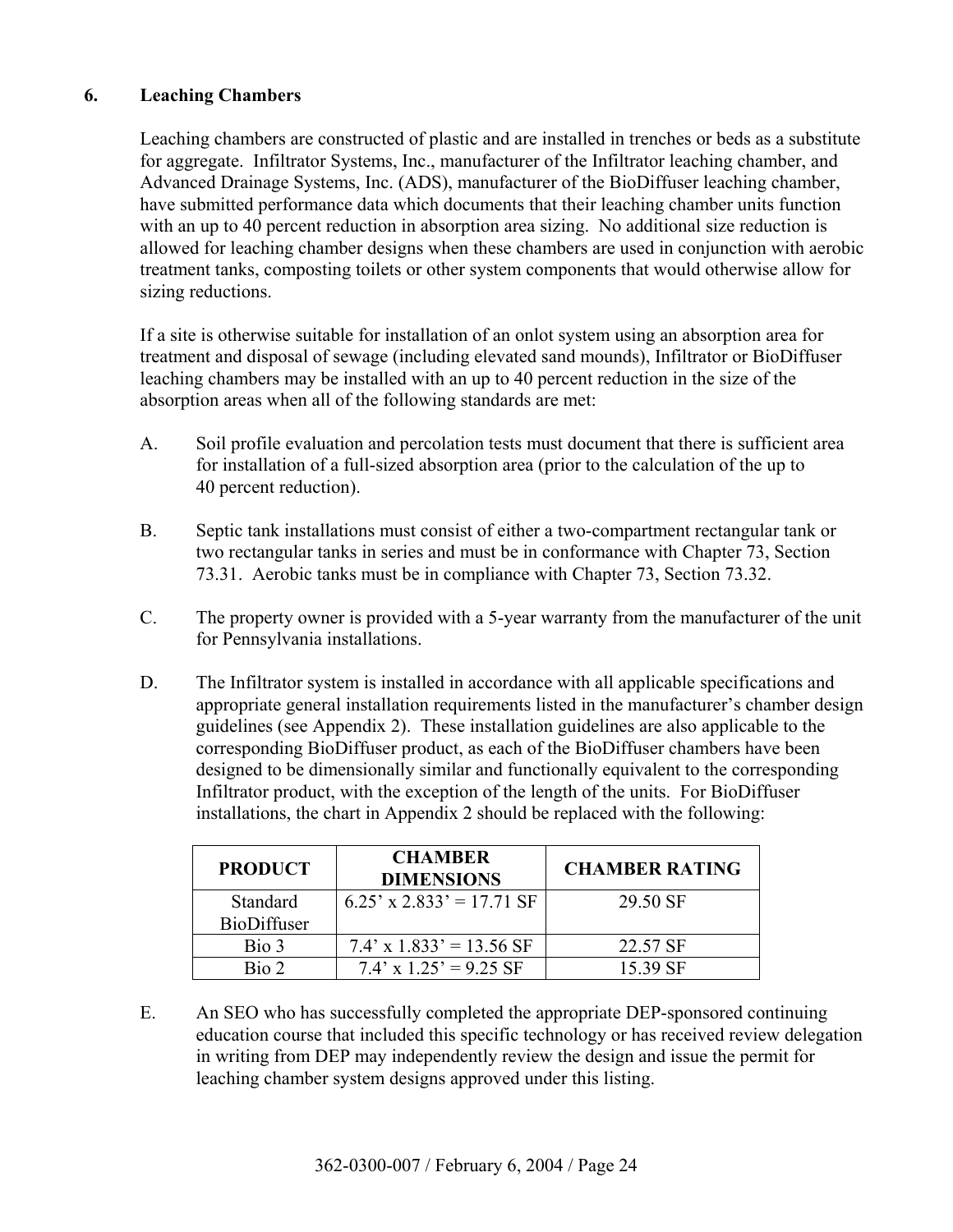# **6. Leaching Chambers**

 Leaching chambers are constructed of plastic and are installed in trenches or beds as a substitute for aggregate. Infiltrator Systems, Inc., manufacturer of the Infiltrator leaching chamber, and Advanced Drainage Systems, Inc. (ADS), manufacturer of the BioDiffuser leaching chamber, have submitted performance data which documents that their leaching chamber units function with an up to 40 percent reduction in absorption area sizing. No additional size reduction is allowed for leaching chamber designs when these chambers are used in conjunction with aerobic treatment tanks, composting toilets or other system components that would otherwise allow for sizing reductions.

 If a site is otherwise suitable for installation of an onlot system using an absorption area for treatment and disposal of sewage (including elevated sand mounds), Infiltrator or BioDiffuser leaching chambers may be installed with an up to 40 percent reduction in the size of the absorption areas when all of the following standards are met:

- A. Soil profile evaluation and percolation tests must document that there is sufficient area for installation of a full-sized absorption area (prior to the calculation of the up to 40 percent reduction).
- B. Septic tank installations must consist of either a two-compartment rectangular tank or two rectangular tanks in series and must be in conformance with Chapter 73, Section 73.31. Aerobic tanks must be in compliance with Chapter 73, Section 73.32.
- C. The property owner is provided with a 5-year warranty from the manufacturer of the unit for Pennsylvania installations.
- D. The Infiltrator system is installed in accordance with all applicable specifications and appropriate general installation requirements listed in the manufacturer's chamber design guidelines (see Appendix 2). These installation guidelines are also applicable to the corresponding BioDiffuser product, as each of the BioDiffuser chambers have been designed to be dimensionally similar and functionally equivalent to the corresponding Infiltrator product, with the exception of the length of the units. For BioDiffuser installations, the chart in Appendix 2 should be replaced with the following:

| <b>PRODUCT</b>     | <b>CHAMBER</b><br><b>DIMENSIONS</b> | <b>CHAMBER RATING</b> |
|--------------------|-------------------------------------|-----------------------|
| Standard           | $6.25'$ x 2.833' = 17.71 SF         | 29.50 SF              |
| <b>BioDiffuser</b> |                                     |                       |
| Bio 3              | $7.4' \times 1.833' = 13.56$ SF     | 22.57 SF              |
| Bio 2              | $7.4' \times 1.25' = 9.25$ SF       | 15.39 SF              |

 E. An SEO who has successfully completed the appropriate DEP-sponsored continuing education course that included this specific technology or has received review delegation in writing from DEP may independently review the design and issue the permit for leaching chamber system designs approved under this listing.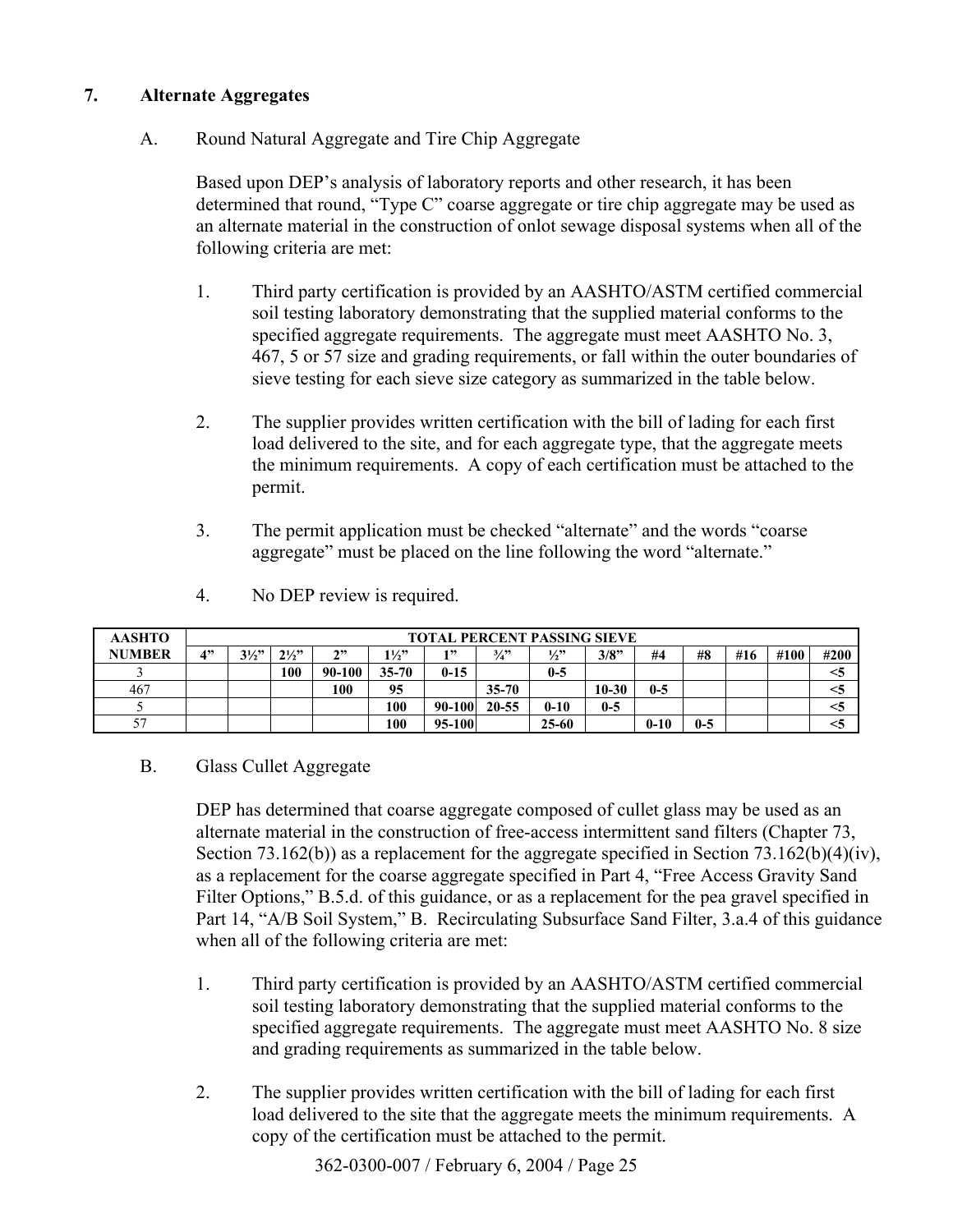#### **7. Alternate Aggregates**

# A. Round Natural Aggregate and Tire Chip Aggregate

Based upon DEP's analysis of laboratory reports and other research, it has been determined that round, "Type C" coarse aggregate or tire chip aggregate may be used as an alternate material in the construction of onlot sewage disposal systems when all of the following criteria are met:

- 1. Third party certification is provided by an AASHTO/ASTM certified commercial soil testing laboratory demonstrating that the supplied material conforms to the specified aggregate requirements. The aggregate must meet AASHTO No. 3, 467, 5 or 57 size and grading requirements, or fall within the outer boundaries of sieve testing for each sieve size category as summarized in the table below.
- 2. The supplier provides written certification with the bill of lading for each first load delivered to the site, and for each aggregate type, that the aggregate meets the minimum requirements. A copy of each certification must be attached to the permit.
- 3. The permit application must be checked "alternate" and the words "coarse" aggregate" must be placed on the line following the word "alternate."

| <b>AASHTO</b> | <b>TOTAL PERCENT PASSING SIEVE</b> |                |                |        |                |          |                 |               |           |          |       |     |      |      |
|---------------|------------------------------------|----------------|----------------|--------|----------------|----------|-----------------|---------------|-----------|----------|-------|-----|------|------|
| <b>NUMBER</b> | 4"                                 | $3\frac{1}{2}$ | $2\frac{1}{2}$ | 222    | $1\frac{1}{2}$ | 1 "      | $\frac{3}{4}$ ? | $\frac{1}{2}$ | 3/8"      | #4       | #8    | #16 | #100 | #200 |
|               |                                    |                | 100            | 90-100 | $35 - 70$      | $0 - 15$ |                 | $0-5$         |           |          |       |     |      |      |
| 467           |                                    |                |                | 100    | 95             |          | $35 - 70$       |               | $10 - 30$ | $0-5$    |       |     |      |      |
|               |                                    |                |                |        | 100            | 90-100   | 20-55           | $0 - 10$      | $0-5$     |          |       |     |      |      |
| 57            |                                    |                |                |        | 100            | 95-100   |                 | $25 - 60$     |           | $0 - 10$ | $0-5$ |     |      |      |

4. No DEP review is required.

#### B. Glass Cullet Aggregate

 DEP has determined that coarse aggregate composed of cullet glass may be used as an alternate material in the construction of free-access intermittent sand filters (Chapter 73, Section 73.162(b)) as a replacement for the aggregate specified in Section 73.162(b)(4)(iv), as a replacement for the coarse aggregate specified in Part 4, "Free Access Gravity Sand Filter Options," B.5.d. of this guidance, or as a replacement for the pea gravel specified in Part 14, "A/B Soil System," B. Recirculating Subsurface Sand Filter, 3.a.4 of this guidance when all of the following criteria are met:

- 1. Third party certification is provided by an AASHTO/ASTM certified commercial soil testing laboratory demonstrating that the supplied material conforms to the specified aggregate requirements. The aggregate must meet AASHTO No. 8 size and grading requirements as summarized in the table below.
- 2. The supplier provides written certification with the bill of lading for each first load delivered to the site that the aggregate meets the minimum requirements. A copy of the certification must be attached to the permit.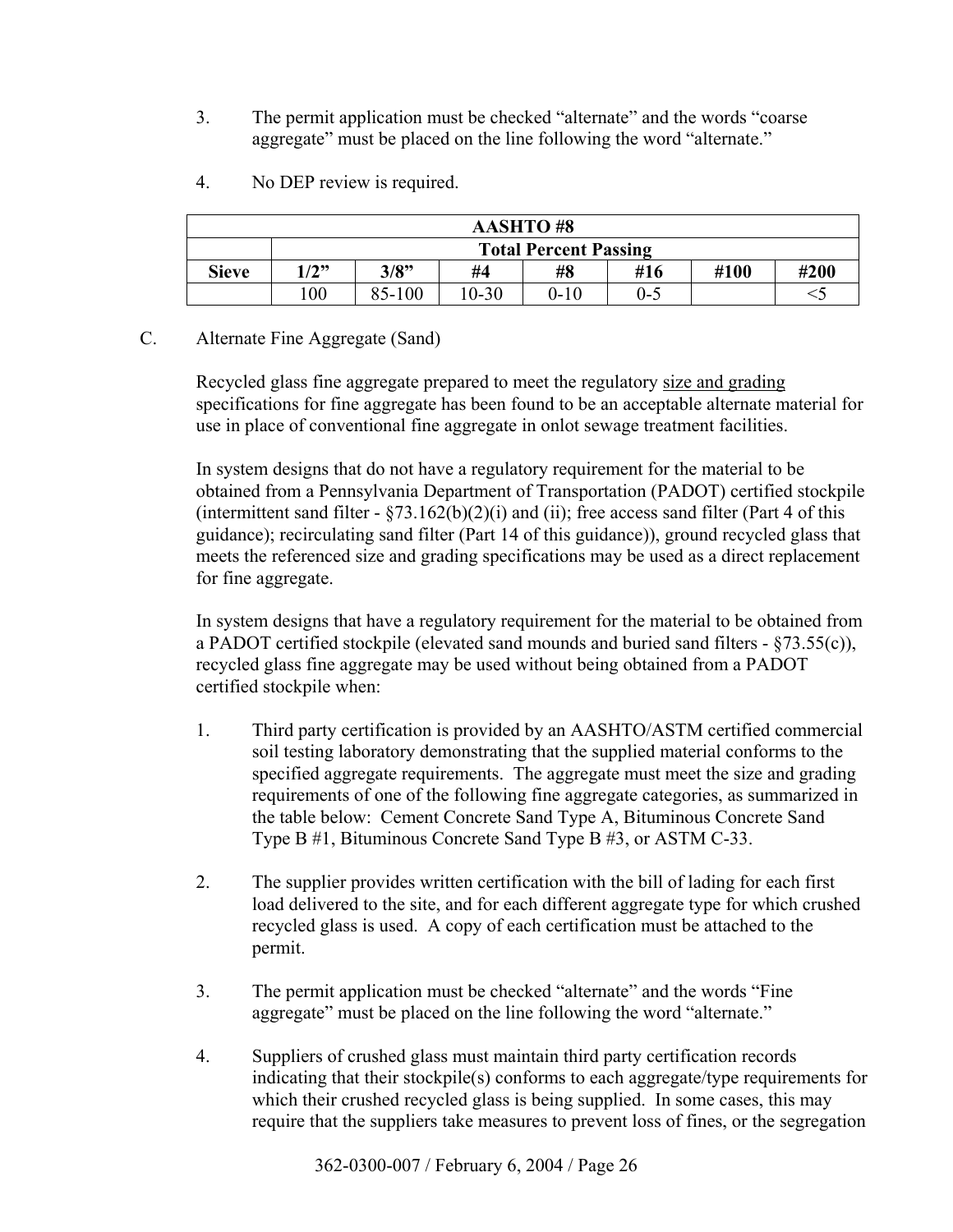3. The permit application must be checked "alternate" and the words "coarse" aggregate" must be placed on the line following the word "alternate."

| <b>AASHTO#8</b> |                                              |      |    |    |     |      |      |  |  |
|-----------------|----------------------------------------------|------|----|----|-----|------|------|--|--|
|                 | <b>Total Percent Passing</b>                 |      |    |    |     |      |      |  |  |
| <b>Sieve</b>    | (2"                                          | 3/8" | #4 | #8 | #16 | #100 | #200 |  |  |
|                 | 85-100<br>00<br>$0 - 5$<br>10-30<br>$0 - 10$ |      |    |    |     |      |      |  |  |

4. No DEP review is required.

#### C. Alternate Fine Aggregate (Sand)

 Recycled glass fine aggregate prepared to meet the regulatory size and grading specifications for fine aggregate has been found to be an acceptable alternate material for use in place of conventional fine aggregate in onlot sewage treatment facilities.

 In system designs that do not have a regulatory requirement for the material to be obtained from a Pennsylvania Department of Transportation (PADOT) certified stockpile (intermittent sand filter  $-$  §73.162(b)(2)(i) and (ii); free access sand filter (Part 4 of this guidance); recirculating sand filter (Part 14 of this guidance)), ground recycled glass that meets the referenced size and grading specifications may be used as a direct replacement for fine aggregate.

 In system designs that have a regulatory requirement for the material to be obtained from a PADOT certified stockpile (elevated sand mounds and buried sand filters - ß73.55(c)), recycled glass fine aggregate may be used without being obtained from a PADOT certified stockpile when:

- 1. Third party certification is provided by an AASHTO/ASTM certified commercial soil testing laboratory demonstrating that the supplied material conforms to the specified aggregate requirements. The aggregate must meet the size and grading requirements of one of the following fine aggregate categories, as summarized in the table below: Cement Concrete Sand Type A, Bituminous Concrete Sand Type B #1, Bituminous Concrete Sand Type B #3, or ASTM C-33.
- 2. The supplier provides written certification with the bill of lading for each first load delivered to the site, and for each different aggregate type for which crushed recycled glass is used. A copy of each certification must be attached to the permit.
- 3. The permit application must be checked "alternate" and the words "Fine" aggregate" must be placed on the line following the word "alternate."
- 4. Suppliers of crushed glass must maintain third party certification records indicating that their stockpile(s) conforms to each aggregate/type requirements for which their crushed recycled glass is being supplied. In some cases, this may require that the suppliers take measures to prevent loss of fines, or the segregation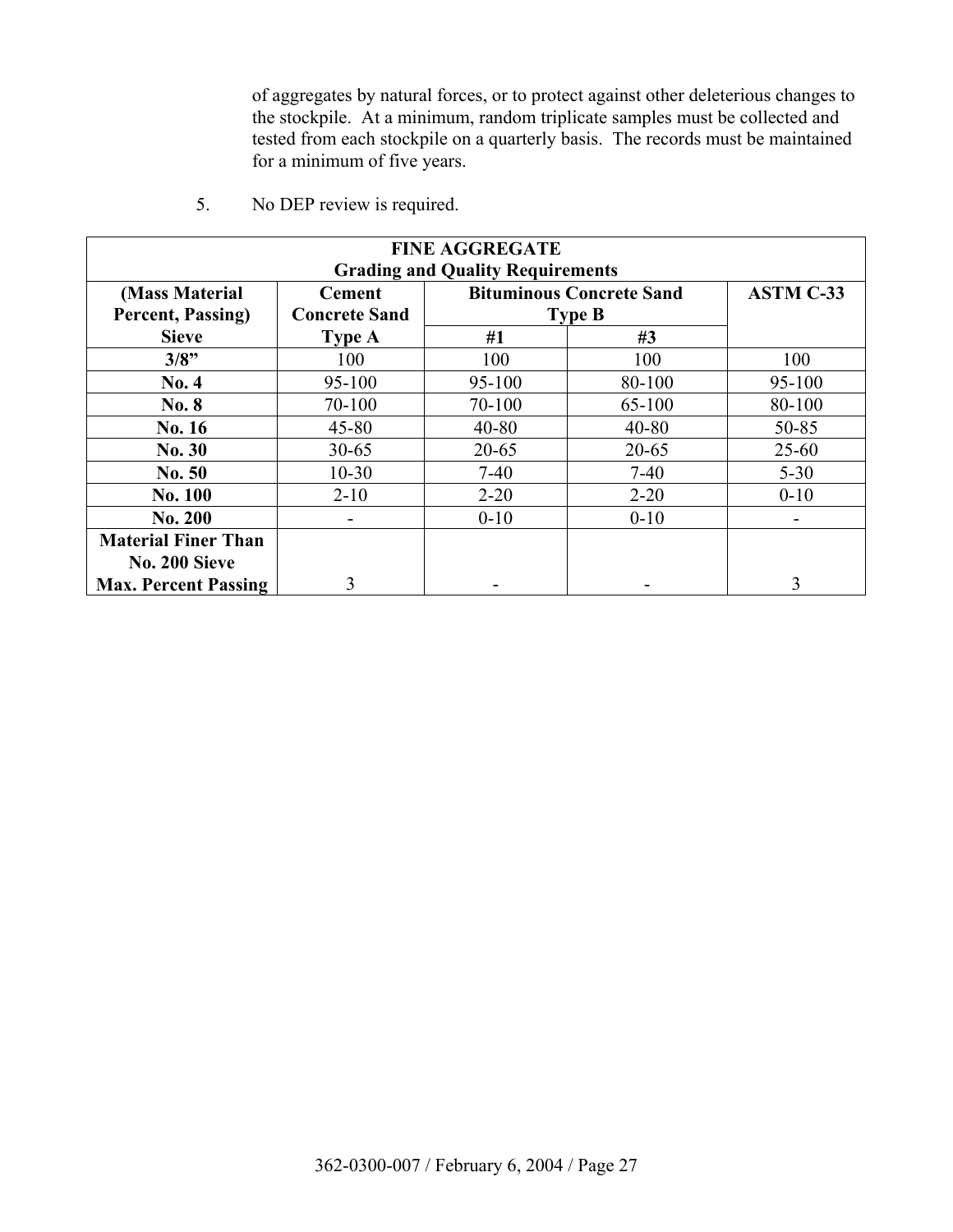of aggregates by natural forces, or to protect against other deleterious changes to the stockpile. At a minimum, random triplicate samples must be collected and tested from each stockpile on a quarterly basis. The records must be maintained for a minimum of five years.

| <b>FINE AGGREGATE</b><br><b>Grading and Quality Requirements</b> |                      |                                 |                  |           |  |  |  |
|------------------------------------------------------------------|----------------------|---------------------------------|------------------|-----------|--|--|--|
| (Mass Material                                                   | <b>Cement</b>        | <b>Bituminous Concrete Sand</b> | <b>ASTM C-33</b> |           |  |  |  |
| Percent, Passing)                                                | <b>Concrete Sand</b> |                                 | <b>Type B</b>    |           |  |  |  |
| <b>Sieve</b>                                                     | <b>Type A</b>        | #1                              | #3               |           |  |  |  |
| 3/8"                                                             | 100                  | 100                             | 100              | 100       |  |  |  |
| No. 4                                                            | 95-100               | $95-100$                        | 80-100           | 95-100    |  |  |  |
| No. 8                                                            | 70-100               | 70-100                          | 65-100           | 80-100    |  |  |  |
| No. 16                                                           | $45 - 80$            | $40 - 80$                       | $40 - 80$        | 50-85     |  |  |  |
| No. 30                                                           | $30 - 65$            | $20 - 65$                       | $20 - 65$        | $25 - 60$ |  |  |  |
| No. 50                                                           | $10 - 30$            | $7-40$                          | $7-40$           | $5 - 30$  |  |  |  |
| <b>No. 100</b>                                                   | $2 - 10$             | $2 - 20$                        | $2 - 20$         | $0 - 10$  |  |  |  |
| No. 200                                                          |                      | $0 - 10$                        | $0 - 10$         |           |  |  |  |
| <b>Material Finer Than</b>                                       |                      |                                 |                  |           |  |  |  |
| No. 200 Sieve                                                    |                      |                                 |                  |           |  |  |  |
| <b>Max. Percent Passing</b>                                      | 3                    |                                 |                  | 3         |  |  |  |

5. No DEP review is required.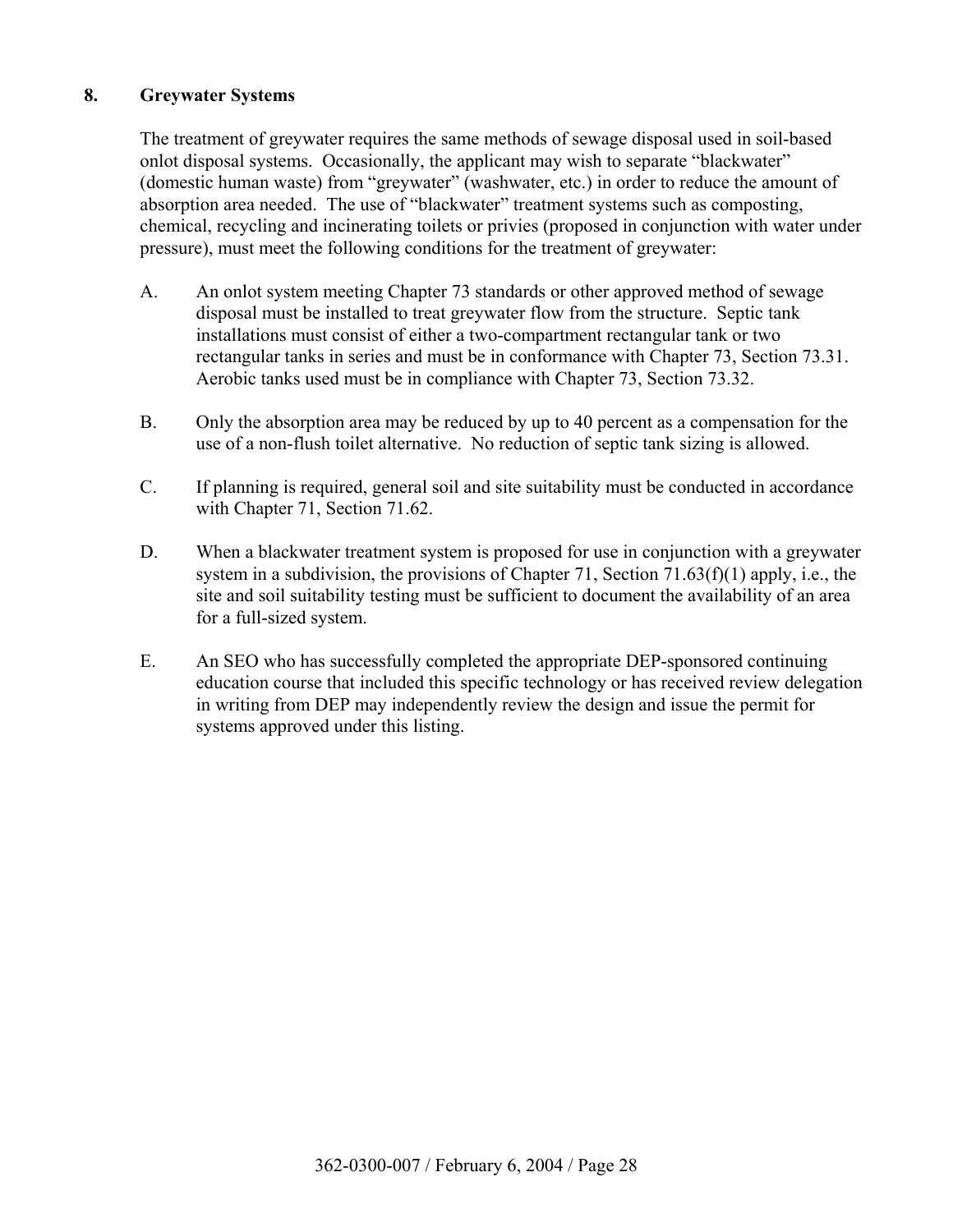# **8. Greywater Systems**

 The treatment of greywater requires the same methods of sewage disposal used in soil-based onlot disposal systems. Occasionally, the applicant may wish to separate "blackwater" (domestic human waste) from "greywater" (washwater, etc.) in order to reduce the amount of absorption area needed. The use of "blackwater" treatment systems such as composting, chemical, recycling and incinerating toilets or privies (proposed in conjunction with water under pressure), must meet the following conditions for the treatment of greywater:

- A. An onlot system meeting Chapter 73 standards or other approved method of sewage disposal must be installed to treat greywater flow from the structure. Septic tank installations must consist of either a two-compartment rectangular tank or two rectangular tanks in series and must be in conformance with Chapter 73, Section 73.31. Aerobic tanks used must be in compliance with Chapter 73, Section 73.32.
- B. Only the absorption area may be reduced by up to 40 percent as a compensation for the use of a non-flush toilet alternative. No reduction of septic tank sizing is allowed.
- C. If planning is required, general soil and site suitability must be conducted in accordance with Chapter 71, Section 71.62.
- D. When a blackwater treatment system is proposed for use in conjunction with a greywater system in a subdivision, the provisions of Chapter 71, Section 71.63(f)(1) apply, i.e., the site and soil suitability testing must be sufficient to document the availability of an area for a full-sized system.
- E. An SEO who has successfully completed the appropriate DEP-sponsored continuing education course that included this specific technology or has received review delegation in writing from DEP may independently review the design and issue the permit for systems approved under this listing.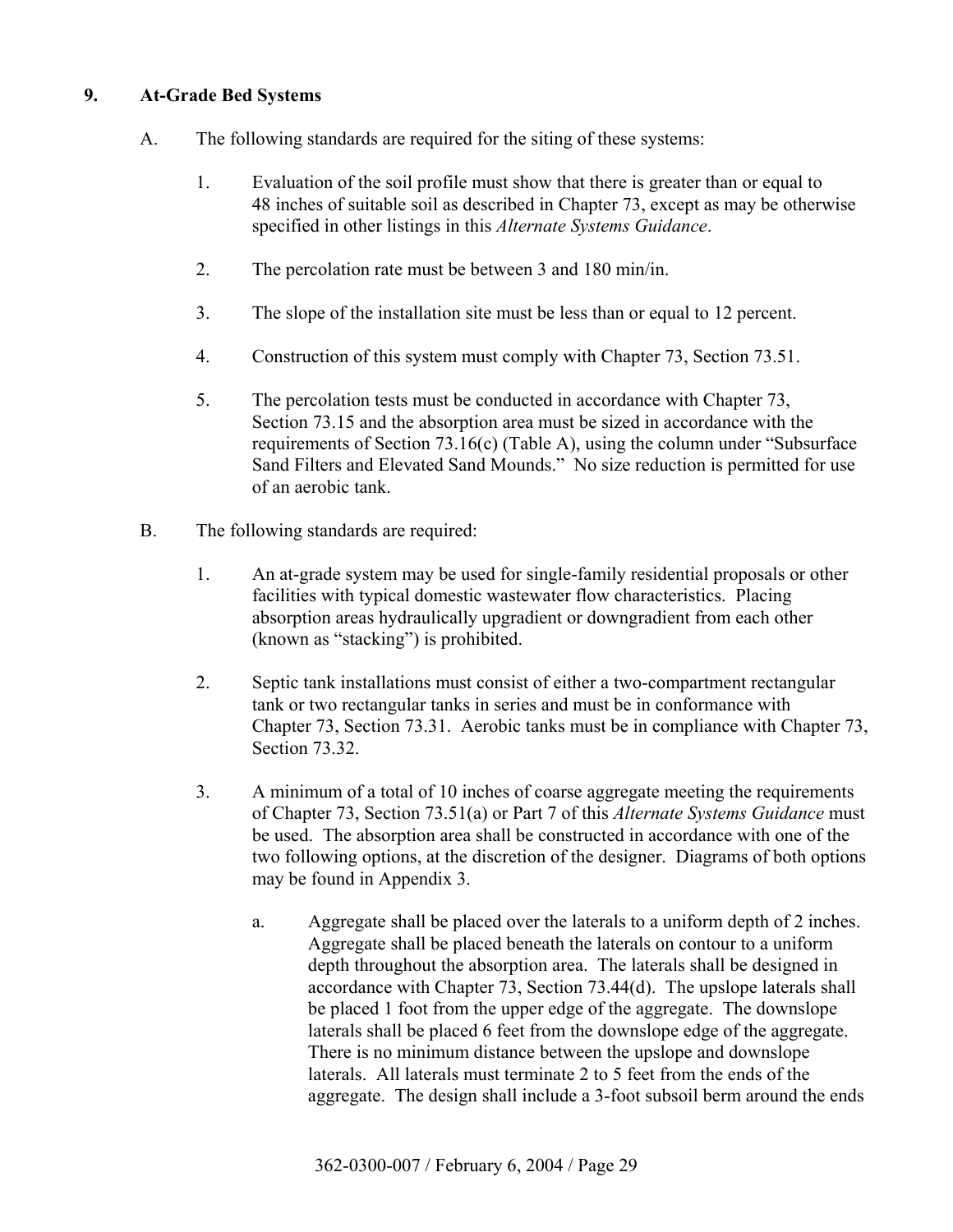## **9. At-Grade Bed Systems**

- A. The following standards are required for the siting of these systems:
	- 1. Evaluation of the soil profile must show that there is greater than or equal to 48 inches of suitable soil as described in Chapter 73, except as may be otherwise specified in other listings in this *Alternate Systems Guidance*.
	- 2. The percolation rate must be between 3 and 180 min/in.
	- 3. The slope of the installation site must be less than or equal to 12 percent.
	- 4. Construction of this system must comply with Chapter 73, Section 73.51.
	- 5. The percolation tests must be conducted in accordance with Chapter 73, Section 73.15 and the absorption area must be sized in accordance with the requirements of Section 73.16(c) (Table A), using the column under "Subsurface" Sand Filters and Elevated Sand Mounds." No size reduction is permitted for use of an aerobic tank.
- B. The following standards are required:
	- 1. An at-grade system may be used for single-family residential proposals or other facilities with typical domestic wastewater flow characteristics. Placing absorption areas hydraulically upgradient or downgradient from each other (known as "stacking") is prohibited.
	- 2. Septic tank installations must consist of either a two-compartment rectangular tank or two rectangular tanks in series and must be in conformance with Chapter 73, Section 73.31. Aerobic tanks must be in compliance with Chapter 73, Section 73.32.
	- 3. A minimum of a total of 10 inches of coarse aggregate meeting the requirements of Chapter 73, Section 73.51(a) or Part 7 of this *Alternate Systems Guidance* must be used. The absorption area shall be constructed in accordance with one of the two following options, at the discretion of the designer. Diagrams of both options may be found in Appendix 3.
		- a. Aggregate shall be placed over the laterals to a uniform depth of 2 inches. Aggregate shall be placed beneath the laterals on contour to a uniform depth throughout the absorption area. The laterals shall be designed in accordance with Chapter 73, Section 73.44(d). The upslope laterals shall be placed 1 foot from the upper edge of the aggregate. The downslope laterals shall be placed 6 feet from the downslope edge of the aggregate. There is no minimum distance between the upslope and downslope laterals. All laterals must terminate 2 to 5 feet from the ends of the aggregate. The design shall include a 3-foot subsoil berm around the ends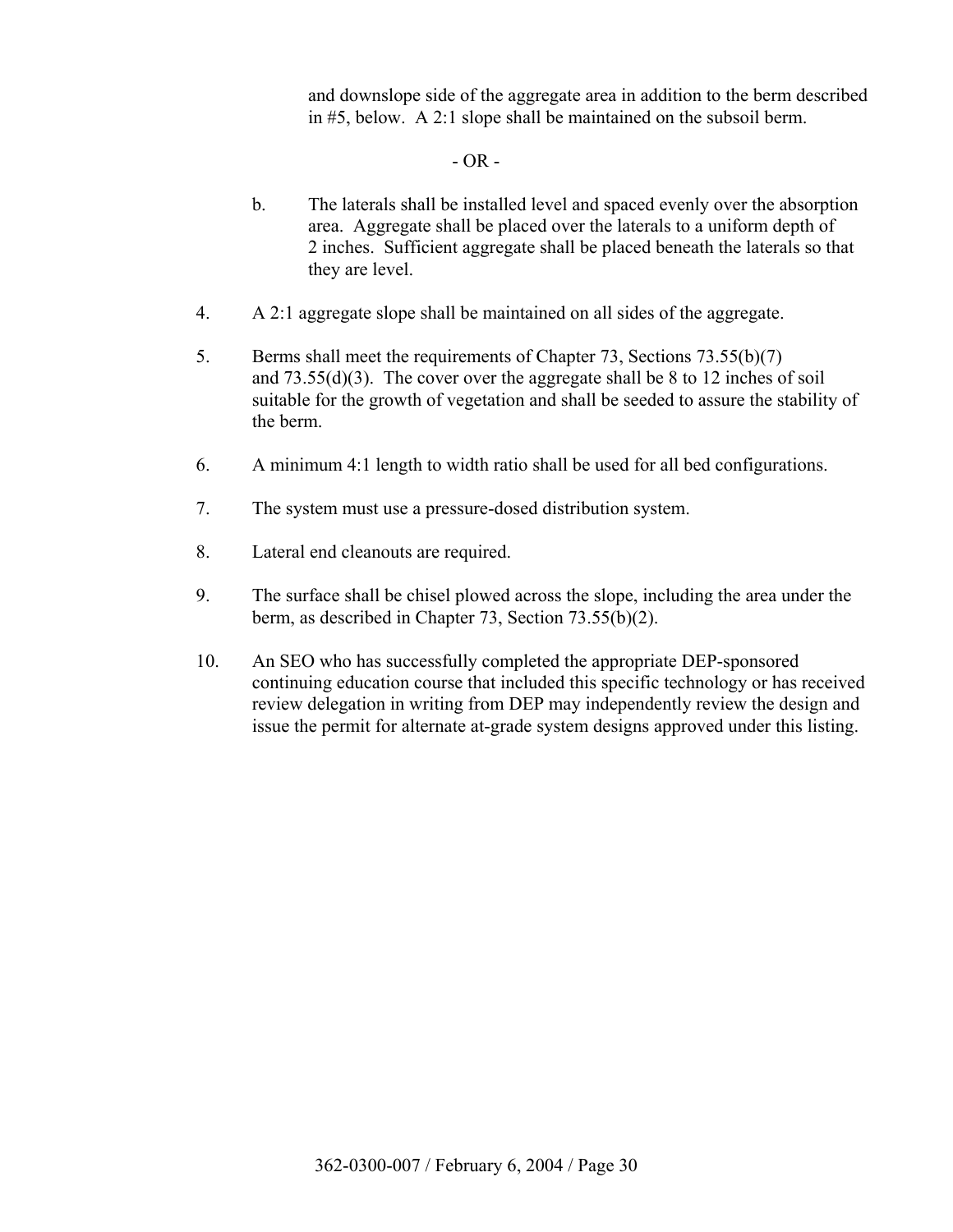and downslope side of the aggregate area in addition to the berm described in #5, below. A 2:1 slope shall be maintained on the subsoil berm.

#### $- OR -$

- b. The laterals shall be installed level and spaced evenly over the absorption area. Aggregate shall be placed over the laterals to a uniform depth of 2 inches. Sufficient aggregate shall be placed beneath the laterals so that they are level.
- 4. A 2:1 aggregate slope shall be maintained on all sides of the aggregate.
- 5. Berms shall meet the requirements of Chapter 73, Sections 73.55(b)(7) and 73.55(d)(3). The cover over the aggregate shall be 8 to 12 inches of soil suitable for the growth of vegetation and shall be seeded to assure the stability of the berm.
- 6. A minimum 4:1 length to width ratio shall be used for all bed configurations.
- 7. The system must use a pressure-dosed distribution system.
- 8. Lateral end cleanouts are required.
- 9. The surface shall be chisel plowed across the slope, including the area under the berm, as described in Chapter 73, Section 73.55(b)(2).
- 10. An SEO who has successfully completed the appropriate DEP-sponsored continuing education course that included this specific technology or has received review delegation in writing from DEP may independently review the design and issue the permit for alternate at-grade system designs approved under this listing.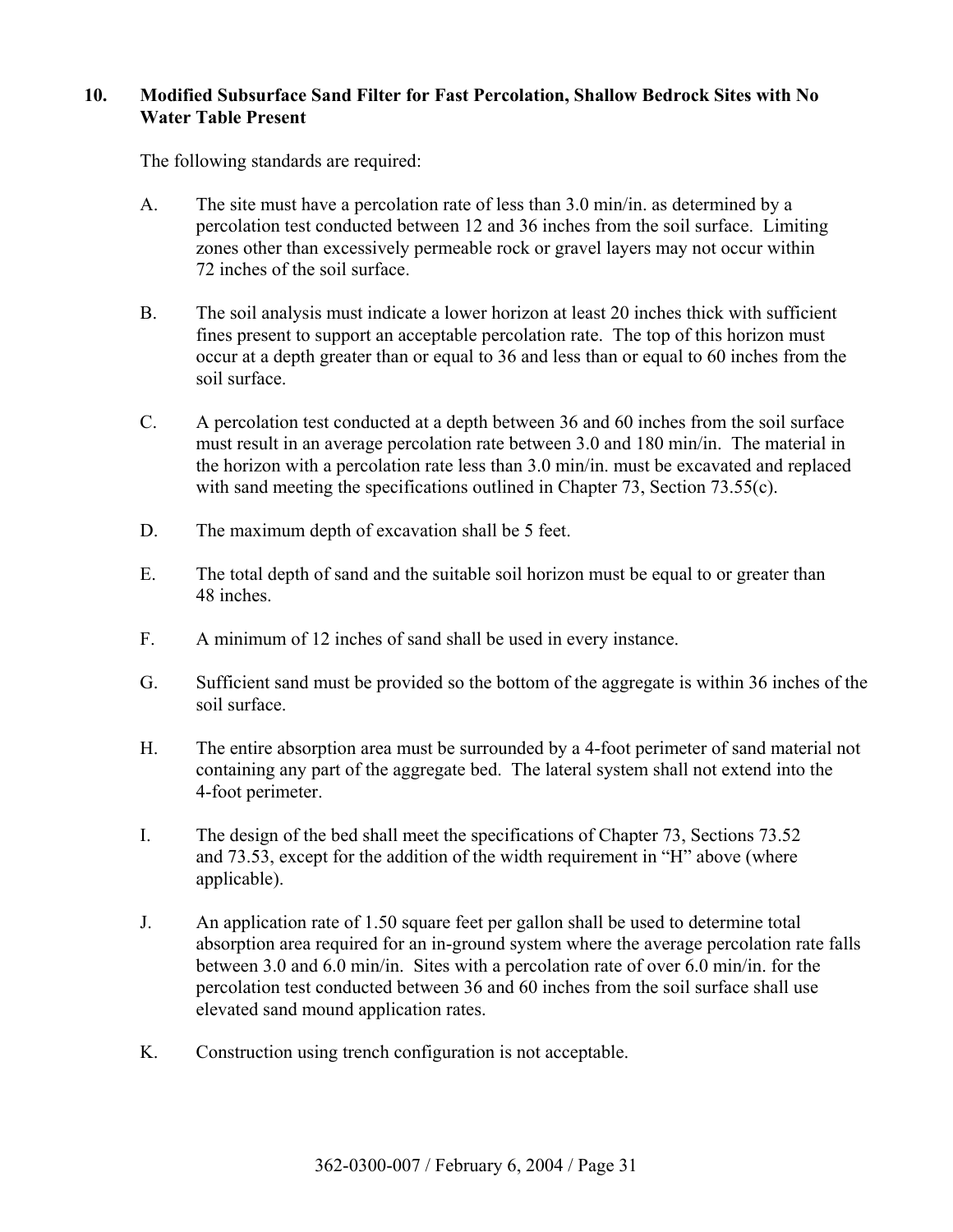#### **10. Modified Subsurface Sand Filter for Fast Percolation, Shallow Bedrock Sites with No Water Table Present**

The following standards are required:

- A. The site must have a percolation rate of less than 3.0 min/in. as determined by a percolation test conducted between 12 and 36 inches from the soil surface. Limiting zones other than excessively permeable rock or gravel layers may not occur within 72 inches of the soil surface.
- B. The soil analysis must indicate a lower horizon at least 20 inches thick with sufficient fines present to support an acceptable percolation rate. The top of this horizon must occur at a depth greater than or equal to 36 and less than or equal to 60 inches from the soil surface.
- C. A percolation test conducted at a depth between 36 and 60 inches from the soil surface must result in an average percolation rate between 3.0 and 180 min/in. The material in the horizon with a percolation rate less than 3.0 min/in. must be excavated and replaced with sand meeting the specifications outlined in Chapter 73, Section 73.55(c).
- D. The maximum depth of excavation shall be 5 feet.
- E. The total depth of sand and the suitable soil horizon must be equal to or greater than 48 inches.
- F. A minimum of 12 inches of sand shall be used in every instance.
- G. Sufficient sand must be provided so the bottom of the aggregate is within 36 inches of the soil surface.
- H. The entire absorption area must be surrounded by a 4-foot perimeter of sand material not containing any part of the aggregate bed. The lateral system shall not extend into the 4-foot perimeter.
- I. The design of the bed shall meet the specifications of Chapter 73, Sections 73.52 and  $73.53$ , except for the addition of the width requirement in "H" above (where applicable).
- J. An application rate of 1.50 square feet per gallon shall be used to determine total absorption area required for an in-ground system where the average percolation rate falls between 3.0 and 6.0 min/in. Sites with a percolation rate of over 6.0 min/in. for the percolation test conducted between 36 and 60 inches from the soil surface shall use elevated sand mound application rates.
- K. Construction using trench configuration is not acceptable.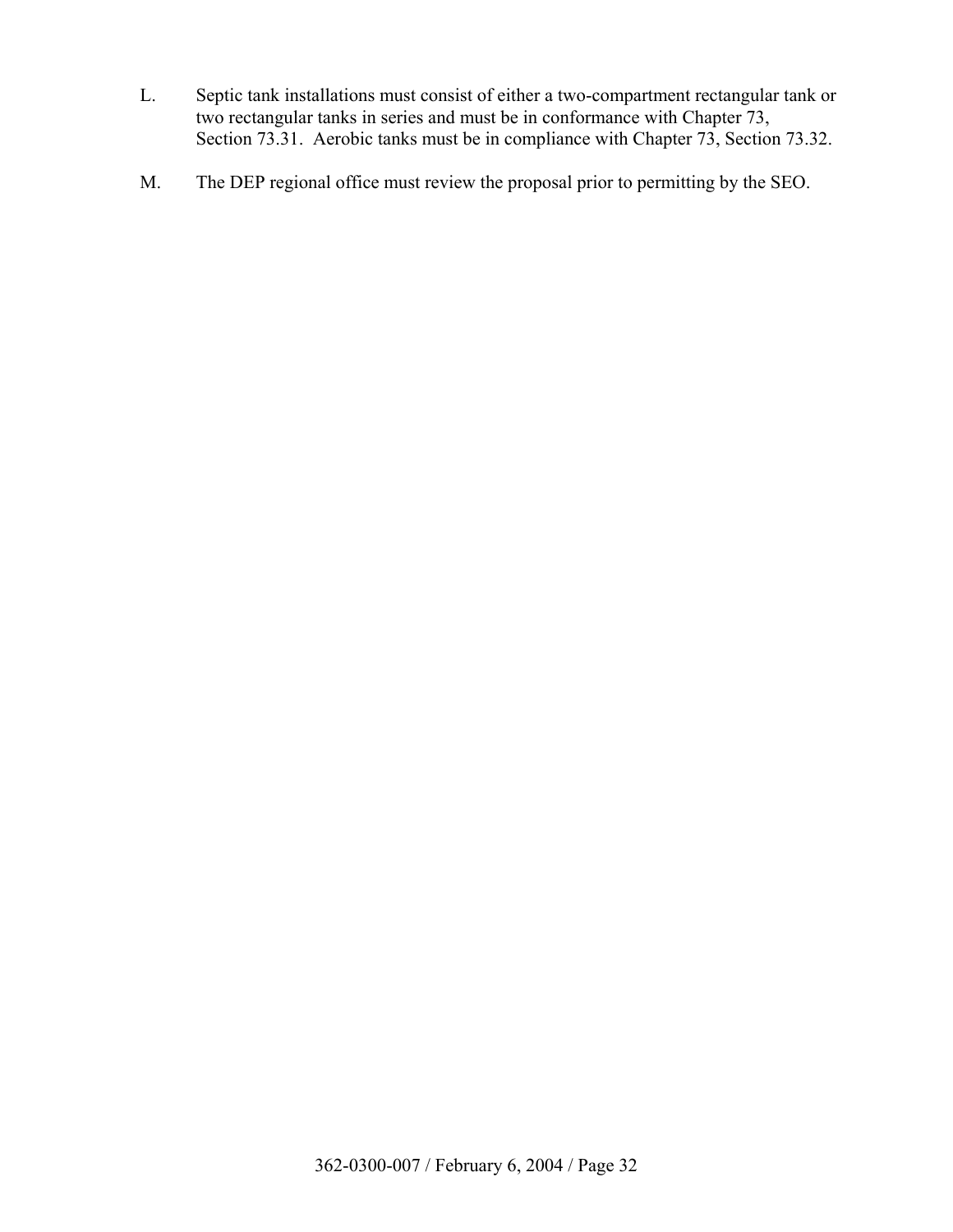- L. Septic tank installations must consist of either a two-compartment rectangular tank or two rectangular tanks in series and must be in conformance with Chapter 73, Section 73.31. Aerobic tanks must be in compliance with Chapter 73, Section 73.32.
- M. The DEP regional office must review the proposal prior to permitting by the SEO.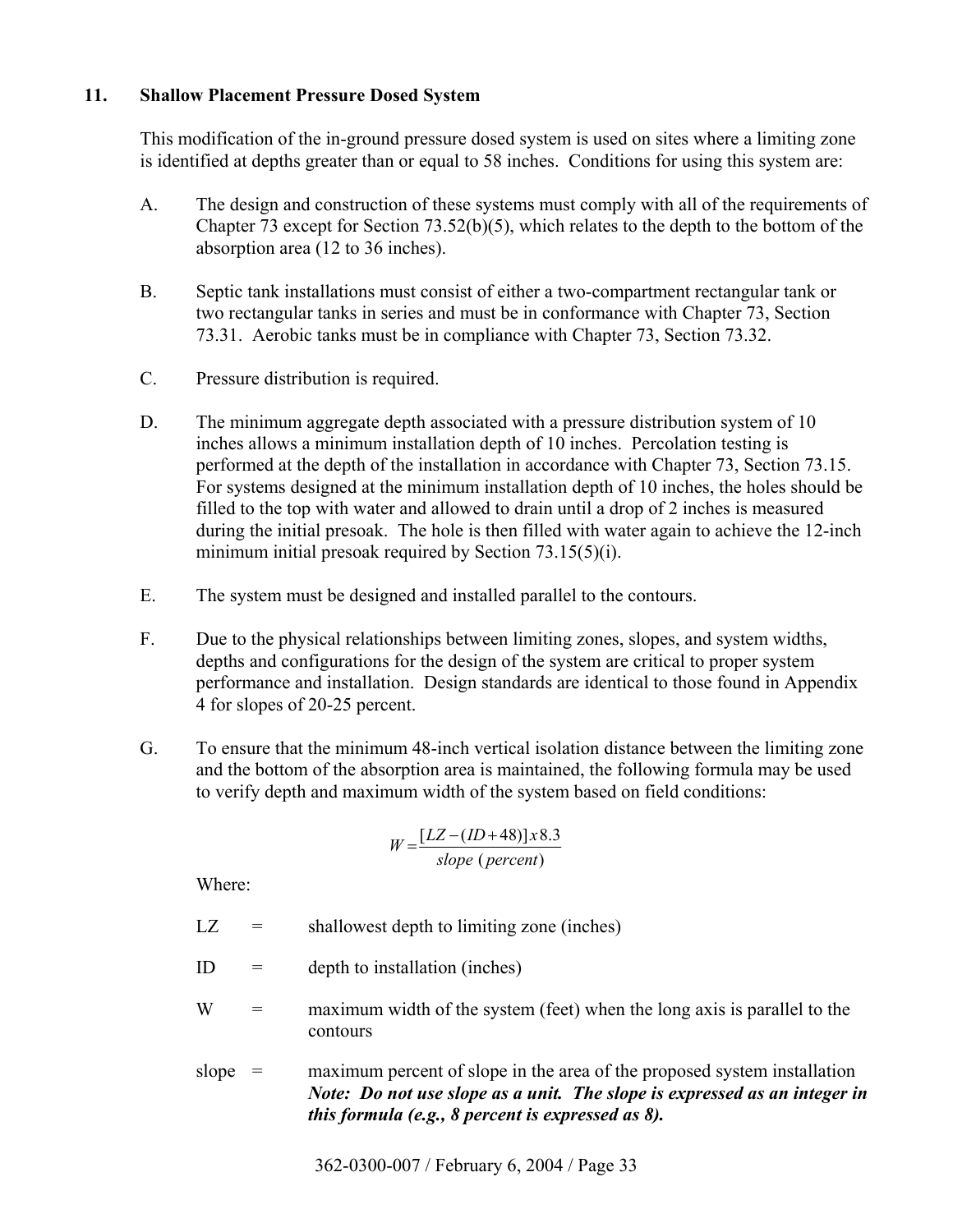## **11. Shallow Placement Pressure Dosed System**

 This modification of the in-ground pressure dosed system is used on sites where a limiting zone is identified at depths greater than or equal to 58 inches. Conditions for using this system are:

- A. The design and construction of these systems must comply with all of the requirements of Chapter 73 except for Section 73.52(b)(5), which relates to the depth to the bottom of the absorption area (12 to 36 inches).
- B. Septic tank installations must consist of either a two-compartment rectangular tank or two rectangular tanks in series and must be in conformance with Chapter 73, Section 73.31. Aerobic tanks must be in compliance with Chapter 73, Section 73.32.
- C. Pressure distribution is required.
- D. The minimum aggregate depth associated with a pressure distribution system of 10 inches allows a minimum installation depth of 10 inches. Percolation testing is performed at the depth of the installation in accordance with Chapter 73, Section 73.15. For systems designed at the minimum installation depth of 10 inches, the holes should be filled to the top with water and allowed to drain until a drop of 2 inches is measured during the initial presoak. The hole is then filled with water again to achieve the 12-inch minimum initial presoak required by Section 73.15(5)(i).
- E. The system must be designed and installed parallel to the contours.
- F. Due to the physical relationships between limiting zones, slopes, and system widths, depths and configurations for the design of the system are critical to proper system performance and installation. Design standards are identical to those found in Appendix 4 for slopes of 20-25 percent.
- G. To ensure that the minimum 48-inch vertical isolation distance between the limiting zone and the bottom of the absorption area is maintained, the following formula may be used to verify depth and maximum width of the system based on field conditions:

$$
W = \frac{[LZ - (ID + 48)] \times 8.3}{slope (percent)}
$$

Where:

- $LZ =$  shallowest depth to limiting zone (inches)
- $ID =$  depth to installation (inches)
- $W =$  maximum width of the system (feet) when the long axis is parallel to the contours
- slope  $=$  maximum percent of slope in the area of the proposed system installation *Note: Do not use slope as a unit. The slope is expressed as an integer in this formula (e.g., 8 percent is expressed as 8).*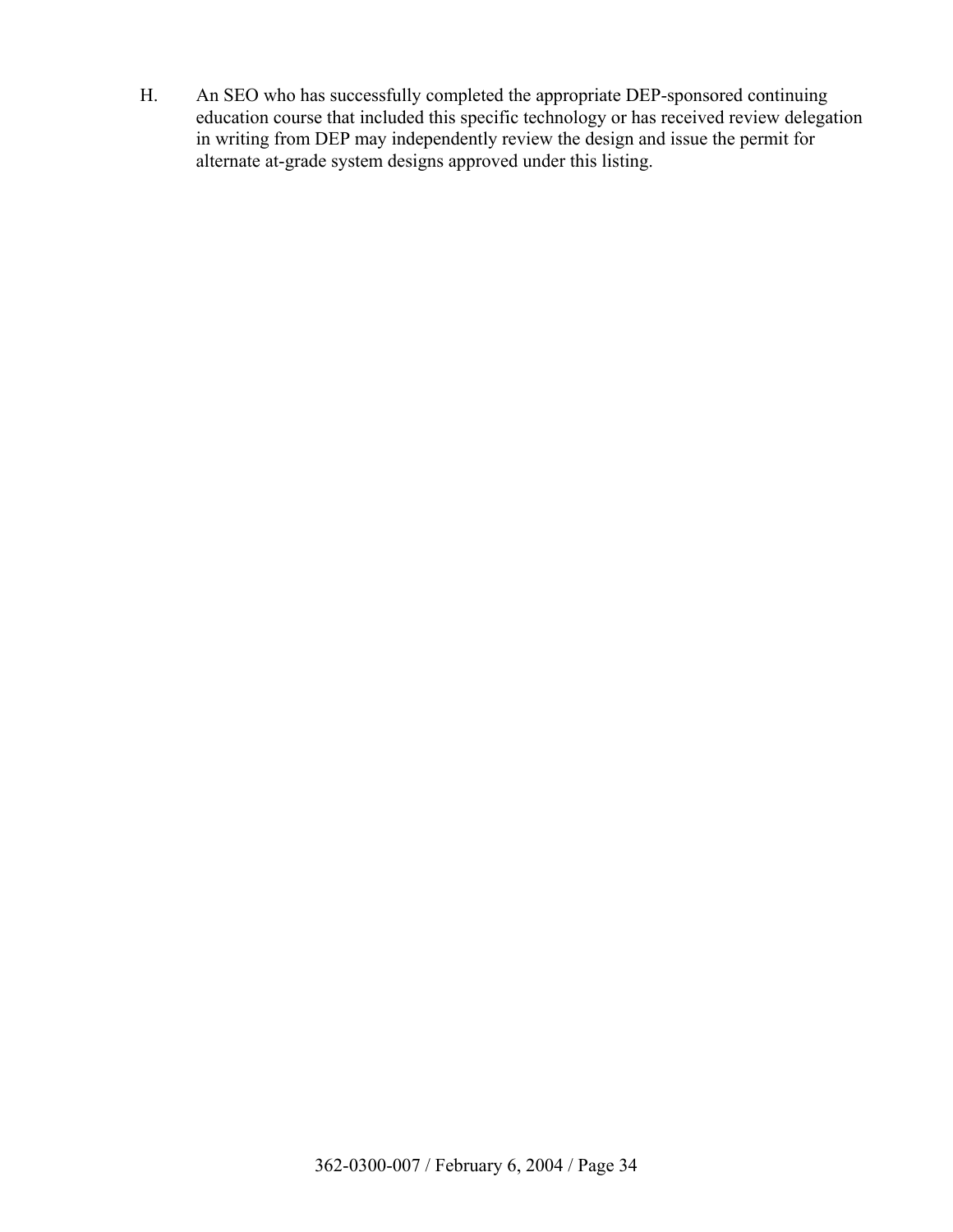H. An SEO who has successfully completed the appropriate DEP-sponsored continuing education course that included this specific technology or has received review delegation in writing from DEP may independently review the design and issue the permit for alternate at-grade system designs approved under this listing.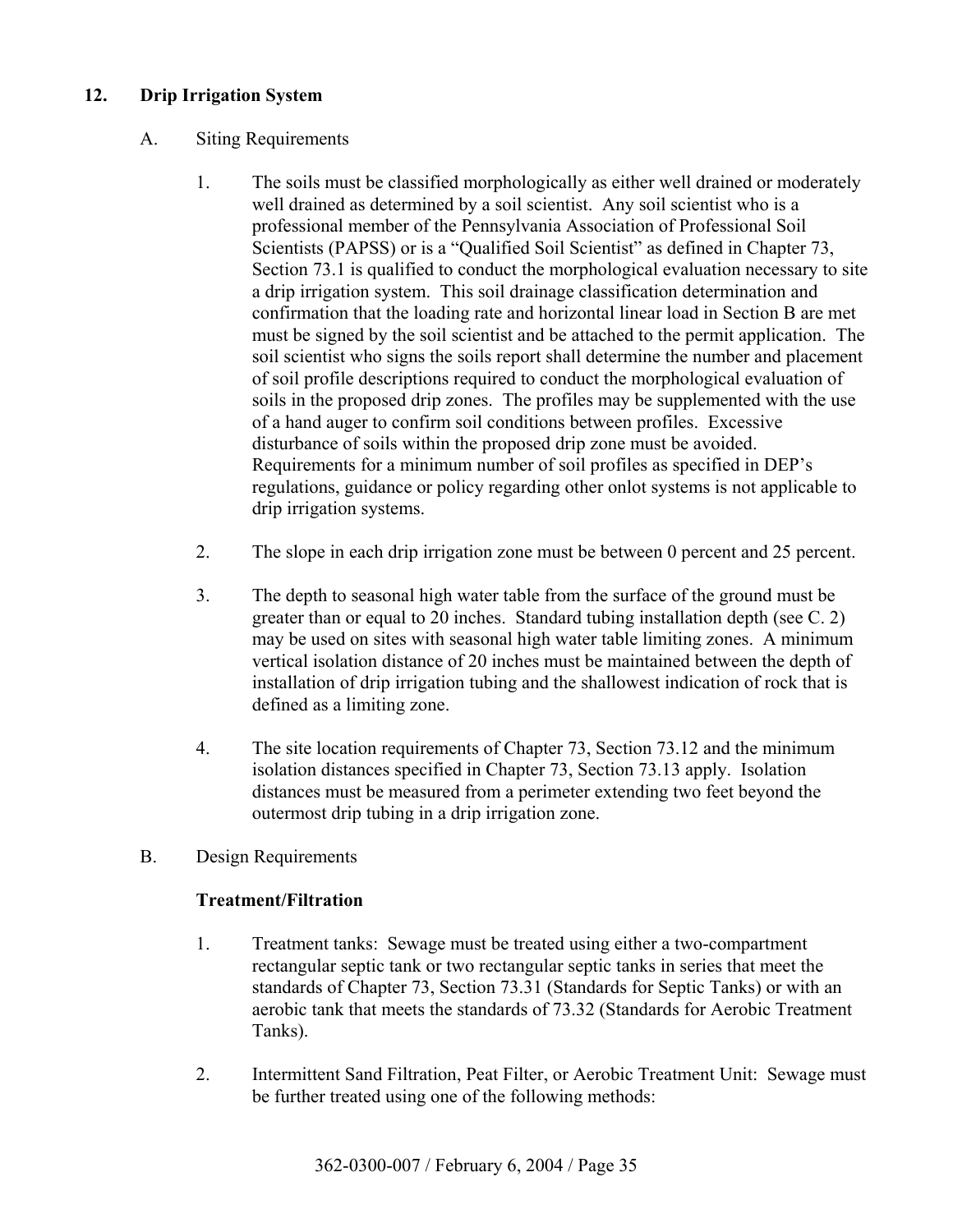# **12. Drip Irrigation System**

#### A. Siting Requirements

- 1. The soils must be classified morphologically as either well drained or moderately well drained as determined by a soil scientist. Any soil scientist who is a professional member of the Pennsylvania Association of Professional Soil Scientists (PAPSS) or is a "Qualified Soil Scientist" as defined in Chapter 73, Section 73.1 is qualified to conduct the morphological evaluation necessary to site a drip irrigation system. This soil drainage classification determination and confirmation that the loading rate and horizontal linear load in Section B are met must be signed by the soil scientist and be attached to the permit application. The soil scientist who signs the soils report shall determine the number and placement of soil profile descriptions required to conduct the morphological evaluation of soils in the proposed drip zones. The profiles may be supplemented with the use of a hand auger to confirm soil conditions between profiles. Excessive disturbance of soils within the proposed drip zone must be avoided. Requirements for a minimum number of soil profiles as specified in DEP's regulations, guidance or policy regarding other onlot systems is not applicable to drip irrigation systems.
- 2. The slope in each drip irrigation zone must be between 0 percent and 25 percent.
- 3. The depth to seasonal high water table from the surface of the ground must be greater than or equal to 20 inches. Standard tubing installation depth (see C. 2) may be used on sites with seasonal high water table limiting zones. A minimum vertical isolation distance of 20 inches must be maintained between the depth of installation of drip irrigation tubing and the shallowest indication of rock that is defined as a limiting zone.
- 4. The site location requirements of Chapter 73, Section 73.12 and the minimum isolation distances specified in Chapter 73, Section 73.13 apply. Isolation distances must be measured from a perimeter extending two feet beyond the outermost drip tubing in a drip irrigation zone.
- B. Design Requirements

#### **Treatment/Filtration**

- 1. Treatment tanks: Sewage must be treated using either a two-compartment rectangular septic tank or two rectangular septic tanks in series that meet the standards of Chapter 73, Section 73.31 (Standards for Septic Tanks) or with an aerobic tank that meets the standards of 73.32 (Standards for Aerobic Treatment Tanks).
- 2. Intermittent Sand Filtration, Peat Filter, or Aerobic Treatment Unit: Sewage must be further treated using one of the following methods: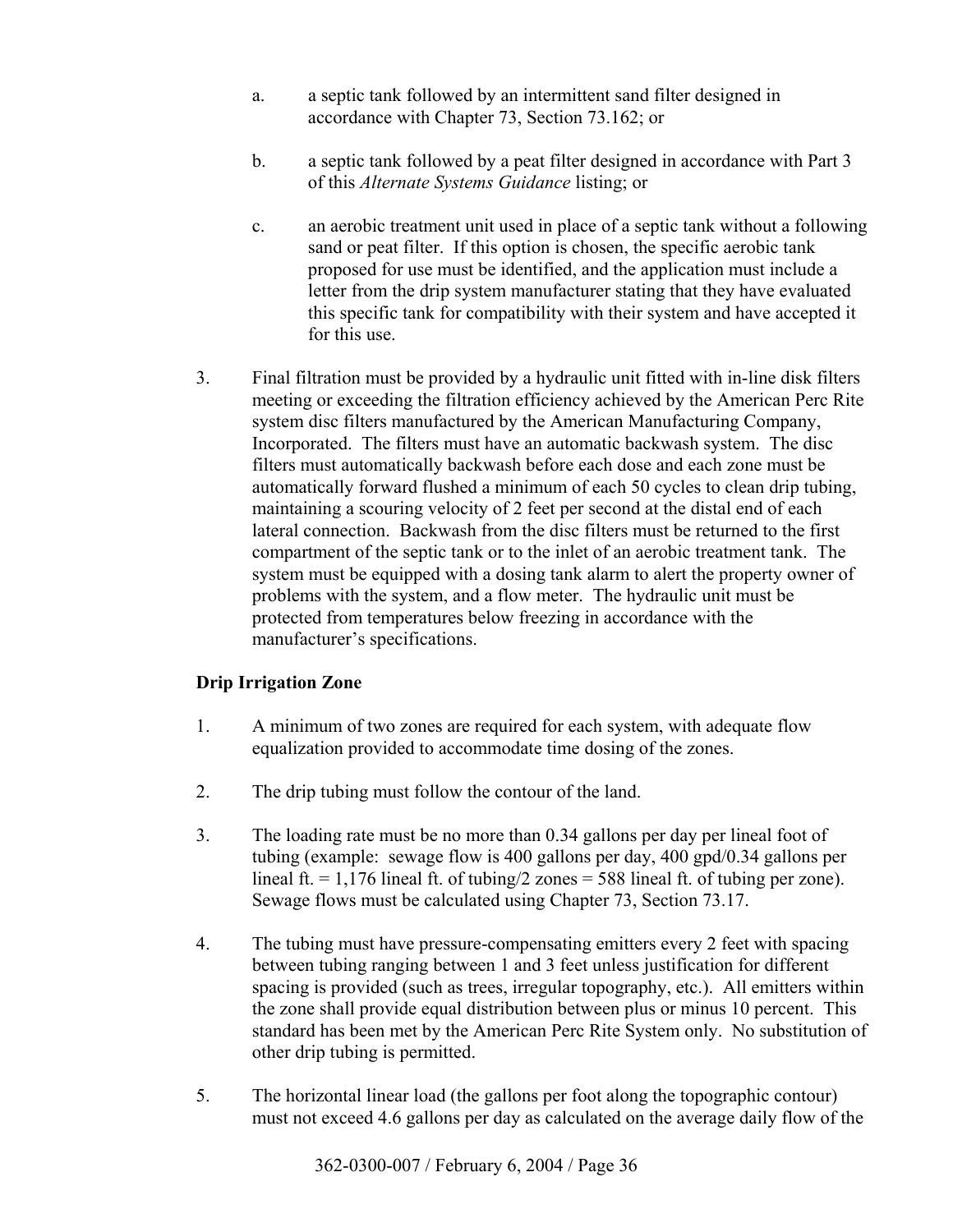- a. a septic tank followed by an intermittent sand filter designed in accordance with Chapter 73, Section 73.162; or
- b. a septic tank followed by a peat filter designed in accordance with Part 3 of this *Alternate Systems Guidance* listing; or
- c. an aerobic treatment unit used in place of a septic tank without a following sand or peat filter. If this option is chosen, the specific aerobic tank proposed for use must be identified, and the application must include a letter from the drip system manufacturer stating that they have evaluated this specific tank for compatibility with their system and have accepted it for this use.
- 3. Final filtration must be provided by a hydraulic unit fitted with in-line disk filters meeting or exceeding the filtration efficiency achieved by the American Perc Rite system disc filters manufactured by the American Manufacturing Company, Incorporated. The filters must have an automatic backwash system. The disc filters must automatically backwash before each dose and each zone must be automatically forward flushed a minimum of each 50 cycles to clean drip tubing, maintaining a scouring velocity of 2 feet per second at the distal end of each lateral connection. Backwash from the disc filters must be returned to the first compartment of the septic tank or to the inlet of an aerobic treatment tank. The system must be equipped with a dosing tank alarm to alert the property owner of problems with the system, and a flow meter. The hydraulic unit must be protected from temperatures below freezing in accordance with the manufacturer's specifications.

#### **Drip Irrigation Zone**

- 1. A minimum of two zones are required for each system, with adequate flow equalization provided to accommodate time dosing of the zones.
- 2. The drip tubing must follow the contour of the land.
- 3. The loading rate must be no more than 0.34 gallons per day per lineal foot of tubing (example: sewage flow is 400 gallons per day, 400 gpd/0.34 gallons per lineal ft.  $= 1,176$  lineal ft. of tubing/2 zones  $= 588$  lineal ft. of tubing per zone). Sewage flows must be calculated using Chapter 73, Section 73.17.
- 4. The tubing must have pressure-compensating emitters every 2 feet with spacing between tubing ranging between 1 and 3 feet unless justification for different spacing is provided (such as trees, irregular topography, etc.). All emitters within the zone shall provide equal distribution between plus or minus 10 percent. This standard has been met by the American Perc Rite System only. No substitution of other drip tubing is permitted.
- 5. The horizontal linear load (the gallons per foot along the topographic contour) must not exceed 4.6 gallons per day as calculated on the average daily flow of the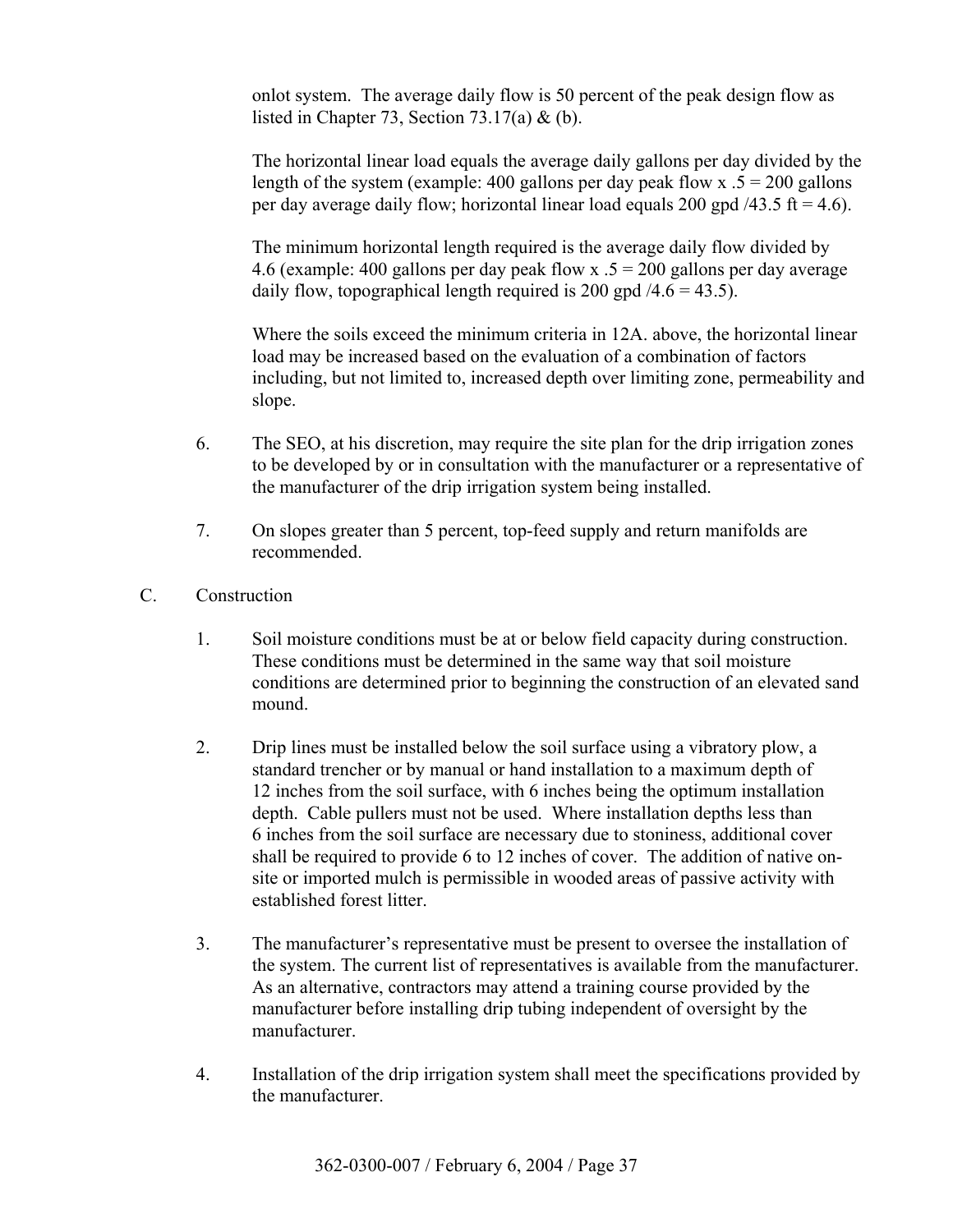onlot system. The average daily flow is 50 percent of the peak design flow as listed in Chapter 73, Section 73.17(a) & (b).

 The horizontal linear load equals the average daily gallons per day divided by the length of the system (example: 400 gallons per day peak flow x  $.5 = 200$  gallons per day average daily flow; horizontal linear load equals 200 gpd  $/43.5$  ft = 4.6).

 The minimum horizontal length required is the average daily flow divided by 4.6 (example: 400 gallons per day peak flow x  $.5 = 200$  gallons per day average daily flow, topographical length required is 200 gpd  $/4.6 = 43.5$ ).

 Where the soils exceed the minimum criteria in 12A. above, the horizontal linear load may be increased based on the evaluation of a combination of factors including, but not limited to, increased depth over limiting zone, permeability and slope.

- 6. The SEO, at his discretion, may require the site plan for the drip irrigation zones to be developed by or in consultation with the manufacturer or a representative of the manufacturer of the drip irrigation system being installed.
- 7. On slopes greater than 5 percent, top-feed supply and return manifolds are recommended.
- C. Construction
	- 1. Soil moisture conditions must be at or below field capacity during construction. These conditions must be determined in the same way that soil moisture conditions are determined prior to beginning the construction of an elevated sand mound.
	- 2. Drip lines must be installed below the soil surface using a vibratory plow, a standard trencher or by manual or hand installation to a maximum depth of 12 inches from the soil surface, with 6 inches being the optimum installation depth. Cable pullers must not be used. Where installation depths less than 6 inches from the soil surface are necessary due to stoniness, additional cover shall be required to provide 6 to 12 inches of cover. The addition of native onsite or imported mulch is permissible in wooded areas of passive activity with established forest litter.
	- 3. The manufacturer's representative must be present to oversee the installation of the system. The current list of representatives is available from the manufacturer. As an alternative, contractors may attend a training course provided by the manufacturer before installing drip tubing independent of oversight by the manufacturer.
	- 4. Installation of the drip irrigation system shall meet the specifications provided by the manufacturer.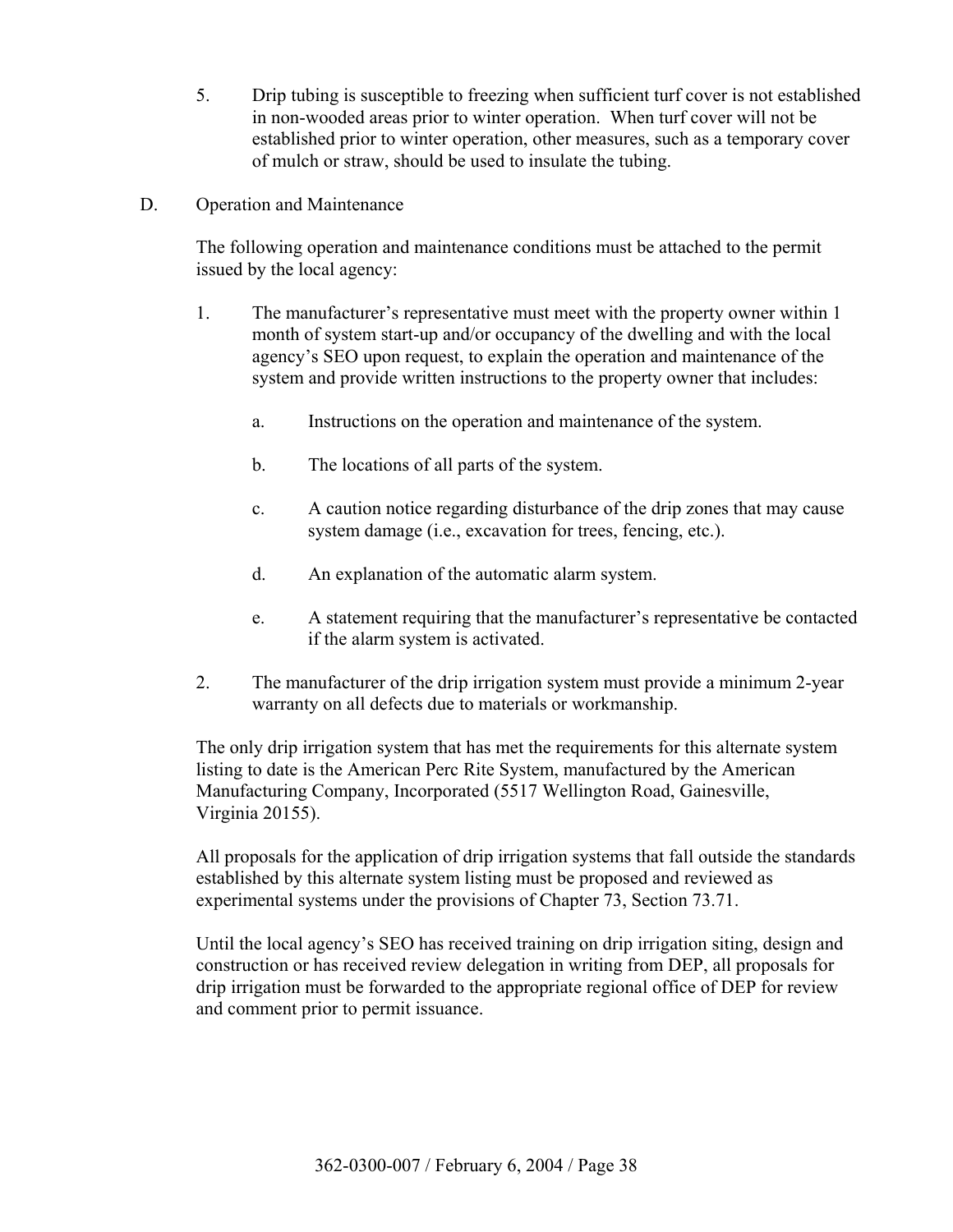- 5. Drip tubing is susceptible to freezing when sufficient turf cover is not established in non-wooded areas prior to winter operation. When turf cover will not be established prior to winter operation, other measures, such as a temporary cover of mulch or straw, should be used to insulate the tubing.
- D. Operation and Maintenance

 The following operation and maintenance conditions must be attached to the permit issued by the local agency:

- 1. The manufacturer's representative must meet with the property owner within 1 month of system start-up and/or occupancy of the dwelling and with the local agency's SEO upon request, to explain the operation and maintenance of the system and provide written instructions to the property owner that includes:
	- a. Instructions on the operation and maintenance of the system.
	- b. The locations of all parts of the system.
	- c. A caution notice regarding disturbance of the drip zones that may cause system damage (i.e., excavation for trees, fencing, etc.).
	- d. An explanation of the automatic alarm system.
	- e. A statement requiring that the manufacturer's representative be contacted if the alarm system is activated.
- 2. The manufacturer of the drip irrigation system must provide a minimum 2-year warranty on all defects due to materials or workmanship.

 The only drip irrigation system that has met the requirements for this alternate system listing to date is the American Perc Rite System, manufactured by the American Manufacturing Company, Incorporated (5517 Wellington Road, Gainesville, Virginia 20155).

 All proposals for the application of drip irrigation systems that fall outside the standards established by this alternate system listing must be proposed and reviewed as experimental systems under the provisions of Chapter 73, Section 73.71.

Until the local agency's SEO has received training on drip irrigation siting, design and construction or has received review delegation in writing from DEP, all proposals for drip irrigation must be forwarded to the appropriate regional office of DEP for review and comment prior to permit issuance.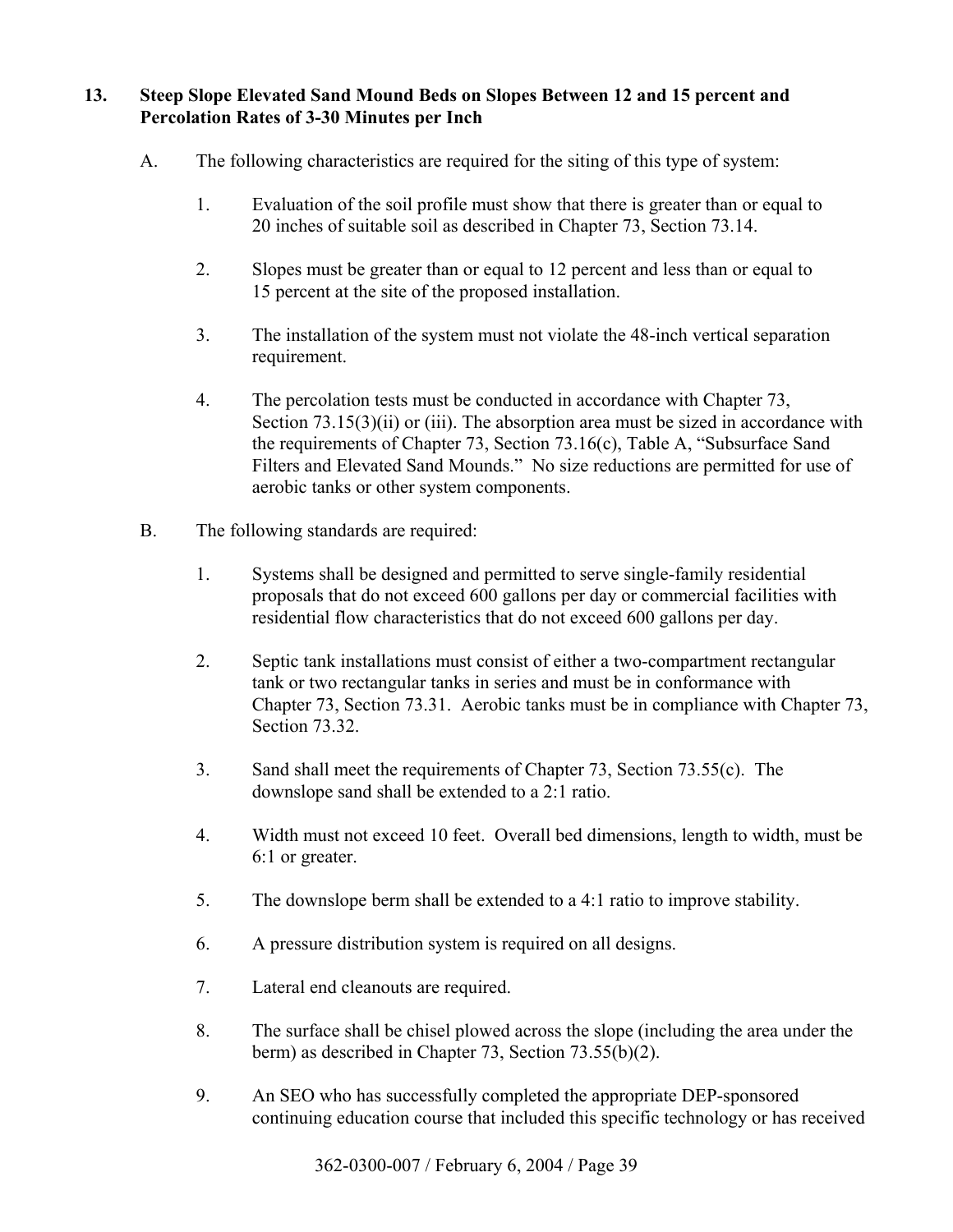## **13. Steep Slope Elevated Sand Mound Beds on Slopes Between 12 and 15 percent and Percolation Rates of 3-30 Minutes per Inch**

- A. The following characteristics are required for the siting of this type of system:
	- 1. Evaluation of the soil profile must show that there is greater than or equal to 20 inches of suitable soil as described in Chapter 73, Section 73.14.
	- 2. Slopes must be greater than or equal to 12 percent and less than or equal to 15 percent at the site of the proposed installation.
	- 3. The installation of the system must not violate the 48-inch vertical separation requirement.
	- 4. The percolation tests must be conducted in accordance with Chapter 73, Section  $73.15(3)(ii)$  or (iii). The absorption area must be sized in accordance with the requirements of Chapter 73, Section 73.16(c), Table A, "Subsurface Sand Filters and Elevated Sand Mounds." No size reductions are permitted for use of aerobic tanks or other system components.
- B. The following standards are required:
	- 1. Systems shall be designed and permitted to serve single-family residential proposals that do not exceed 600 gallons per day or commercial facilities with residential flow characteristics that do not exceed 600 gallons per day.
	- 2. Septic tank installations must consist of either a two-compartment rectangular tank or two rectangular tanks in series and must be in conformance with Chapter 73, Section 73.31. Aerobic tanks must be in compliance with Chapter 73, Section 73.32.
	- 3. Sand shall meet the requirements of Chapter 73, Section 73.55(c). The downslope sand shall be extended to a 2:1 ratio.
	- 4. Width must not exceed 10 feet. Overall bed dimensions, length to width, must be 6:1 or greater.
	- 5. The downslope berm shall be extended to a 4:1 ratio to improve stability.
	- 6. A pressure distribution system is required on all designs.
	- 7. Lateral end cleanouts are required.
	- 8. The surface shall be chisel plowed across the slope (including the area under the berm) as described in Chapter 73, Section 73.55(b)(2).
	- 9. An SEO who has successfully completed the appropriate DEP-sponsored continuing education course that included this specific technology or has received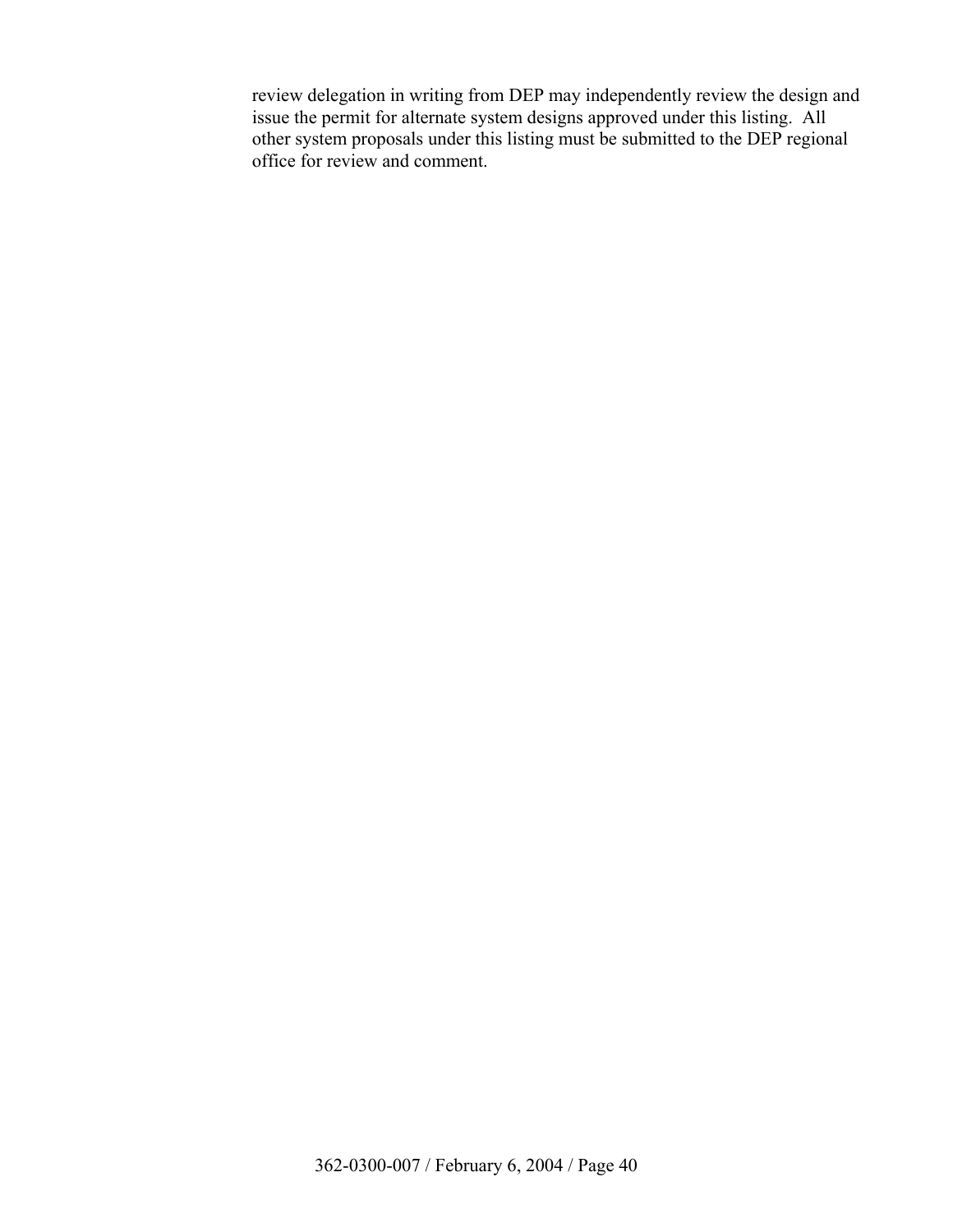review delegation in writing from DEP may independently review the design and issue the permit for alternate system designs approved under this listing. All other system proposals under this listing must be submitted to the DEP regional office for review and comment.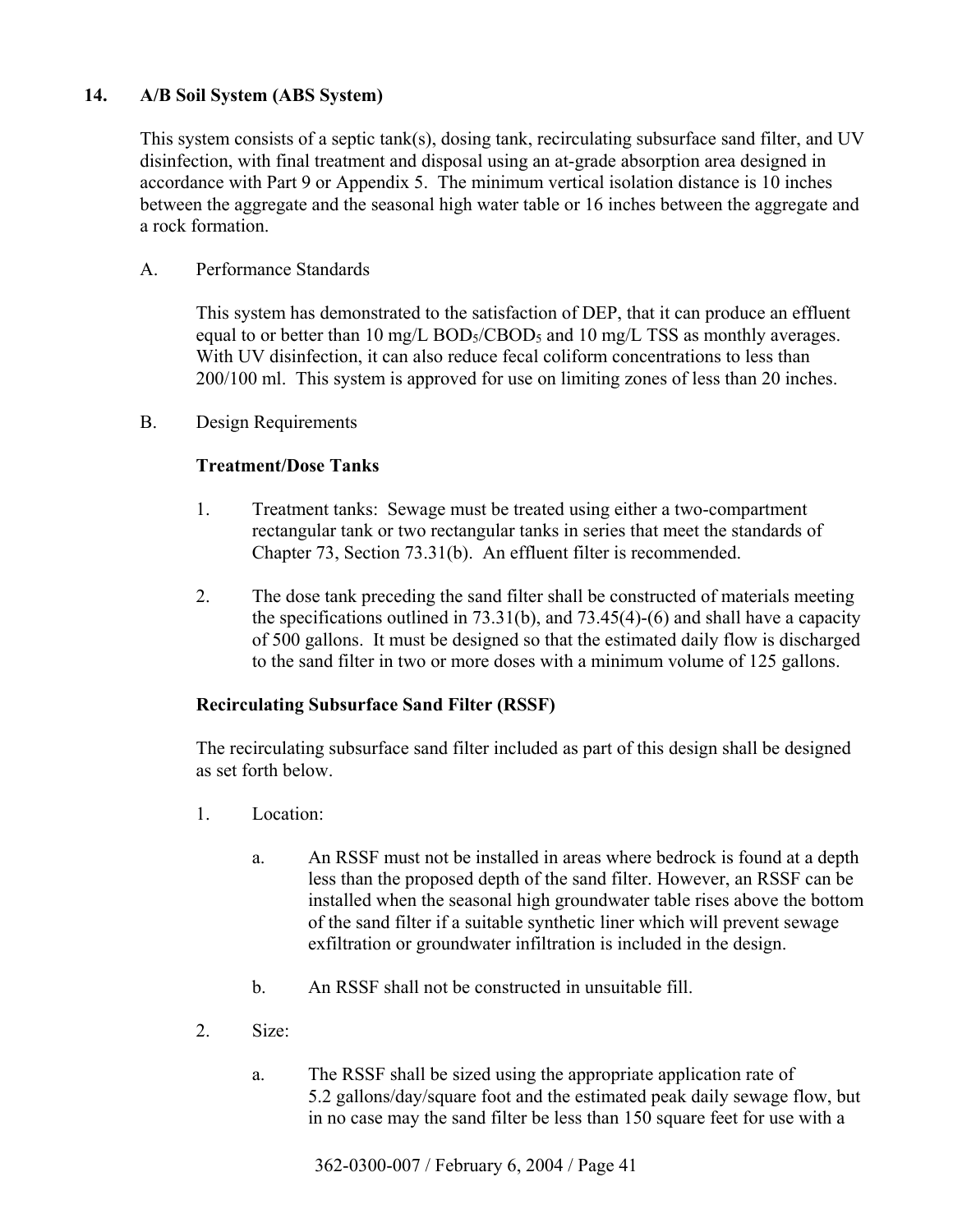# **14. A/B Soil System (ABS System)**

 This system consists of a septic tank(s), dosing tank, recirculating subsurface sand filter, and UV disinfection, with final treatment and disposal using an at-grade absorption area designed in accordance with Part 9 or Appendix 5. The minimum vertical isolation distance is 10 inches between the aggregate and the seasonal high water table or 16 inches between the aggregate and a rock formation.

#### A. Performance Standards

 This system has demonstrated to the satisfaction of DEP, that it can produce an effluent equal to or better than 10 mg/L BOD<sub>5</sub>/CBOD<sub>5</sub> and 10 mg/L TSS as monthly averages. With UV disinfection, it can also reduce fecal coliform concentrations to less than 200/100 ml. This system is approved for use on limiting zones of less than 20 inches.

B. Design Requirements

## **Treatment/Dose Tanks**

- 1. Treatment tanks: Sewage must be treated using either a two-compartment rectangular tank or two rectangular tanks in series that meet the standards of Chapter 73, Section 73.31(b). An effluent filter is recommended.
- 2. The dose tank preceding the sand filter shall be constructed of materials meeting the specifications outlined in 73.31(b), and 73.45(4)-(6) and shall have a capacity of 500 gallons. It must be designed so that the estimated daily flow is discharged to the sand filter in two or more doses with a minimum volume of 125 gallons.

#### **Recirculating Subsurface Sand Filter (RSSF)**

 The recirculating subsurface sand filter included as part of this design shall be designed as set forth below.

- 1. Location:
	- a. An RSSF must not be installed in areas where bedrock is found at a depth less than the proposed depth of the sand filter. However, an RSSF can be installed when the seasonal high groundwater table rises above the bottom of the sand filter if a suitable synthetic liner which will prevent sewage exfiltration or groundwater infiltration is included in the design.
	- b. An RSSF shall not be constructed in unsuitable fill.
- 2. Size:
	- a. The RSSF shall be sized using the appropriate application rate of 5.2 gallons/day/square foot and the estimated peak daily sewage flow, but in no case may the sand filter be less than 150 square feet for use with a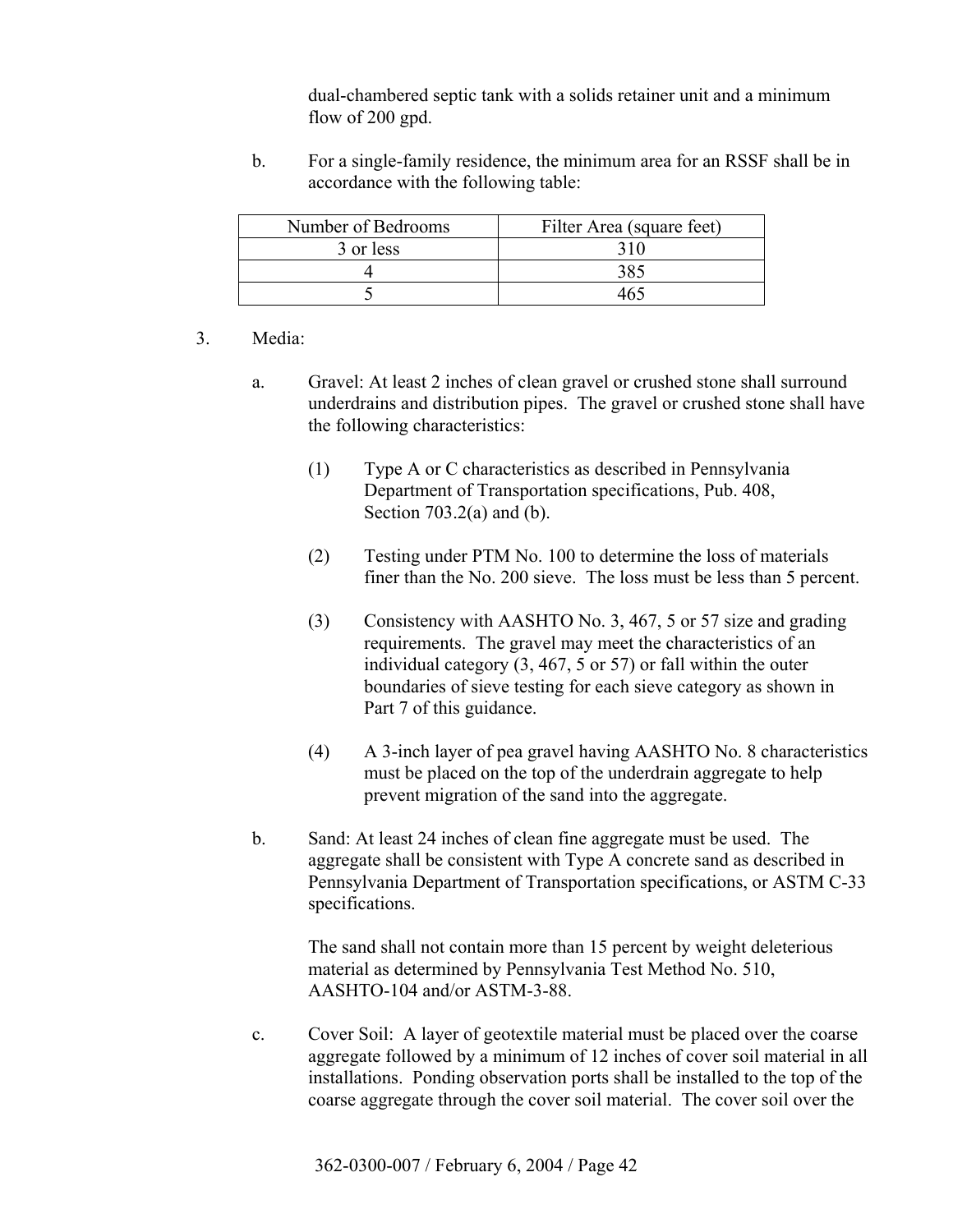dual-chambered septic tank with a solids retainer unit and a minimum flow of 200 gpd.

 b. For a single-family residence, the minimum area for an RSSF shall be in accordance with the following table:

| Number of Bedrooms | Filter Area (square feet) |
|--------------------|---------------------------|
| 3 or less          |                           |
|                    | 385                       |
|                    |                           |

#### 3. Media:

- a. Gravel: At least 2 inches of clean gravel or crushed stone shall surround underdrains and distribution pipes. The gravel or crushed stone shall have the following characteristics:
	- (1) Type A or C characteristics as described in Pennsylvania Department of Transportation specifications, Pub. 408, Section  $703.2(a)$  and (b).
	- (2) Testing under PTM No. 100 to determine the loss of materials finer than the No. 200 sieve. The loss must be less than 5 percent.
	- (3) Consistency with AASHTO No. 3, 467, 5 or 57 size and grading requirements. The gravel may meet the characteristics of an individual category (3, 467, 5 or 57) or fall within the outer boundaries of sieve testing for each sieve category as shown in Part 7 of this guidance.
	- (4) A 3-inch layer of pea gravel having AASHTO No. 8 characteristics must be placed on the top of the underdrain aggregate to help prevent migration of the sand into the aggregate.
- b. Sand: At least 24 inches of clean fine aggregate must be used. The aggregate shall be consistent with Type A concrete sand as described in Pennsylvania Department of Transportation specifications, or ASTM C-33 specifications.

 The sand shall not contain more than 15 percent by weight deleterious material as determined by Pennsylvania Test Method No. 510, AASHTO-104 and/or ASTM-3-88.

 c. Cover Soil: A layer of geotextile material must be placed over the coarse aggregate followed by a minimum of 12 inches of cover soil material in all installations. Ponding observation ports shall be installed to the top of the coarse aggregate through the cover soil material. The cover soil over the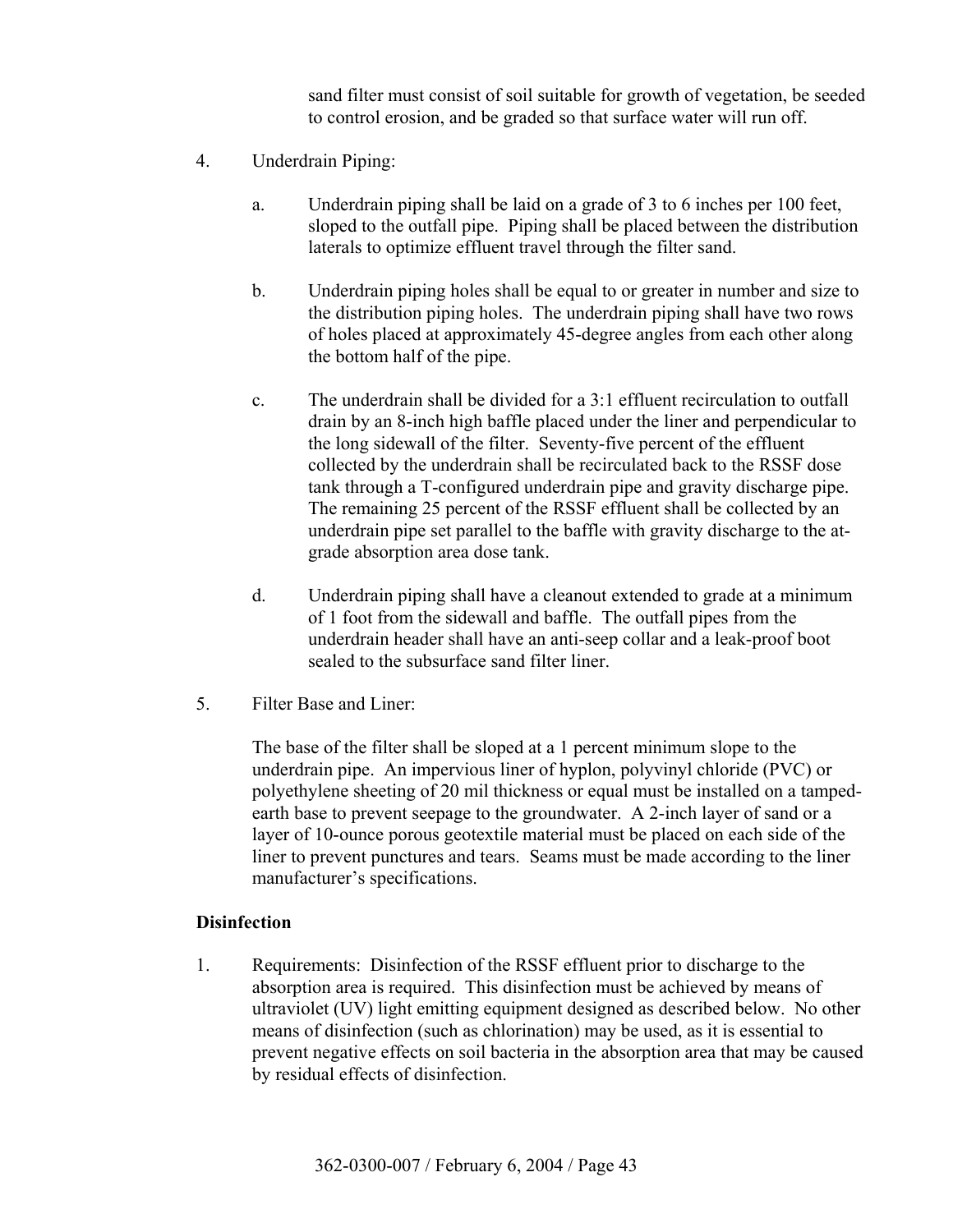sand filter must consist of soil suitable for growth of vegetation, be seeded to control erosion, and be graded so that surface water will run off.

- 4. Underdrain Piping:
	- a. Underdrain piping shall be laid on a grade of 3 to 6 inches per 100 feet, sloped to the outfall pipe. Piping shall be placed between the distribution laterals to optimize effluent travel through the filter sand.
	- b. Underdrain piping holes shall be equal to or greater in number and size to the distribution piping holes. The underdrain piping shall have two rows of holes placed at approximately 45-degree angles from each other along the bottom half of the pipe.
	- c. The underdrain shall be divided for a 3:1 effluent recirculation to outfall drain by an 8-inch high baffle placed under the liner and perpendicular to the long sidewall of the filter. Seventy-five percent of the effluent collected by the underdrain shall be recirculated back to the RSSF dose tank through a T-configured underdrain pipe and gravity discharge pipe. The remaining 25 percent of the RSSF effluent shall be collected by an underdrain pipe set parallel to the baffle with gravity discharge to the atgrade absorption area dose tank.
	- d. Underdrain piping shall have a cleanout extended to grade at a minimum of 1 foot from the sidewall and baffle. The outfall pipes from the underdrain header shall have an anti-seep collar and a leak-proof boot sealed to the subsurface sand filter liner.
- 5. Filter Base and Liner:

 The base of the filter shall be sloped at a 1 percent minimum slope to the underdrain pipe. An impervious liner of hyplon, polyvinyl chloride (PVC) or polyethylene sheeting of 20 mil thickness or equal must be installed on a tampedearth base to prevent seepage to the groundwater. A 2-inch layer of sand or a layer of 10-ounce porous geotextile material must be placed on each side of the liner to prevent punctures and tears. Seams must be made according to the liner manufacturer's specifications.

#### **Disinfection**

 1. Requirements: Disinfection of the RSSF effluent prior to discharge to the absorption area is required. This disinfection must be achieved by means of ultraviolet (UV) light emitting equipment designed as described below. No other means of disinfection (such as chlorination) may be used, as it is essential to prevent negative effects on soil bacteria in the absorption area that may be caused by residual effects of disinfection.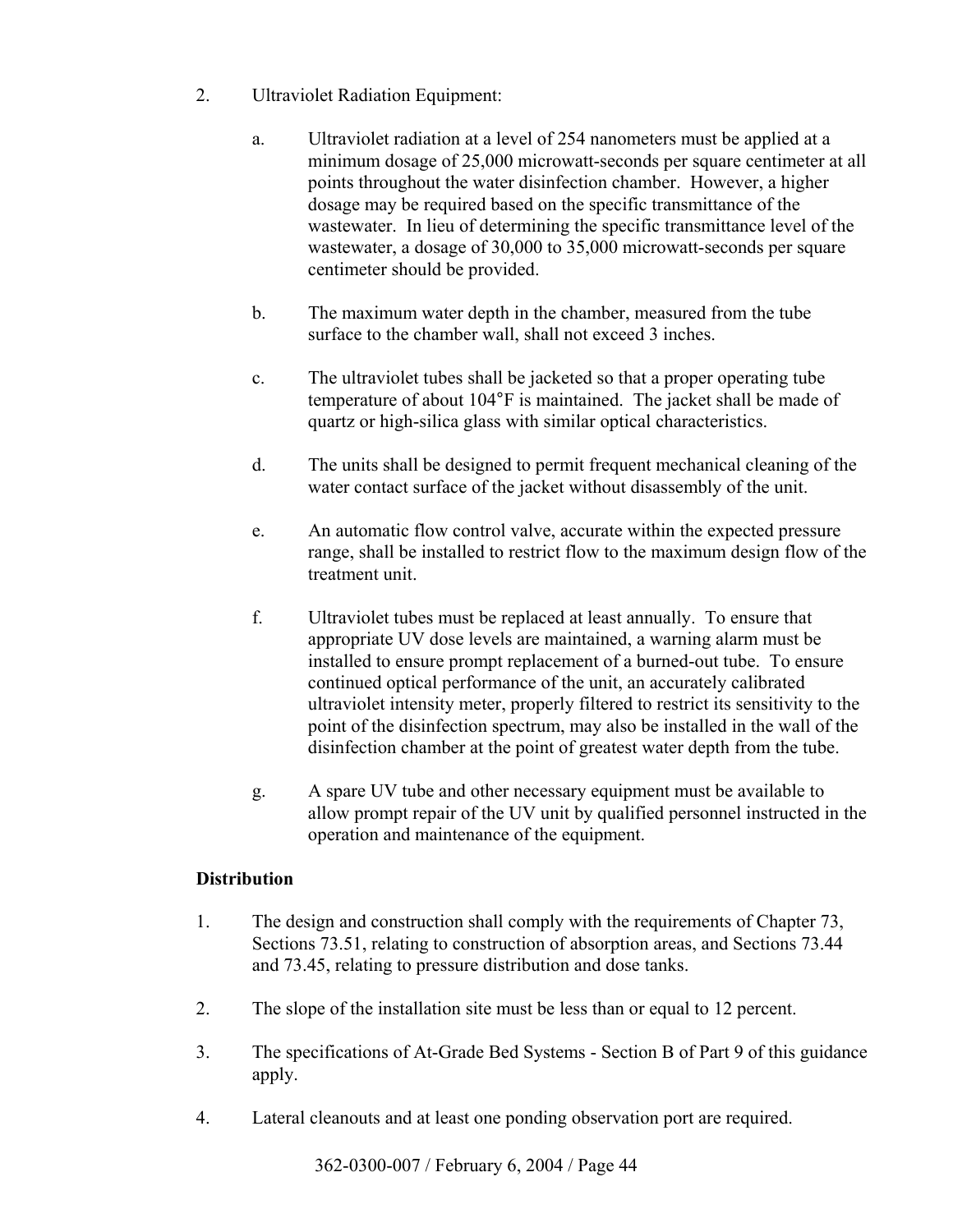- 2. Ultraviolet Radiation Equipment:
	- a. Ultraviolet radiation at a level of 254 nanometers must be applied at a minimum dosage of 25,000 microwatt-seconds per square centimeter at all points throughout the water disinfection chamber. However, a higher dosage may be required based on the specific transmittance of the wastewater. In lieu of determining the specific transmittance level of the wastewater, a dosage of 30,000 to 35,000 microwatt-seconds per square centimeter should be provided.
	- b. The maximum water depth in the chamber, measured from the tube surface to the chamber wall, shall not exceed 3 inches.
	- c. The ultraviolet tubes shall be jacketed so that a proper operating tube temperature of about 104°F is maintained. The jacket shall be made of quartz or high-silica glass with similar optical characteristics.
	- d. The units shall be designed to permit frequent mechanical cleaning of the water contact surface of the jacket without disassembly of the unit.
	- e. An automatic flow control valve, accurate within the expected pressure range, shall be installed to restrict flow to the maximum design flow of the treatment unit.
	- f. Ultraviolet tubes must be replaced at least annually. To ensure that appropriate UV dose levels are maintained, a warning alarm must be installed to ensure prompt replacement of a burned-out tube. To ensure continued optical performance of the unit, an accurately calibrated ultraviolet intensity meter, properly filtered to restrict its sensitivity to the point of the disinfection spectrum, may also be installed in the wall of the disinfection chamber at the point of greatest water depth from the tube.
	- g. A spare UV tube and other necessary equipment must be available to allow prompt repair of the UV unit by qualified personnel instructed in the operation and maintenance of the equipment.

#### **Distribution**

- 1. The design and construction shall comply with the requirements of Chapter 73, Sections 73.51, relating to construction of absorption areas, and Sections 73.44 and 73.45, relating to pressure distribution and dose tanks.
- 2. The slope of the installation site must be less than or equal to 12 percent.
- 3. The specifications of At-Grade Bed Systems Section B of Part 9 of this guidance apply.
- 4. Lateral cleanouts and at least one ponding observation port are required.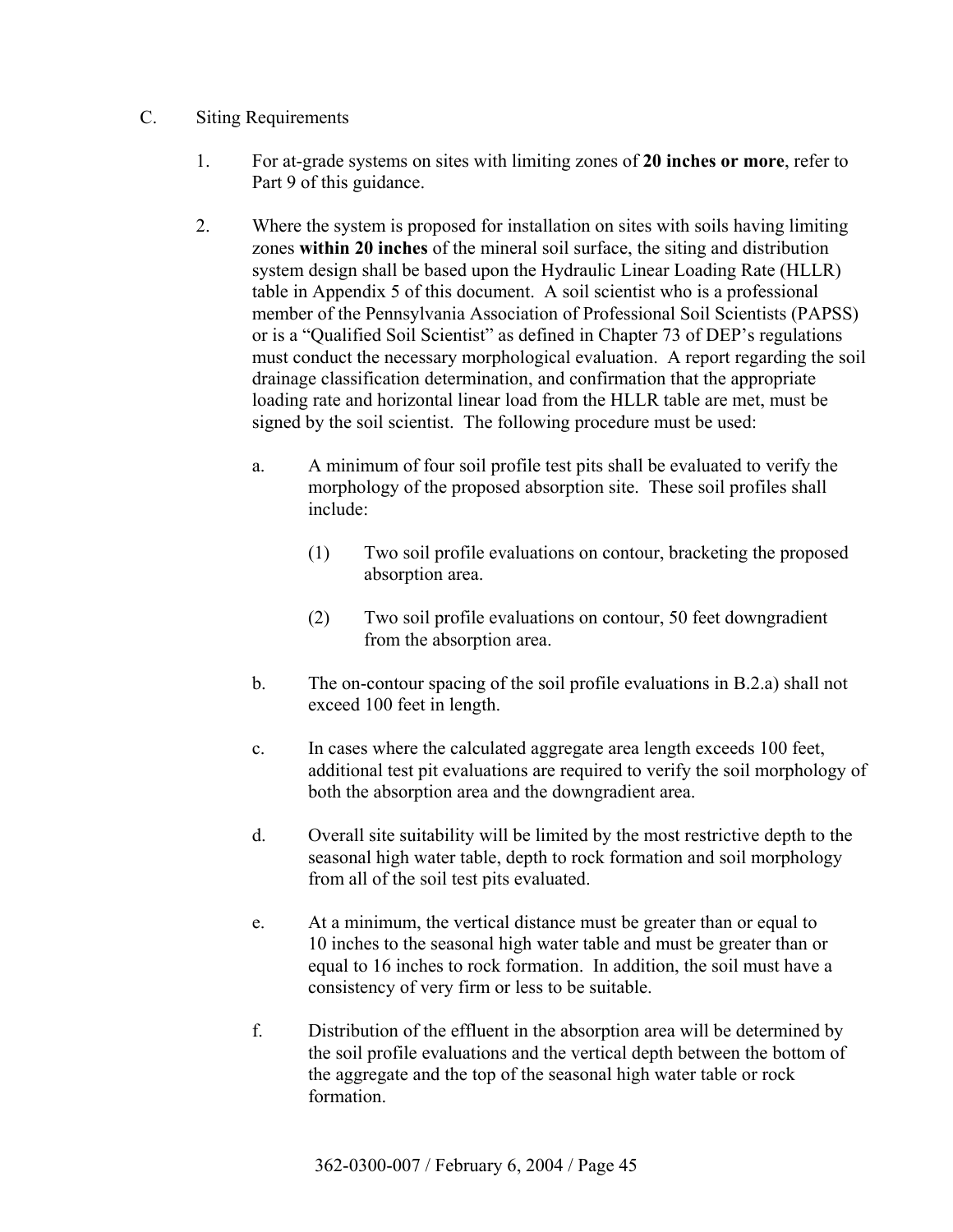## C. Siting Requirements

- 1. For at-grade systems on sites with limiting zones of **20 inches or more**, refer to Part 9 of this guidance.
- 2. Where the system is proposed for installation on sites with soils having limiting zones **within 20 inches** of the mineral soil surface, the siting and distribution system design shall be based upon the Hydraulic Linear Loading Rate (HLLR) table in Appendix 5 of this document. A soil scientist who is a professional member of the Pennsylvania Association of Professional Soil Scientists (PAPSS) or is a "Qualified Soil Scientist" as defined in Chapter 73 of DEP's regulations must conduct the necessary morphological evaluation. A report regarding the soil drainage classification determination, and confirmation that the appropriate loading rate and horizontal linear load from the HLLR table are met, must be signed by the soil scientist. The following procedure must be used:
	- a. A minimum of four soil profile test pits shall be evaluated to verify the morphology of the proposed absorption site. These soil profiles shall include:
		- (1) Two soil profile evaluations on contour, bracketing the proposed absorption area.
		- (2) Two soil profile evaluations on contour, 50 feet downgradient from the absorption area.
	- b. The on-contour spacing of the soil profile evaluations in B.2.a) shall not exceed 100 feet in length.
	- c. In cases where the calculated aggregate area length exceeds 100 feet, additional test pit evaluations are required to verify the soil morphology of both the absorption area and the downgradient area.
	- d. Overall site suitability will be limited by the most restrictive depth to the seasonal high water table, depth to rock formation and soil morphology from all of the soil test pits evaluated.
	- e. At a minimum, the vertical distance must be greater than or equal to 10 inches to the seasonal high water table and must be greater than or equal to 16 inches to rock formation. In addition, the soil must have a consistency of very firm or less to be suitable.
	- f. Distribution of the effluent in the absorption area will be determined by the soil profile evaluations and the vertical depth between the bottom of the aggregate and the top of the seasonal high water table or rock formation.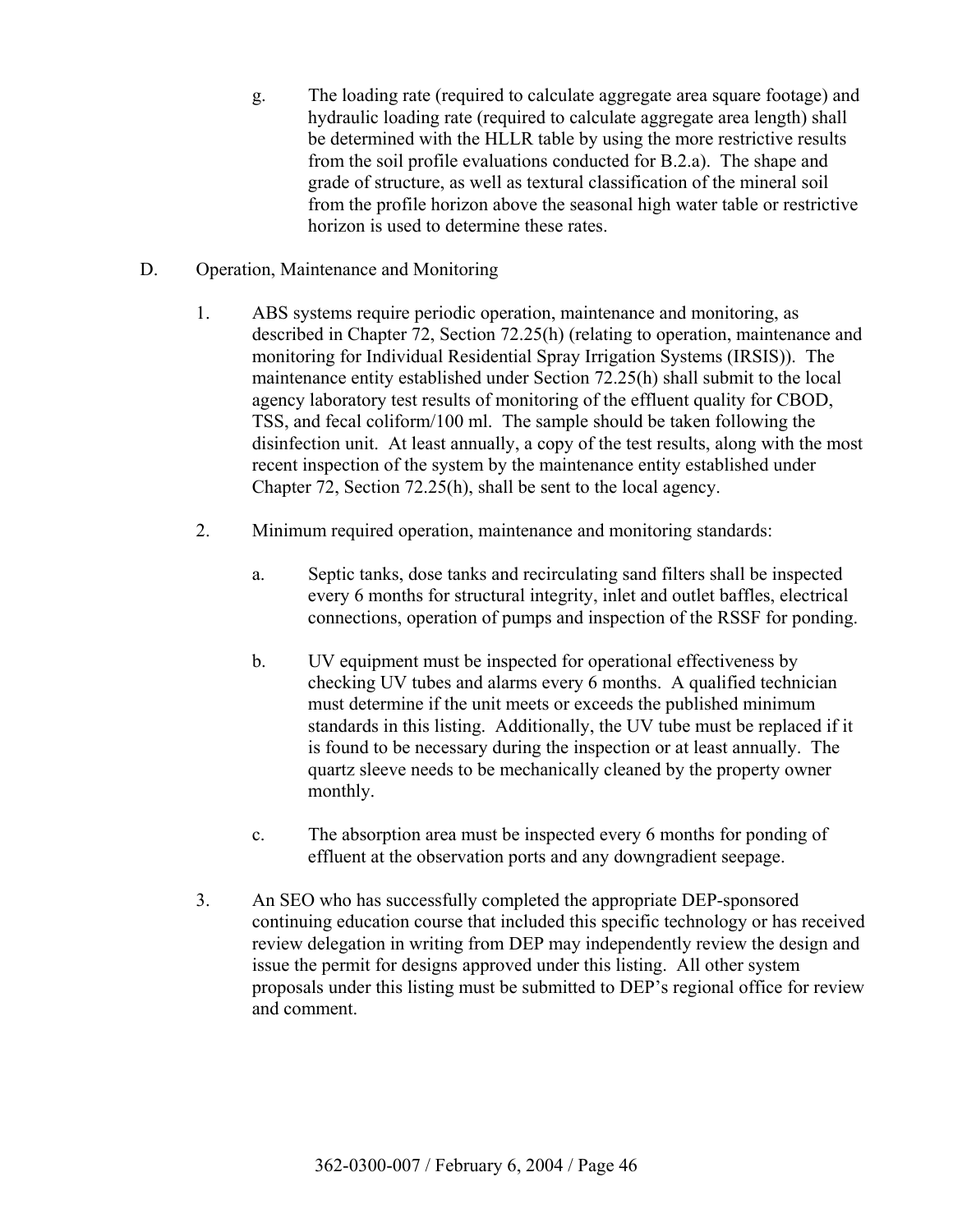- g. The loading rate (required to calculate aggregate area square footage) and hydraulic loading rate (required to calculate aggregate area length) shall be determined with the HLLR table by using the more restrictive results from the soil profile evaluations conducted for B.2.a). The shape and grade of structure, as well as textural classification of the mineral soil from the profile horizon above the seasonal high water table or restrictive horizon is used to determine these rates.
- D. Operation, Maintenance and Monitoring
	- 1. ABS systems require periodic operation, maintenance and monitoring, as described in Chapter 72, Section 72.25(h) (relating to operation, maintenance and monitoring for Individual Residential Spray Irrigation Systems (IRSIS)). The maintenance entity established under Section 72.25(h) shall submit to the local agency laboratory test results of monitoring of the effluent quality for CBOD, TSS, and fecal coliform/100 ml. The sample should be taken following the disinfection unit. At least annually, a copy of the test results, along with the most recent inspection of the system by the maintenance entity established under Chapter 72, Section 72.25(h), shall be sent to the local agency.
	- 2. Minimum required operation, maintenance and monitoring standards:
		- a. Septic tanks, dose tanks and recirculating sand filters shall be inspected every 6 months for structural integrity, inlet and outlet baffles, electrical connections, operation of pumps and inspection of the RSSF for ponding.
		- b. UV equipment must be inspected for operational effectiveness by checking UV tubes and alarms every 6 months. A qualified technician must determine if the unit meets or exceeds the published minimum standards in this listing. Additionally, the UV tube must be replaced if it is found to be necessary during the inspection or at least annually. The quartz sleeve needs to be mechanically cleaned by the property owner monthly.
		- c. The absorption area must be inspected every 6 months for ponding of effluent at the observation ports and any downgradient seepage.
	- 3. An SEO who has successfully completed the appropriate DEP-sponsored continuing education course that included this specific technology or has received review delegation in writing from DEP may independently review the design and issue the permit for designs approved under this listing. All other system proposals under this listing must be submitted to DEP's regional office for review and comment.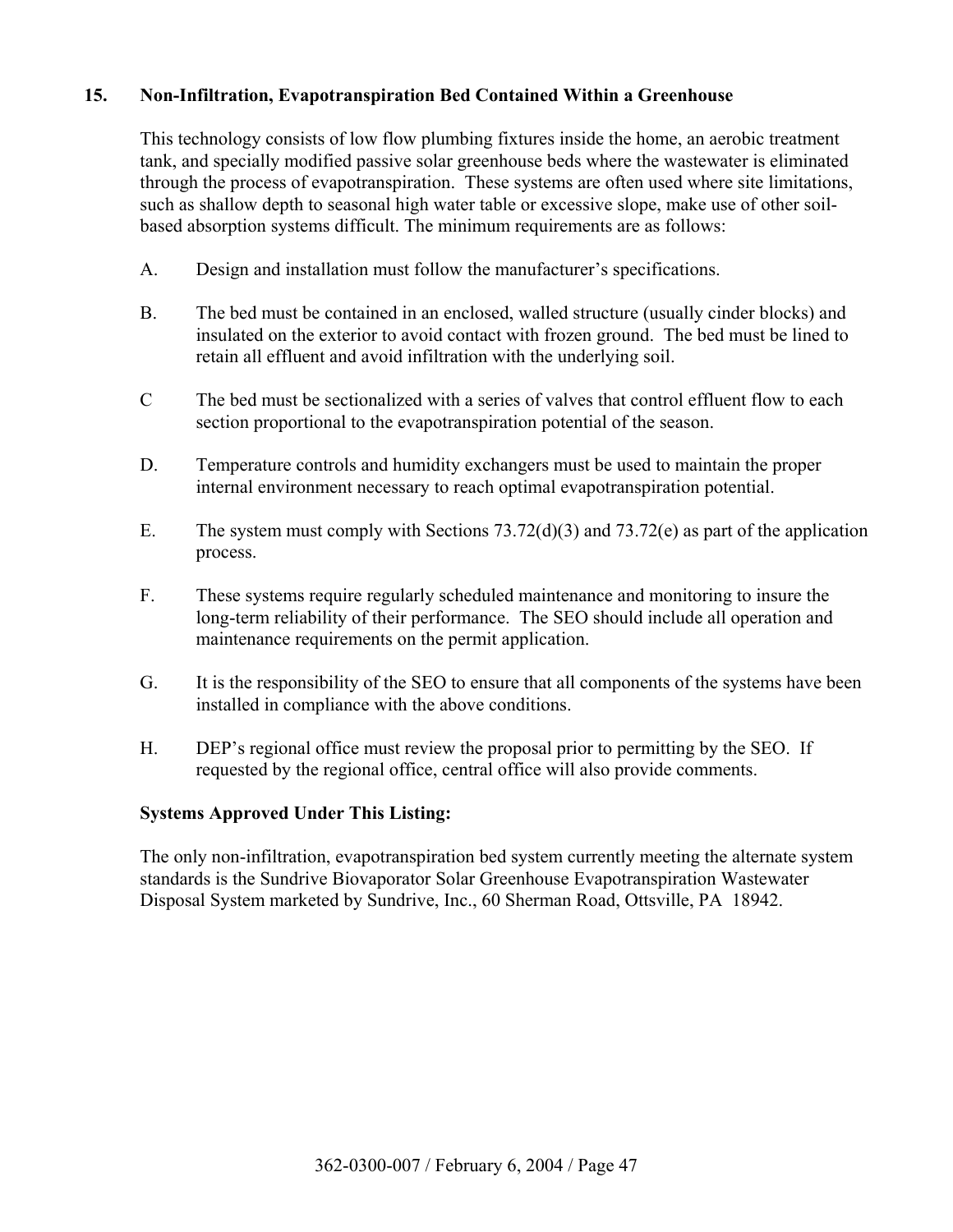## **15. Non-Infiltration, Evapotranspiration Bed Contained Within a Greenhouse**

 This technology consists of low flow plumbing fixtures inside the home, an aerobic treatment tank, and specially modified passive solar greenhouse beds where the wastewater is eliminated through the process of evapotranspiration. These systems are often used where site limitations, such as shallow depth to seasonal high water table or excessive slope, make use of other soilbased absorption systems difficult. The minimum requirements are as follows:

- A. Design and installation must follow the manufacturer's specifications.
- B. The bed must be contained in an enclosed, walled structure (usually cinder blocks) and insulated on the exterior to avoid contact with frozen ground. The bed must be lined to retain all effluent and avoid infiltration with the underlying soil.
- C The bed must be sectionalized with a series of valves that control effluent flow to each section proportional to the evapotranspiration potential of the season.
- D. Temperature controls and humidity exchangers must be used to maintain the proper internal environment necessary to reach optimal evapotranspiration potential.
- E. The system must comply with Sections 73.72(d)(3) and 73.72(e) as part of the application process.
- F. These systems require regularly scheduled maintenance and monitoring to insure the long-term reliability of their performance. The SEO should include all operation and maintenance requirements on the permit application.
- G. It is the responsibility of the SEO to ensure that all components of the systems have been installed in compliance with the above conditions.
- H. DEP's regional office must review the proposal prior to permitting by the SEO. If requested by the regional office, central office will also provide comments.

#### **Systems Approved Under This Listing:**

 The only non-infiltration, evapotranspiration bed system currently meeting the alternate system standards is the Sundrive Biovaporator Solar Greenhouse Evapotranspiration Wastewater Disposal System marketed by Sundrive, Inc., 60 Sherman Road, Ottsville, PA 18942.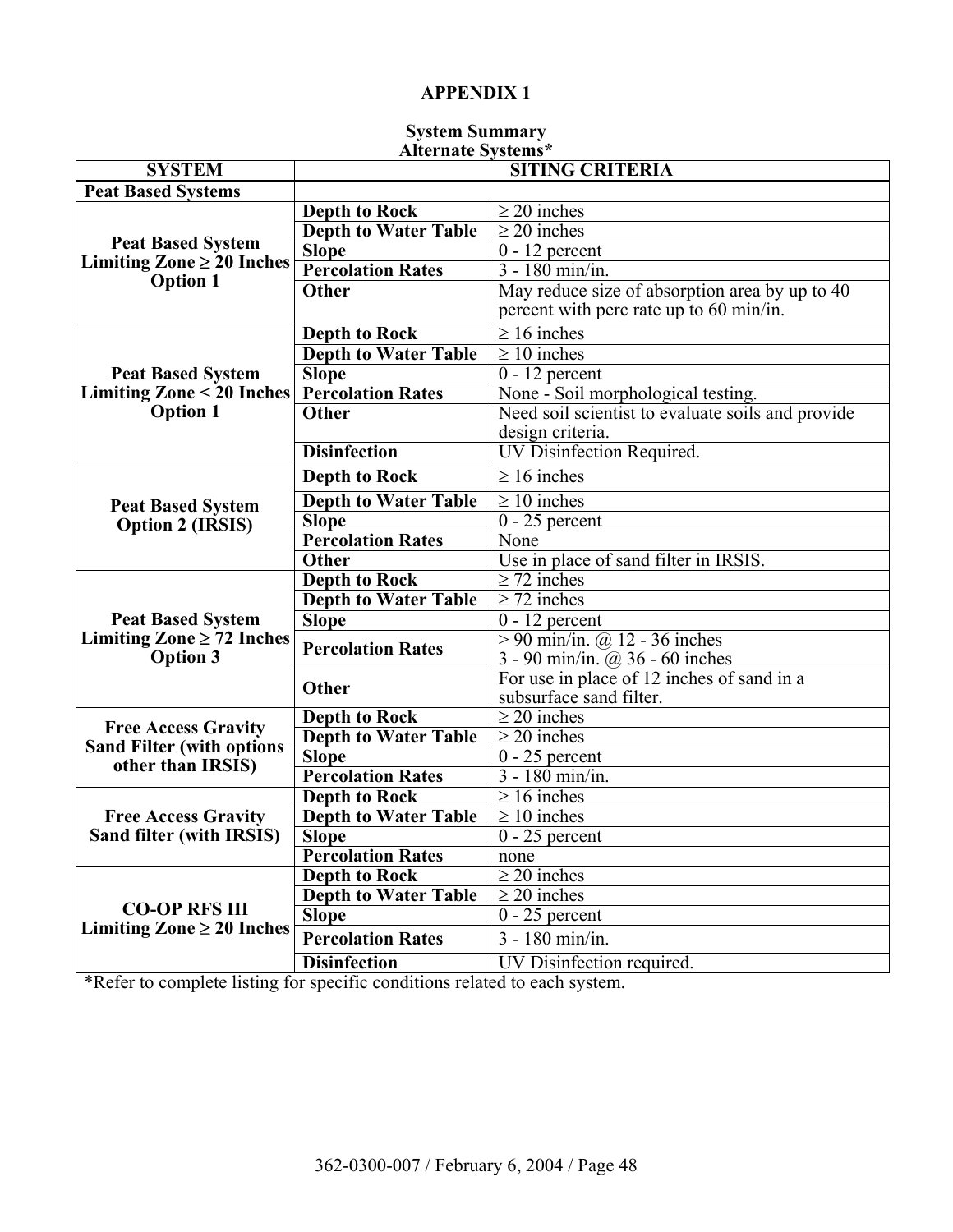#### **System Summary Alternate Systems\***

| <b>SYSTEM</b>                                                   | <i>i</i> sitel hate bystems<br><b>SITING CRITERIA</b> |                                                                                           |  |  |  |
|-----------------------------------------------------------------|-------------------------------------------------------|-------------------------------------------------------------------------------------------|--|--|--|
| <b>Peat Based Systems</b>                                       |                                                       |                                                                                           |  |  |  |
|                                                                 | <b>Depth to Rock</b>                                  | $\geq$ 20 inches                                                                          |  |  |  |
|                                                                 | <b>Depth to Water Table</b>                           | $\sqrt{\geq 20}$ inches                                                                   |  |  |  |
| <b>Peat Based System</b>                                        | <b>Slope</b>                                          | $0 - 12$ percent                                                                          |  |  |  |
| Limiting Zone $\geq 20$ Inches                                  | <b>Percolation Rates</b>                              | $3 - 180$ min/in.                                                                         |  |  |  |
| <b>Option 1</b>                                                 | <b>Other</b>                                          | May reduce size of absorption area by up to 40<br>percent with perc rate up to 60 min/in. |  |  |  |
|                                                                 | <b>Depth to Rock</b>                                  | $\geq 16$ inches                                                                          |  |  |  |
|                                                                 | <b>Depth to Water Table</b>                           | $\geq 10$ inches                                                                          |  |  |  |
| <b>Peat Based System</b>                                        | <b>Slope</b>                                          | $0 - 12$ percent                                                                          |  |  |  |
| Limiting Zone < 20 Inches                                       | <b>Percolation Rates</b>                              | None - Soil morphological testing.                                                        |  |  |  |
| <b>Option 1</b>                                                 | <b>Other</b>                                          | Need soil scientist to evaluate soils and provide<br>design criteria.                     |  |  |  |
|                                                                 | <b>Disinfection</b>                                   | <b>UV Disinfection Required.</b>                                                          |  |  |  |
| <b>Peat Based System</b><br><b>Option 2 (IRSIS)</b>             | <b>Depth to Rock</b>                                  | $\geq 16$ inches                                                                          |  |  |  |
|                                                                 | <b>Depth to Water Table</b>                           | $\geq 10$ inches                                                                          |  |  |  |
|                                                                 | <b>Slope</b>                                          | $0 - 25$ percent                                                                          |  |  |  |
|                                                                 | <b>Percolation Rates</b>                              | None                                                                                      |  |  |  |
|                                                                 | <b>Other</b>                                          | Use in place of sand filter in IRSIS.                                                     |  |  |  |
|                                                                 | <b>Depth to Rock</b>                                  | $\geq$ 72 inches                                                                          |  |  |  |
|                                                                 | <b>Depth to Water Table</b>                           | $\geq$ 72 inches                                                                          |  |  |  |
| <b>Peat Based System</b>                                        | <b>Slope</b>                                          | $0 - 12$ percent                                                                          |  |  |  |
| Limiting Zone $\geq$ 72 Inches<br><b>Option 3</b>               | <b>Percolation Rates</b>                              | $> 90$ min/in. @ 12 - 36 inches<br>3 - 90 min/in. $(a)$ 36 - 60 inches                    |  |  |  |
|                                                                 | <b>Other</b>                                          | For use in place of 12 inches of sand in a<br>subsurface sand filter.                     |  |  |  |
|                                                                 | <b>Depth to Rock</b>                                  | $\geq 20$ inches                                                                          |  |  |  |
| <b>Free Access Gravity</b><br><b>Sand Filter (with options)</b> | <b>Depth to Water Table</b>                           | $\geq$ 20 inches                                                                          |  |  |  |
| other than IRSIS)                                               | <b>Slope</b>                                          | $0 - 25$ percent                                                                          |  |  |  |
|                                                                 | <b>Percolation Rates</b>                              | $3 - 180$ min/in.                                                                         |  |  |  |
|                                                                 | <b>Depth to Rock</b>                                  | $\geq 16$ inches                                                                          |  |  |  |
| <b>Free Access Gravity</b>                                      | <b>Depth to Water Table</b>                           | $\geq 10$ inches                                                                          |  |  |  |
| Sand filter (with IRSIS)                                        | <b>Slope</b>                                          | $0 - 25$ percent                                                                          |  |  |  |
|                                                                 | <b>Percolation Rates</b>                              | none                                                                                      |  |  |  |
|                                                                 | <b>Depth to Rock</b>                                  | $\geq$ 20 inches                                                                          |  |  |  |
|                                                                 | <b>Depth to Water Table</b>                           | $\geq$ 20 inches                                                                          |  |  |  |
| <b>CO-OP RFS III</b>                                            | <b>Slope</b>                                          | $0 - 25$ percent                                                                          |  |  |  |
| Limiting Zone $\geq 20$ Inches                                  | <b>Percolation Rates</b>                              | $3 - 180$ min/in.                                                                         |  |  |  |
|                                                                 | <b>Disinfection</b>                                   | UV Disinfection required.                                                                 |  |  |  |

\*Refer to complete listing for specific conditions related to each system.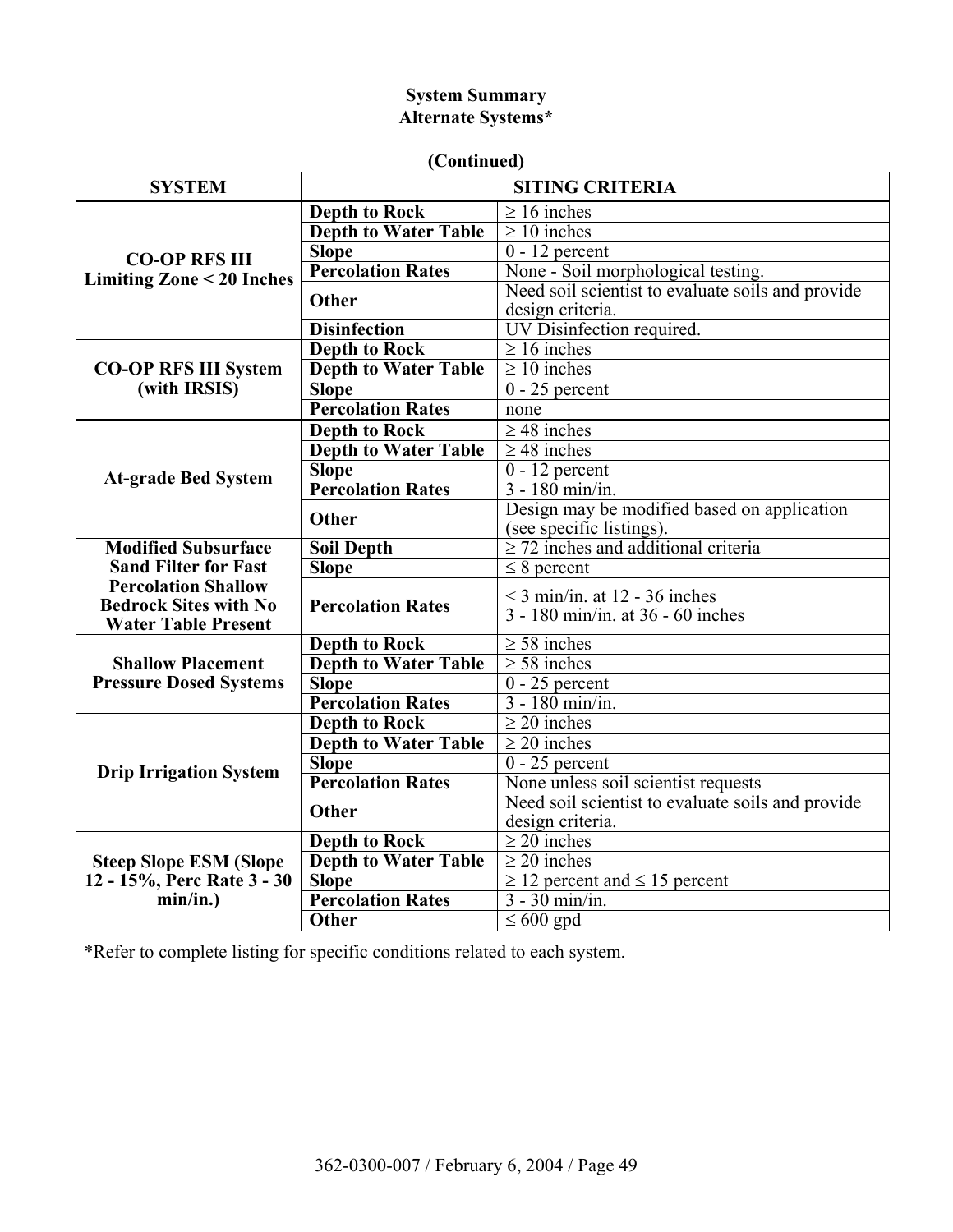# **System Summary Alternate Systems\***

| (Continued) |  |
|-------------|--|
|             |  |

| <b>SYSTEM</b>                          |                                             | <b>SITING CRITERIA</b>                                                 |  |  |
|----------------------------------------|---------------------------------------------|------------------------------------------------------------------------|--|--|
|                                        | <b>Depth to Rock</b>                        | $\geq 16$ inches                                                       |  |  |
|                                        | <b>Depth to Water Table</b>                 | $\geq 10$ inches                                                       |  |  |
| <b>CO-OP RFS III</b>                   | <b>Slope</b>                                | $0 - 12$ percent                                                       |  |  |
| <b>Limiting Zone &lt; 20 Inches</b>    | <b>Percolation Rates</b>                    | None - Soil morphological testing.                                     |  |  |
|                                        | Other                                       | Need soil scientist to evaluate soils and provide                      |  |  |
|                                        |                                             | design criteria.                                                       |  |  |
|                                        | <b>Disinfection</b>                         | UV Disinfection required.                                              |  |  |
|                                        | <b>Depth to Rock</b>                        | $\geq 16$ inches                                                       |  |  |
| <b>CO-OP RFS III System</b>            | <b>Depth to Water Table</b>                 | $\geq 10$ inches                                                       |  |  |
| (with IRSIS)                           | <b>Slope</b>                                | $0 - 25$ percent                                                       |  |  |
|                                        | <b>Percolation Rates</b>                    | none                                                                   |  |  |
|                                        | <b>Depth to Rock</b>                        | $\geq$ 48 inches                                                       |  |  |
|                                        | <b>Depth to Water Table</b>                 | $\geq$ 48 inches                                                       |  |  |
| <b>At-grade Bed System</b>             | <b>Slope</b>                                | $0 - 12$ percent                                                       |  |  |
|                                        | <b>Percolation Rates</b>                    | $3 - 180$ min/in.                                                      |  |  |
|                                        | Other                                       | Design may be modified based on application                            |  |  |
|                                        |                                             | (see specific listings).                                               |  |  |
| <b>Modified Subsurface</b>             | <b>Soil Depth</b>                           | $\geq$ 72 inches and additional criteria                               |  |  |
| <b>Sand Filter for Fast</b>            | <b>Slope</b>                                | $\leq$ 8 percent                                                       |  |  |
| <b>Percolation Shallow</b>             |                                             | $\leq$ 3 min/in. at 12 - 36 inches                                     |  |  |
| <b>Bedrock Sites with No</b>           | <b>Percolation Rates</b>                    | 3 - 180 min/in. at 36 - 60 inches                                      |  |  |
| <b>Water Table Present</b>             |                                             |                                                                        |  |  |
|                                        | <b>Depth to Rock</b>                        | $\geq 58$ inches                                                       |  |  |
| <b>Shallow Placement</b>               | <b>Depth to Water Table</b>                 | $\geq 58$ inches                                                       |  |  |
| <b>Pressure Dosed Systems</b>          | <b>Slope</b>                                | $0 - 25$ percent                                                       |  |  |
|                                        | <b>Percolation Rates</b>                    | $3 - 180$ min/in.                                                      |  |  |
|                                        | <b>Depth to Rock</b>                        | $\geq$ 20 inches                                                       |  |  |
|                                        | <b>Depth to Water Table</b>                 | $\geq$ 20 inches                                                       |  |  |
| <b>Drip Irrigation System</b>          | <b>Slope</b>                                | $0 - 25$ percent                                                       |  |  |
|                                        | <b>Percolation Rates</b>                    | None unless soil scientist requests                                    |  |  |
|                                        | Other                                       | Need soil scientist to evaluate soils and provide                      |  |  |
|                                        |                                             | design criteria.<br>$\geq$ 20 inches                                   |  |  |
|                                        | <b>Depth to Rock</b>                        | $\geq$ 20 inches                                                       |  |  |
| <b>Steep Slope ESM (Slope</b>          | <b>Depth to Water Table</b><br><b>Slope</b> |                                                                        |  |  |
| 12 - 15%, Perc Rate 3 - 30<br>min/in.) | <b>Percolation Rates</b>                    | $\geq$ 12 percent and $\leq$ 15 percent<br>$\overline{3}$ - 30 min/in. |  |  |
|                                        | Other                                       |                                                                        |  |  |
|                                        |                                             | $\leq 600$ gpd                                                         |  |  |

\*Refer to complete listing for specific conditions related to each system.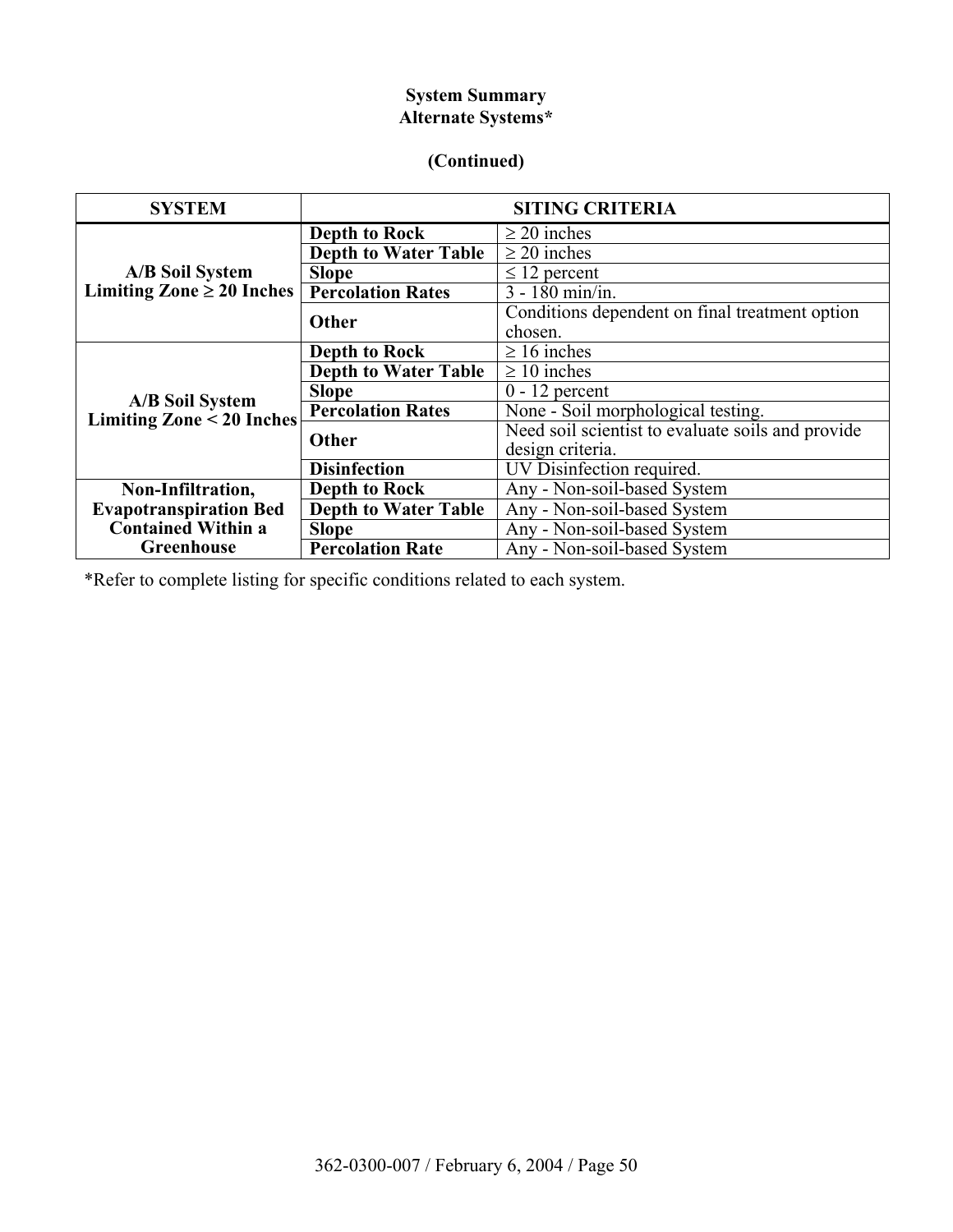# **System Summary Alternate Systems\***

## **(Continued)**

| <b>SYSTEM</b>                                            | <b>SITING CRITERIA</b>      |                                                   |  |  |  |  |
|----------------------------------------------------------|-----------------------------|---------------------------------------------------|--|--|--|--|
| <b>A/B Soil System</b><br>Limiting Zone $\geq 20$ Inches | <b>Depth to Rock</b>        | $\geq$ 20 inches                                  |  |  |  |  |
|                                                          | <b>Depth to Water Table</b> | $\geq$ 20 inches                                  |  |  |  |  |
|                                                          | <b>Slope</b>                | $\leq$ 12 percent                                 |  |  |  |  |
|                                                          | <b>Percolation Rates</b>    | $\overline{3 - 180}$ min/in.                      |  |  |  |  |
|                                                          | <b>Other</b>                | Conditions dependent on final treatment option    |  |  |  |  |
|                                                          |                             | chosen.                                           |  |  |  |  |
| <b>A/B Soil System</b><br>Limiting Zone < 20 Inches      | <b>Depth to Rock</b>        | $\geq 16$ inches                                  |  |  |  |  |
|                                                          | <b>Depth to Water Table</b> | $\geq 10$ inches                                  |  |  |  |  |
|                                                          | <b>Slope</b>                | $0 - 12$ percent                                  |  |  |  |  |
|                                                          | <b>Percolation Rates</b>    | None - Soil morphological testing.                |  |  |  |  |
|                                                          | Other                       | Need soil scientist to evaluate soils and provide |  |  |  |  |
|                                                          |                             | design criteria.                                  |  |  |  |  |
|                                                          | <b>Disinfection</b>         | UV Disinfection required.                         |  |  |  |  |
| Non-Infiltration,                                        | <b>Depth to Rock</b>        | Any - Non-soil-based System                       |  |  |  |  |
| <b>Evapotranspiration Bed</b>                            | <b>Depth to Water Table</b> | Any - Non-soil-based System                       |  |  |  |  |
| <b>Contained Within a</b>                                | <b>Slope</b>                | Any - Non-soil-based System                       |  |  |  |  |
| <b>Greenhouse</b>                                        | <b>Percolation Rate</b>     | Any - Non-soil-based System                       |  |  |  |  |

\*Refer to complete listing for specific conditions related to each system.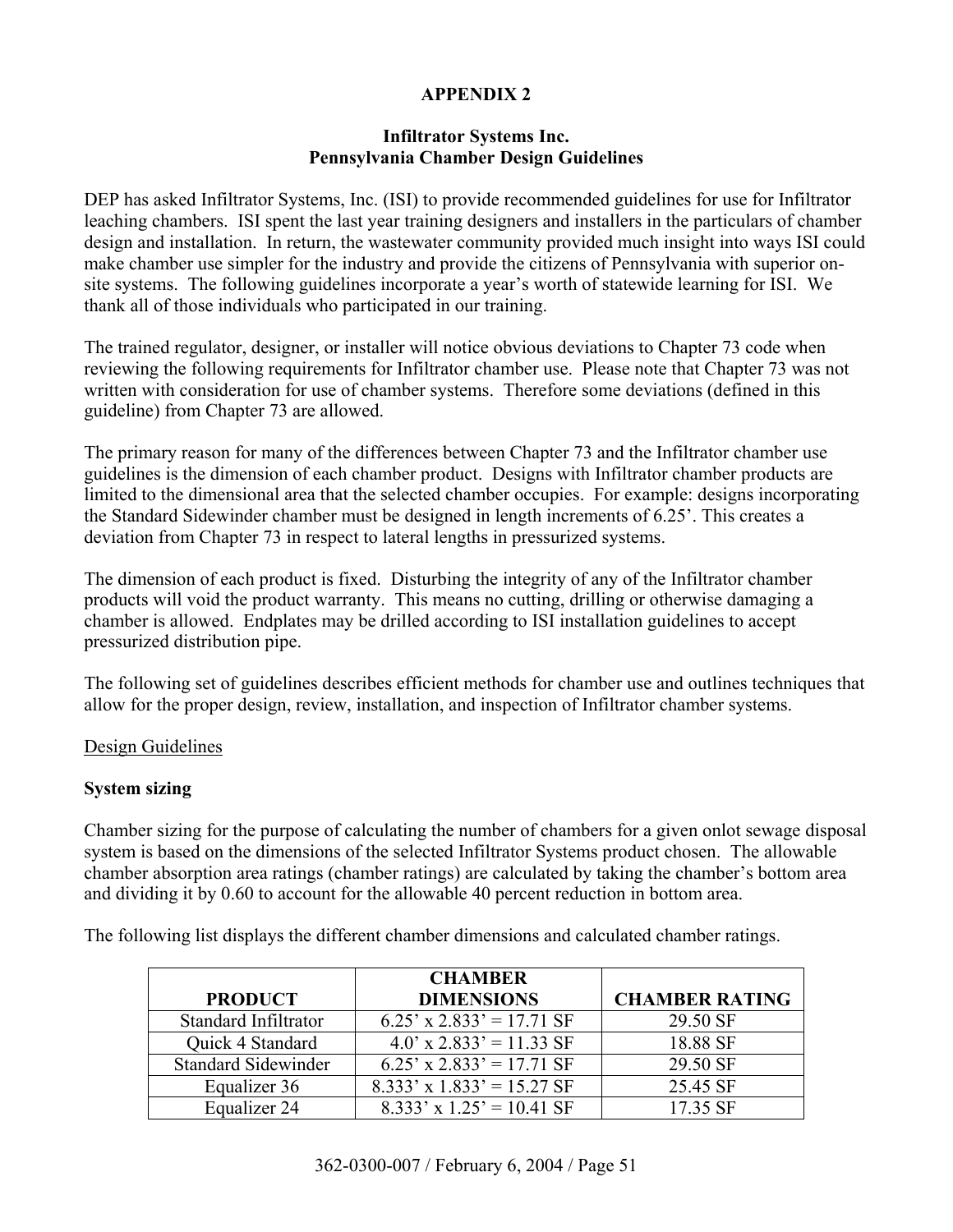#### **Infiltrator Systems Inc. Pennsylvania Chamber Design Guidelines**

DEP has asked Infiltrator Systems, Inc. (ISI) to provide recommended guidelines for use for Infiltrator leaching chambers. ISI spent the last year training designers and installers in the particulars of chamber design and installation. In return, the wastewater community provided much insight into ways ISI could make chamber use simpler for the industry and provide the citizens of Pennsylvania with superior onsite systems. The following guidelines incorporate a year's worth of statewide learning for ISI. We thank all of those individuals who participated in our training.

The trained regulator, designer, or installer will notice obvious deviations to Chapter 73 code when reviewing the following requirements for Infiltrator chamber use. Please note that Chapter 73 was not written with consideration for use of chamber systems. Therefore some deviations (defined in this guideline) from Chapter 73 are allowed.

The primary reason for many of the differences between Chapter 73 and the Infiltrator chamber use guidelines is the dimension of each chamber product. Designs with Infiltrator chamber products are limited to the dimensional area that the selected chamber occupies. For example: designs incorporating the Standard Sidewinder chamber must be designed in length increments of  $6.25^\circ$ . This creates a deviation from Chapter 73 in respect to lateral lengths in pressurized systems.

The dimension of each product is fixed. Disturbing the integrity of any of the Infiltrator chamber products will void the product warranty. This means no cutting, drilling or otherwise damaging a chamber is allowed. Endplates may be drilled according to ISI installation guidelines to accept pressurized distribution pipe.

The following set of guidelines describes efficient methods for chamber use and outlines techniques that allow for the proper design, review, installation, and inspection of Infiltrator chamber systems.

#### Design Guidelines

#### **System sizing**

Chamber sizing for the purpose of calculating the number of chambers for a given onlot sewage disposal system is based on the dimensions of the selected Infiltrator Systems product chosen. The allowable chamber absorption area ratings (chamber ratings) are calculated by taking the chamber's bottom area and dividing it by 0.60 to account for the allowable 40 percent reduction in bottom area.

The following list displays the different chamber dimensions and calculated chamber ratings.

|                            | <b>CHAMBER</b>                 |                       |
|----------------------------|--------------------------------|-----------------------|
| <b>PRODUCT</b>             | <b>DIMENSIONS</b>              | <b>CHAMBER RATING</b> |
| Standard Infiltrator       | $6.25'$ x 2.833' = 17.71 SF    | 29.50 SF              |
| Quick 4 Standard           | $4.0'$ x 2.833' = 11.33 SF     | 18.88 SF              |
| <b>Standard Sidewinder</b> | $6.25'$ x 2.833' = 17.71 SF    | 29.50 SF              |
| Equalizer 36               | $8.333'$ x $1.833' = 15.27$ SF | 25.45 SF              |
| Equalizer 24               | $8.333'$ x $1.25' = 10.41$ SF  | 17.35 SF              |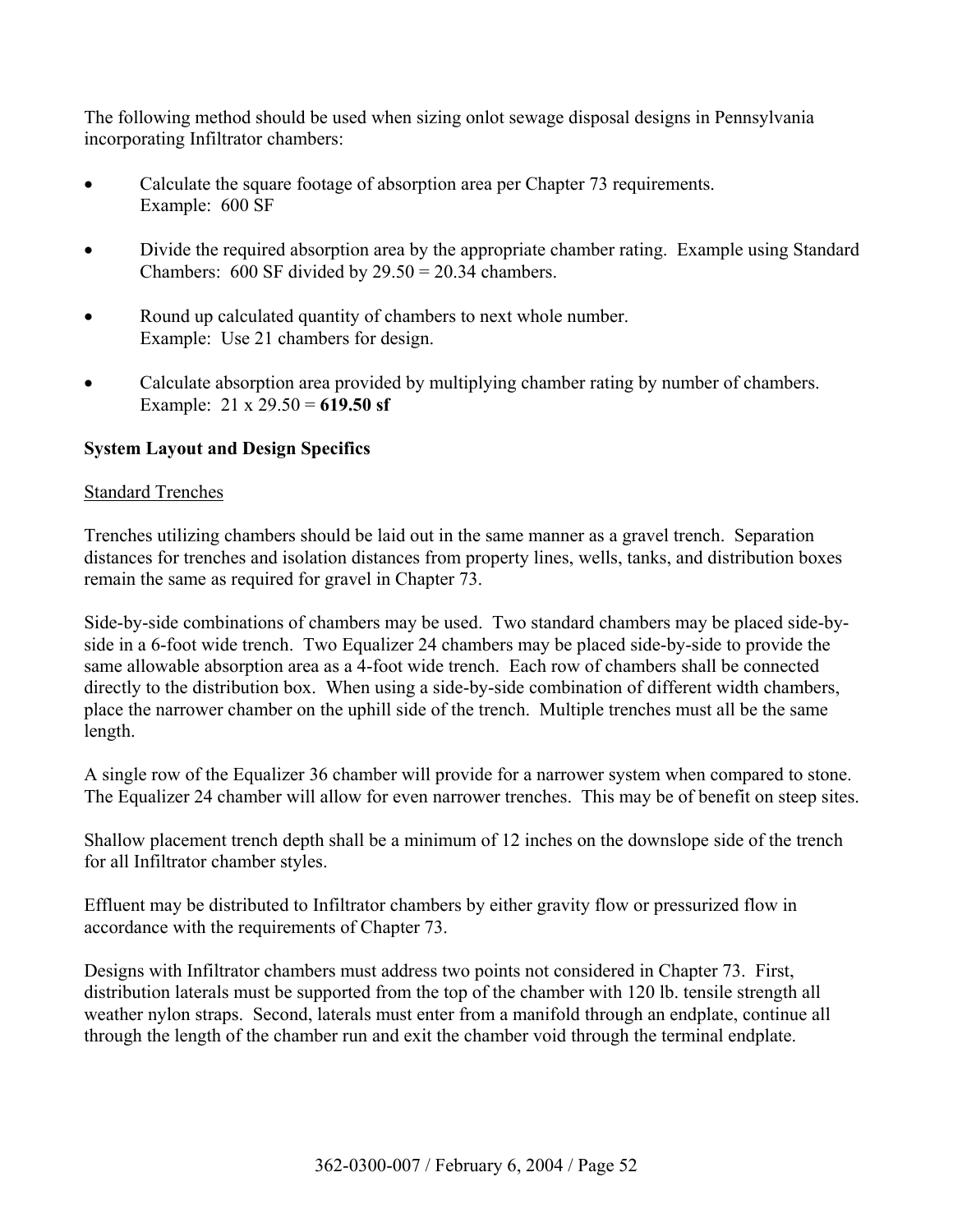The following method should be used when sizing onlot sewage disposal designs in Pennsylvania incorporating Infiltrator chambers:

- Calculate the square footage of absorption area per Chapter 73 requirements. Example: 600 SF
- Divide the required absorption area by the appropriate chamber rating. Example using Standard Chambers:  $600$  SF divided by  $29.50 = 20.34$  chambers.
- Round up calculated quantity of chambers to next whole number. Example: Use 21 chambers for design.
- Calculate absorption area provided by multiplying chamber rating by number of chambers. Example: 21 x 29.50 = **619.50 sf**

#### **System Layout and Design Specifics**

#### Standard Trenches

Trenches utilizing chambers should be laid out in the same manner as a gravel trench. Separation distances for trenches and isolation distances from property lines, wells, tanks, and distribution boxes remain the same as required for gravel in Chapter 73.

Side-by-side combinations of chambers may be used. Two standard chambers may be placed side-byside in a 6-foot wide trench. Two Equalizer 24 chambers may be placed side-by-side to provide the same allowable absorption area as a 4-foot wide trench. Each row of chambers shall be connected directly to the distribution box. When using a side-by-side combination of different width chambers, place the narrower chamber on the uphill side of the trench. Multiple trenches must all be the same length.

A single row of the Equalizer 36 chamber will provide for a narrower system when compared to stone. The Equalizer 24 chamber will allow for even narrower trenches. This may be of benefit on steep sites.

Shallow placement trench depth shall be a minimum of 12 inches on the downslope side of the trench for all Infiltrator chamber styles.

Effluent may be distributed to Infiltrator chambers by either gravity flow or pressurized flow in accordance with the requirements of Chapter 73.

Designs with Infiltrator chambers must address two points not considered in Chapter 73. First, distribution laterals must be supported from the top of the chamber with 120 lb. tensile strength all weather nylon straps. Second, laterals must enter from a manifold through an endplate, continue all through the length of the chamber run and exit the chamber void through the terminal endplate.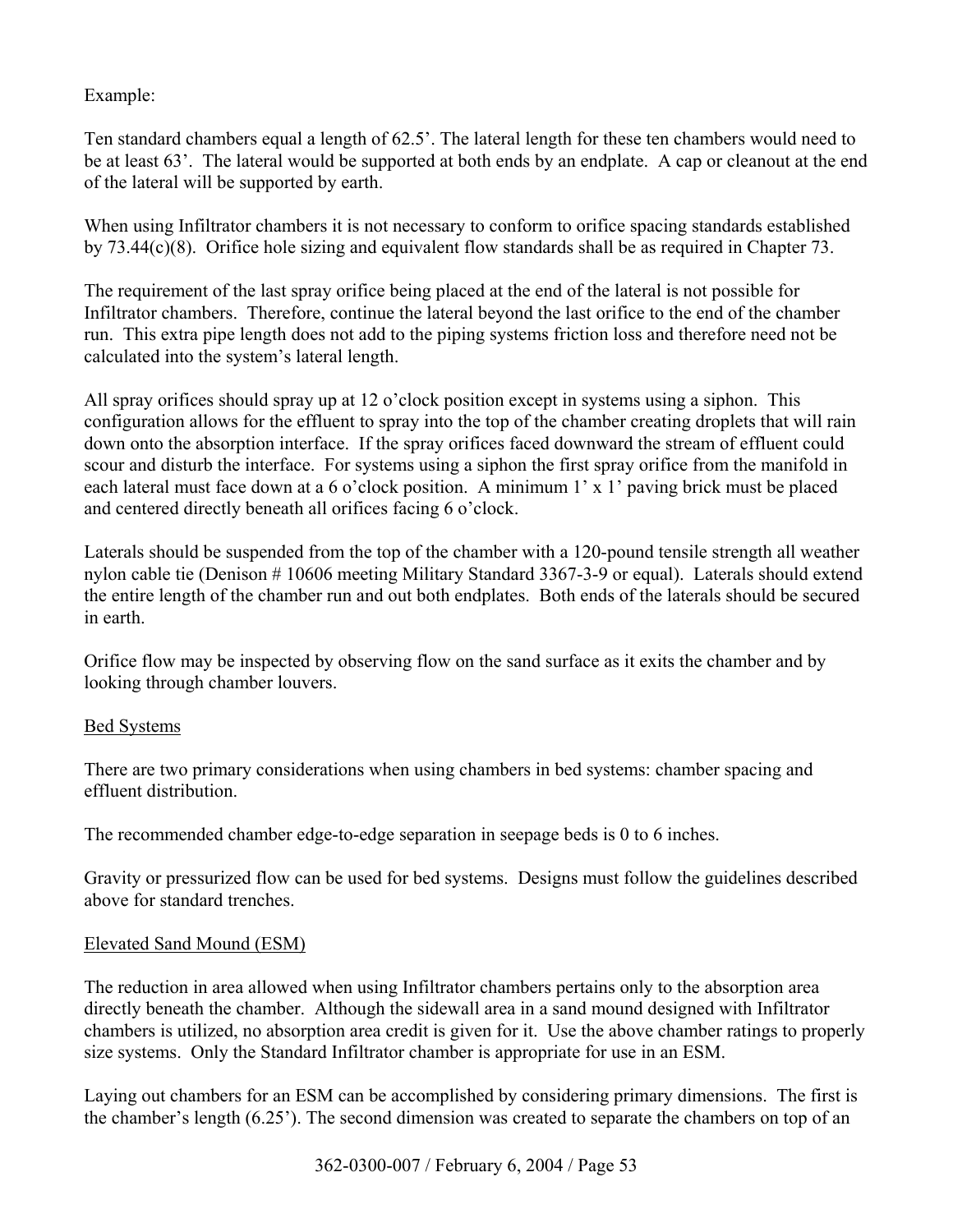Example:

Ten standard chambers equal a length of 62.5<sup>'</sup>. The lateral length for these ten chambers would need to be at least 63<sup>°</sup>. The lateral would be supported at both ends by an endplate. A cap or cleanout at the end of the lateral will be supported by earth.

When using Infiltrator chambers it is not necessary to conform to orifice spacing standards established by 73.44(c)(8). Orifice hole sizing and equivalent flow standards shall be as required in Chapter 73.

The requirement of the last spray orifice being placed at the end of the lateral is not possible for Infiltrator chambers. Therefore, continue the lateral beyond the last orifice to the end of the chamber run. This extra pipe length does not add to the piping systems friction loss and therefore need not be calculated into the system's lateral length.

All spray orifices should spray up at 12 o'clock position except in systems using a siphon. This configuration allows for the effluent to spray into the top of the chamber creating droplets that will rain down onto the absorption interface. If the spray orifices faced downward the stream of effluent could scour and disturb the interface. For systems using a siphon the first spray orifice from the manifold in each lateral must face down at a 6 o'clock position. A minimum  $1' \times 1'$  paving brick must be placed and centered directly beneath all orifices facing 6 o'clock.

Laterals should be suspended from the top of the chamber with a 120-pound tensile strength all weather nylon cable tie (Denison # 10606 meeting Military Standard 3367-3-9 or equal). Laterals should extend the entire length of the chamber run and out both endplates. Both ends of the laterals should be secured in earth.

Orifice flow may be inspected by observing flow on the sand surface as it exits the chamber and by looking through chamber louvers.

# Bed Systems

There are two primary considerations when using chambers in bed systems: chamber spacing and effluent distribution.

The recommended chamber edge-to-edge separation in seepage beds is 0 to 6 inches.

Gravity or pressurized flow can be used for bed systems. Designs must follow the guidelines described above for standard trenches.

#### Elevated Sand Mound (ESM)

The reduction in area allowed when using Infiltrator chambers pertains only to the absorption area directly beneath the chamber. Although the sidewall area in a sand mound designed with Infiltrator chambers is utilized, no absorption area credit is given for it. Use the above chamber ratings to properly size systems. Only the Standard Infiltrator chamber is appropriate for use in an ESM.

Laying out chambers for an ESM can be accomplished by considering primary dimensions. The first is the chamber's length  $(6.25)$ . The second dimension was created to separate the chambers on top of an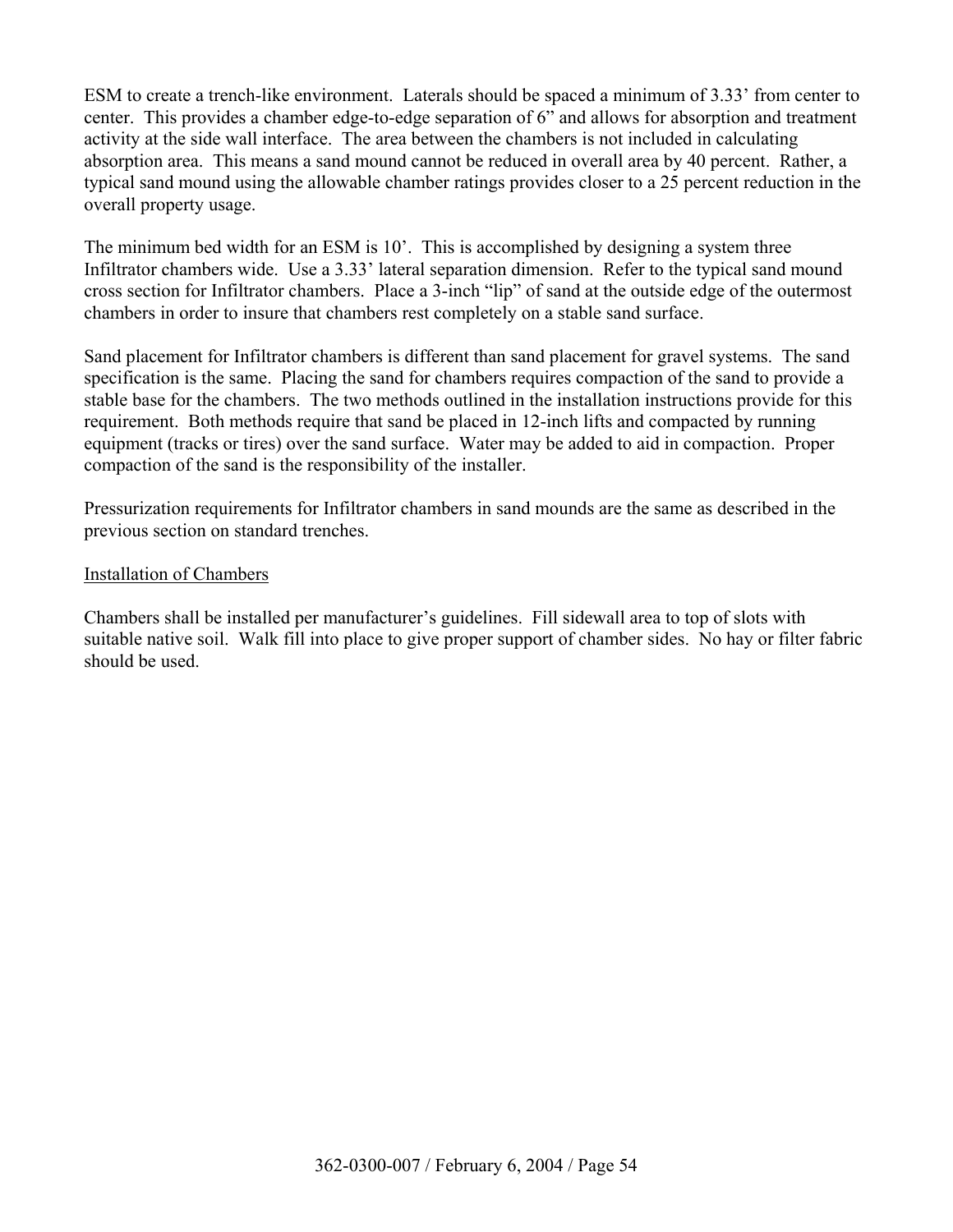ESM to create a trench-like environment. Laterals should be spaced a minimum of 3.33<sup>°</sup> from center to center. This provides a chamber edge-to-edge separation of 6<sup>°</sup> and allows for absorption and treatment activity at the side wall interface. The area between the chambers is not included in calculating absorption area. This means a sand mound cannot be reduced in overall area by 40 percent. Rather, a typical sand mound using the allowable chamber ratings provides closer to a 25 percent reduction in the overall property usage.

The minimum bed width for an ESM is  $10<sup>°</sup>$ . This is accomplished by designing a system three Infiltrator chambers wide. Use a 3.33' lateral separation dimension. Refer to the typical sand mound cross section for Infiltrator chambers. Place a 3-inch "lip" of sand at the outside edge of the outermost chambers in order to insure that chambers rest completely on a stable sand surface.

Sand placement for Infiltrator chambers is different than sand placement for gravel systems. The sand specification is the same. Placing the sand for chambers requires compaction of the sand to provide a stable base for the chambers. The two methods outlined in the installation instructions provide for this requirement. Both methods require that sand be placed in 12-inch lifts and compacted by running equipment (tracks or tires) over the sand surface. Water may be added to aid in compaction. Proper compaction of the sand is the responsibility of the installer.

Pressurization requirements for Infiltrator chambers in sand mounds are the same as described in the previous section on standard trenches.

#### Installation of Chambers

Chambers shall be installed per manufacturer's guidelines. Fill sidewall area to top of slots with suitable native soil. Walk fill into place to give proper support of chamber sides. No hay or filter fabric should be used.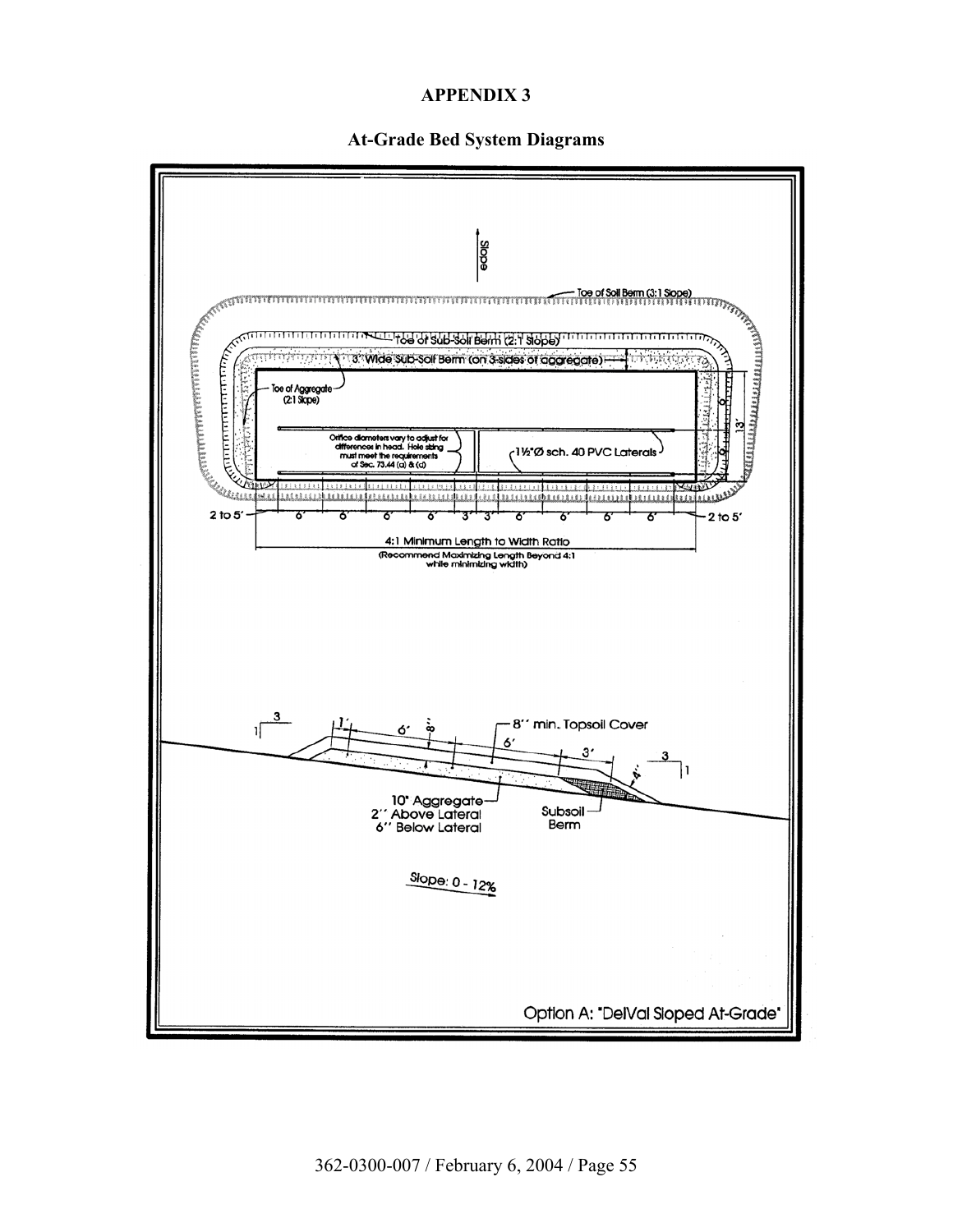

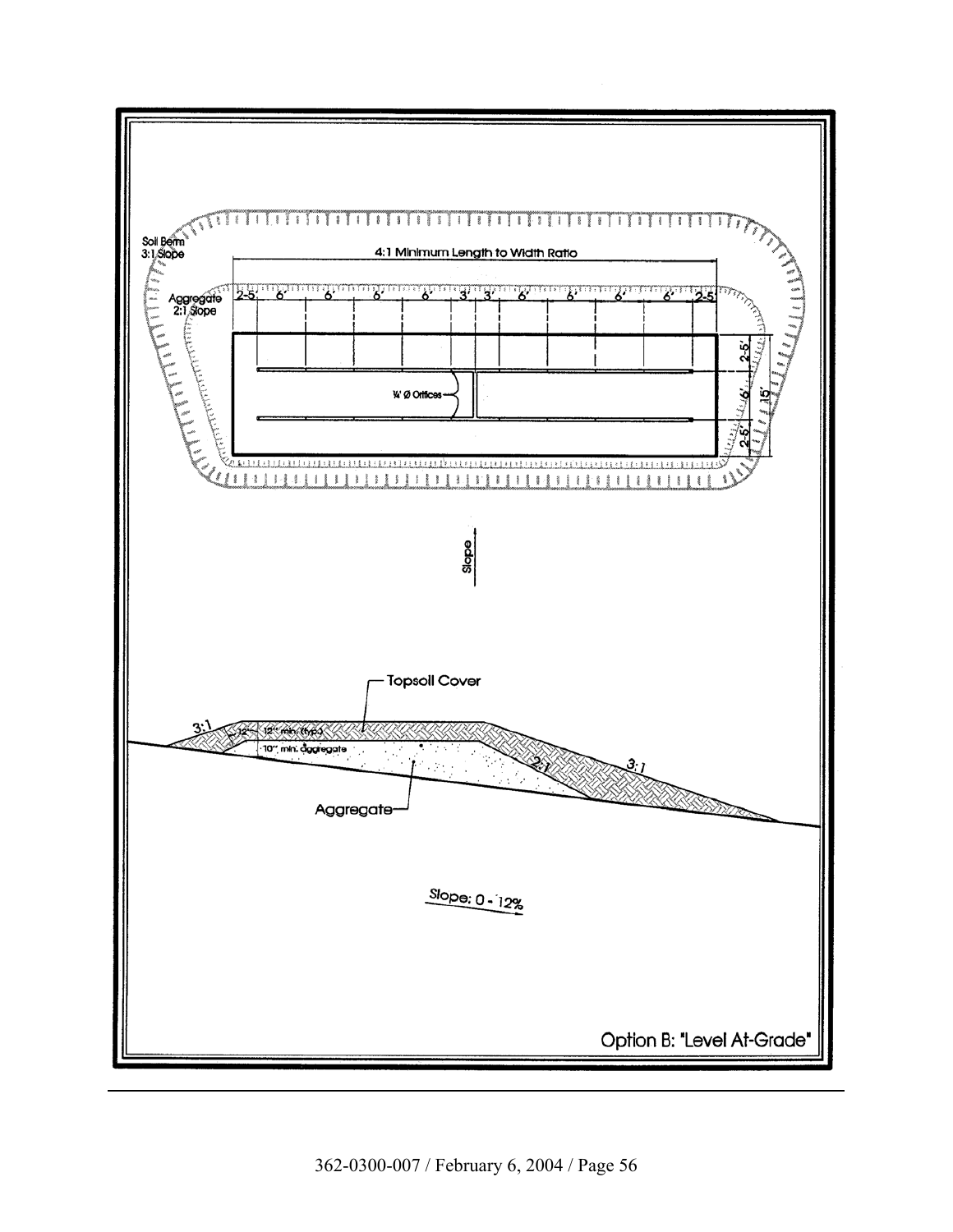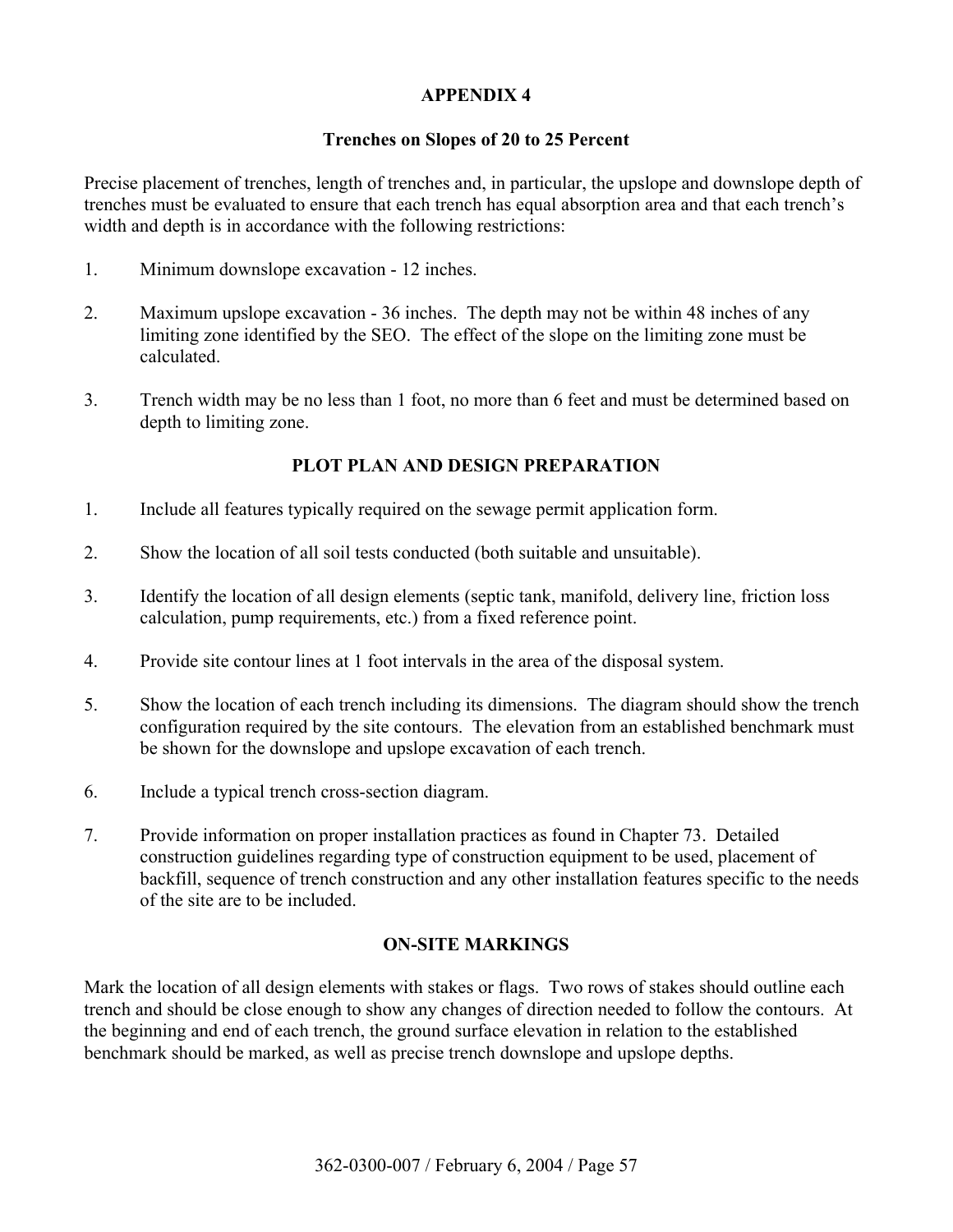## **Trenches on Slopes of 20 to 25 Percent**

Precise placement of trenches, length of trenches and, in particular, the upslope and downslope depth of trenches must be evaluated to ensure that each trench has equal absorption area and that each trench's width and depth is in accordance with the following restrictions:

- 1. Minimum downslope excavation 12 inches.
- 2. Maximum upslope excavation 36 inches. The depth may not be within 48 inches of any limiting zone identified by the SEO. The effect of the slope on the limiting zone must be calculated.
- 3. Trench width may be no less than 1 foot, no more than 6 feet and must be determined based on depth to limiting zone.

# **PLOT PLAN AND DESIGN PREPARATION**

- 1. Include all features typically required on the sewage permit application form.
- 2. Show the location of all soil tests conducted (both suitable and unsuitable).
- 3. Identify the location of all design elements (septic tank, manifold, delivery line, friction loss calculation, pump requirements, etc.) from a fixed reference point.
- 4. Provide site contour lines at 1 foot intervals in the area of the disposal system.
- 5. Show the location of each trench including its dimensions. The diagram should show the trench configuration required by the site contours. The elevation from an established benchmark must be shown for the downslope and upslope excavation of each trench.
- 6. Include a typical trench cross-section diagram.
- 7. Provide information on proper installation practices as found in Chapter 73. Detailed construction guidelines regarding type of construction equipment to be used, placement of backfill, sequence of trench construction and any other installation features specific to the needs of the site are to be included.

# **ON-SITE MARKINGS**

Mark the location of all design elements with stakes or flags. Two rows of stakes should outline each trench and should be close enough to show any changes of direction needed to follow the contours. At the beginning and end of each trench, the ground surface elevation in relation to the established benchmark should be marked, as well as precise trench downslope and upslope depths.